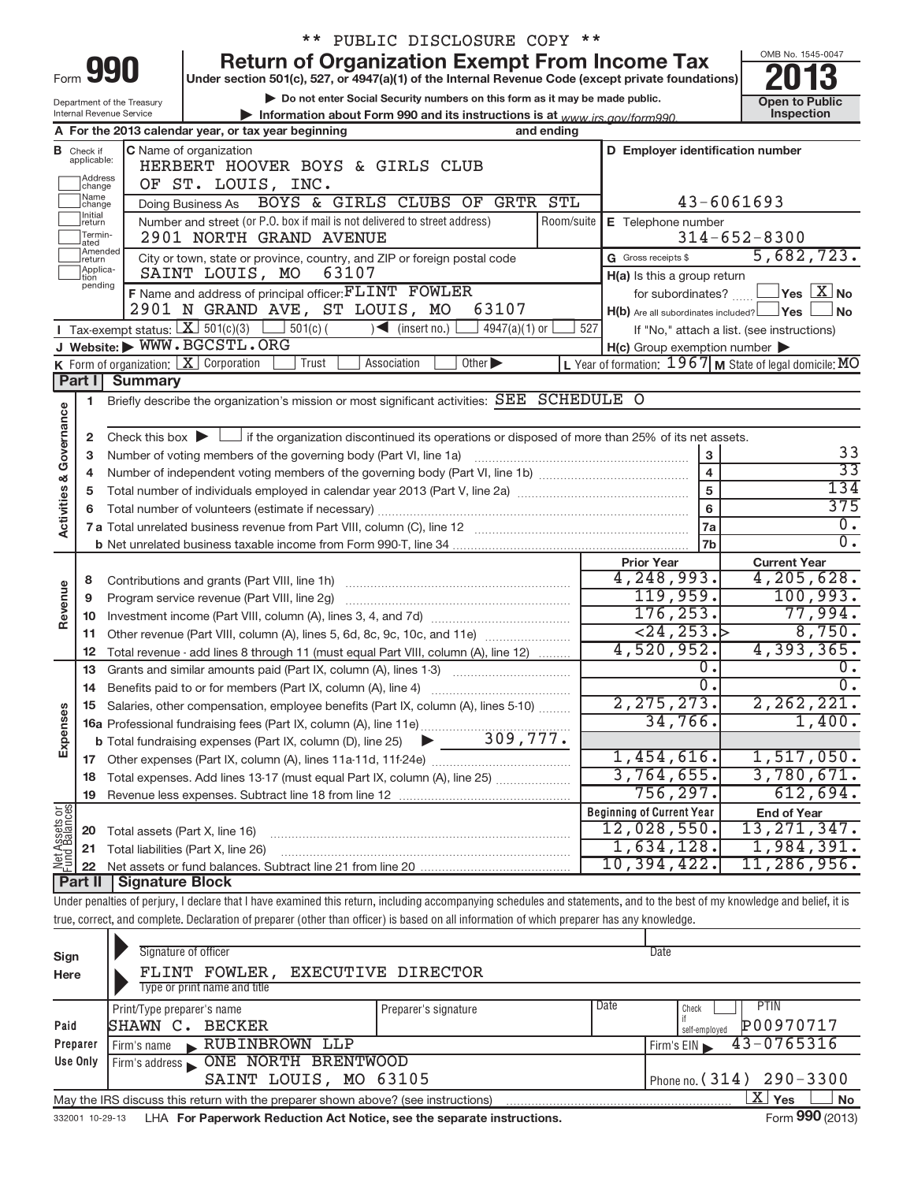|                                                                                                        |                                                                        |                                        |                                                                            | PUBLIC DISCLOSURE COPY **                                                                                                                                                  |            |                                                     |                                                                      |  |  |  |
|--------------------------------------------------------------------------------------------------------|------------------------------------------------------------------------|----------------------------------------|----------------------------------------------------------------------------|----------------------------------------------------------------------------------------------------------------------------------------------------------------------------|------------|-----------------------------------------------------|----------------------------------------------------------------------|--|--|--|
|                                                                                                        |                                                                        |                                        |                                                                            | <b>Return of Organization Exempt From Income Tax</b>                                                                                                                       |            |                                                     | OMB No. 1545-0047                                                    |  |  |  |
|                                                                                                        |                                                                        | Form 990                               |                                                                            | Under section 501(c), 527, or 4947(a)(1) of the Internal Revenue Code (except private foundations)                                                                         |            |                                                     |                                                                      |  |  |  |
|                                                                                                        |                                                                        | Department of the Treasury             |                                                                            | Do not enter Social Security numbers on this form as it may be made public.                                                                                                |            |                                                     | <b>Open to Public</b><br>Inspection                                  |  |  |  |
| Internal Revenue Service<br>Information about Form 990 and its instructions is at www.irs.gov/form990. |                                                                        |                                        |                                                                            |                                                                                                                                                                            |            |                                                     |                                                                      |  |  |  |
| A For the 2013 calendar year, or tax year beginning<br>and ending                                      |                                                                        |                                        |                                                                            |                                                                                                                                                                            |            |                                                     |                                                                      |  |  |  |
| в                                                                                                      | Check if<br>applicable:                                                |                                        | C Name of organization<br>HERBERT HOOVER BOYS & GIRLS CLUB                 |                                                                                                                                                                            |            | D Employer identification number                    |                                                                      |  |  |  |
|                                                                                                        | Address                                                                |                                        | OF ST. LOUIS, INC.                                                         |                                                                                                                                                                            |            |                                                     |                                                                      |  |  |  |
|                                                                                                        | change<br>Name<br>change                                               |                                        | Doing Business As                                                          | BOYS & GIRLS CLUBS OF GRTR STL                                                                                                                                             |            |                                                     | $43 - 6061693$                                                       |  |  |  |
|                                                                                                        | Initial<br>return                                                      |                                        | Number and street (or P.O. box if mail is not delivered to street address) |                                                                                                                                                                            | Room/suite | E Telephone number                                  |                                                                      |  |  |  |
|                                                                                                        | Termin-<br>ated                                                        |                                        | 2901 NORTH GRAND AVENUE                                                    |                                                                                                                                                                            |            |                                                     | $314 - 652 - 8300$                                                   |  |  |  |
|                                                                                                        | Amended<br>return                                                      |                                        | City or town, state or province, country, and ZIP or foreign postal code   |                                                                                                                                                                            |            | G Gross receipts \$                                 | 5,682,723.                                                           |  |  |  |
|                                                                                                        | Applica-<br>tion                                                       |                                        | SAINT LOUIS, MO<br>63107                                                   |                                                                                                                                                                            |            | H(a) Is this a group return                         |                                                                      |  |  |  |
|                                                                                                        | pending                                                                |                                        | F Name and address of principal officer: FLINT FOWLER                      |                                                                                                                                                                            |            |                                                     | for subordinates? $\boxed{\phantom{a}}$ Yes $\boxed{\phantom{a}}$ No |  |  |  |
|                                                                                                        |                                                                        |                                        | 2901 N GRAND AVE, ST LOUIS, MO                                             | 63107                                                                                                                                                                      |            | $H(b)$ Are all subordinates included? $\Box$ Yes    | l No                                                                 |  |  |  |
|                                                                                                        |                                                                        | Tax-exempt status: $X \over 301(c)(3)$ | $501(c)$ (                                                                 | $\sqrt{\frac{1}{1}}$ (insert no.)<br>4947(a)(1) or                                                                                                                         | 527        |                                                     | If "No," attach a list. (see instructions)                           |  |  |  |
|                                                                                                        |                                                                        |                                        | J Website: WWW.BGCSTL.ORG                                                  |                                                                                                                                                                            |            | $H(c)$ Group exemption number $\blacktriangleright$ |                                                                      |  |  |  |
|                                                                                                        |                                                                        |                                        | <b>K</b> Form of organization: $\boxed{\mathbf{X}}$ Corporation<br>Trust   | Association<br>Other >                                                                                                                                                     |            |                                                     | L Year of formation: $1967$ M State of legal domicile: MO            |  |  |  |
|                                                                                                        | Part II                                                                | <b>Summary</b>                         |                                                                            |                                                                                                                                                                            |            |                                                     |                                                                      |  |  |  |
|                                                                                                        | 1                                                                      |                                        |                                                                            | Briefly describe the organization's mission or most significant activities: SEE SCHEDULE O                                                                                 |            |                                                     |                                                                      |  |  |  |
| <b>Activities &amp; Governance</b>                                                                     |                                                                        |                                        |                                                                            |                                                                                                                                                                            |            |                                                     |                                                                      |  |  |  |
|                                                                                                        | $\mathbf{2}$                                                           |                                        |                                                                            | Check this box $\blacktriangleright$ $\Box$ if the organization discontinued its operations or disposed of more than 25% of its net assets.                                |            |                                                     |                                                                      |  |  |  |
|                                                                                                        | Number of voting members of the governing body (Part VI, line 1a)<br>3 | 33                                     |                                                                            |                                                                                                                                                                            |            |                                                     |                                                                      |  |  |  |
|                                                                                                        | 4                                                                      |                                        |                                                                            |                                                                                                                                                                            |            | $\overline{4}$                                      | $\overline{33}$                                                      |  |  |  |
|                                                                                                        | 5                                                                      |                                        |                                                                            |                                                                                                                                                                            |            | $\overline{5}$                                      | 134                                                                  |  |  |  |
|                                                                                                        | 6                                                                      |                                        |                                                                            |                                                                                                                                                                            |            | $6\phantom{1}$                                      | 375                                                                  |  |  |  |
|                                                                                                        |                                                                        |                                        |                                                                            |                                                                                                                                                                            |            | 7a                                                  | $\overline{0}$ .                                                     |  |  |  |
|                                                                                                        |                                                                        |                                        |                                                                            |                                                                                                                                                                            |            | 7b                                                  | $\overline{0}$ .                                                     |  |  |  |
|                                                                                                        |                                                                        |                                        |                                                                            |                                                                                                                                                                            |            | <b>Prior Year</b>                                   | <b>Current Year</b>                                                  |  |  |  |
|                                                                                                        | 8                                                                      |                                        | Contributions and grants (Part VIII, line 1h)                              |                                                                                                                                                                            |            | 4,248,993.                                          | 4, 205, 628.                                                         |  |  |  |
| Revenue                                                                                                | 9                                                                      |                                        | Program service revenue (Part VIII, line 2g)                               |                                                                                                                                                                            |            | 119,959.                                            | 100,993.<br>77,994.                                                  |  |  |  |
|                                                                                                        | 10                                                                     |                                        | 176, 253.<br>$\overline{24.253.}$                                          |                                                                                                                                                                            |            |                                                     |                                                                      |  |  |  |
|                                                                                                        | 11                                                                     |                                        |                                                                            | Other revenue (Part VIII, column (A), lines 5, 6d, 8c, 9c, 10c, and 11e)                                                                                                   |            | 4,520,952.                                          | 8,750.<br>4,393,365.                                                 |  |  |  |
|                                                                                                        | 12                                                                     |                                        |                                                                            | Total revenue - add lines 8 through 11 (must equal Part VIII, column (A), line 12)                                                                                         |            | О.                                                  | 0.                                                                   |  |  |  |
|                                                                                                        | 13                                                                     |                                        | Grants and similar amounts paid (Part IX, column (A), lines 1-3)           | <u> 1986 - Johann Stoff, deutscher Stoff, deutscher Stoff, deutscher Stoff, der Stoff, der Stoff, der Stoff, der </u>                                                      |            | $\overline{0}$ .                                    | $\overline{0}$ .                                                     |  |  |  |
|                                                                                                        | 14                                                                     |                                        | Benefits paid to or for members (Part IX, column (A), line 4)              |                                                                                                                                                                            |            |                                                     | 2,262,221.                                                           |  |  |  |
| Expenses                                                                                               |                                                                        |                                        |                                                                            | Salaries, other compensation, employee benefits (Part IX, column (A), lines 5-10)                                                                                          |            | 2, 275, 273.<br>34,766.                             | 1,400.                                                               |  |  |  |
|                                                                                                        |                                                                        |                                        |                                                                            |                                                                                                                                                                            |            |                                                     |                                                                      |  |  |  |
|                                                                                                        |                                                                        |                                        |                                                                            |                                                                                                                                                                            |            | 1,454,616.                                          | 1,517,050.                                                           |  |  |  |
|                                                                                                        | 17                                                                     |                                        |                                                                            | Total expenses. Add lines 13-17 (must equal Part IX, column (A), line 25)                                                                                                  |            | 3,764,655.                                          | 3,780,671.                                                           |  |  |  |
|                                                                                                        | 18<br>19                                                               |                                        |                                                                            |                                                                                                                                                                            |            | 756,297.                                            | 612,694.                                                             |  |  |  |
|                                                                                                        |                                                                        |                                        |                                                                            |                                                                                                                                                                            |            | <b>Beginning of Current Year</b>                    | <b>End of Year</b>                                                   |  |  |  |
| Net Assets or<br>Fund Balances                                                                         | 20                                                                     | Total assets (Part X, line 16)         |                                                                            |                                                                                                                                                                            |            | 12,028,550.                                         | 13, 271, 347.                                                        |  |  |  |
|                                                                                                        | 21                                                                     |                                        | Total liabilities (Part X, line 26)                                        |                                                                                                                                                                            |            | 1,634,128.                                          | 1,984,391.                                                           |  |  |  |
|                                                                                                        | 22                                                                     |                                        |                                                                            |                                                                                                                                                                            |            | 10,394,422.                                         | 11,286,956.                                                          |  |  |  |
|                                                                                                        | Part II                                                                | Signature Block                        |                                                                            |                                                                                                                                                                            |            |                                                     |                                                                      |  |  |  |
|                                                                                                        |                                                                        |                                        |                                                                            | Under penalties of perjury, I declare that I have examined this return, including accompanying schedules and statements, and to the best of my knowledge and belief, it is |            |                                                     |                                                                      |  |  |  |
|                                                                                                        |                                                                        |                                        |                                                                            | true, correct, and complete. Declaration of preparer (other than officer) is based on all information of which preparer has any knowledge.                                 |            |                                                     |                                                                      |  |  |  |
|                                                                                                        |                                                                        |                                        |                                                                            |                                                                                                                                                                            |            |                                                     |                                                                      |  |  |  |
| Sign                                                                                                   |                                                                        |                                        | Signature of officer                                                       |                                                                                                                                                                            |            | Date                                                |                                                                      |  |  |  |
| Here                                                                                                   |                                                                        |                                        | FLINT FOWLER,                                                              | EXECUTIVE DIRECTOR                                                                                                                                                         |            |                                                     |                                                                      |  |  |  |

| Here     | FLINT FOWLER, EXECUTIVE DIRECTOR                                                                   |                              |                             |  |  |  |  |  |  |  |  |
|----------|----------------------------------------------------------------------------------------------------|------------------------------|-----------------------------|--|--|--|--|--|--|--|--|
|          | Type or print name and title                                                                       |                              |                             |  |  |  |  |  |  |  |  |
|          | Print/Type preparer's name                                                                         | Date<br>Preparer's signature | <b>PTIN</b><br>Check        |  |  |  |  |  |  |  |  |
| Paid     | P00970717<br>SHAWN C. BECKER<br>self-emploved                                                      |                              |                             |  |  |  |  |  |  |  |  |
| Preparer | Firm's EIN $\sqrt{43-0765316}$<br>RUBINBROWN LLP<br>Firm's name                                    |                              |                             |  |  |  |  |  |  |  |  |
| Use Only | Firm's address <b>ONE NORTH BRENTWOOD</b>                                                          |                              |                             |  |  |  |  |  |  |  |  |
|          | Phone no. $(314)$ 290 - 3300<br>SAINT LOUIS, MO 63105                                              |                              |                             |  |  |  |  |  |  |  |  |
|          | $X$ Yes<br>No<br>May the IRS discuss this return with the preparer shown above? (see instructions) |                              |                             |  |  |  |  |  |  |  |  |
|          |                                                                                                    |                              | $T_{\text{max}}$ 000 (0010) |  |  |  |  |  |  |  |  |

332001 10-29-13 **For Paperwork Reduction Act Notice, see the separate instructions.** LHA Form (2013)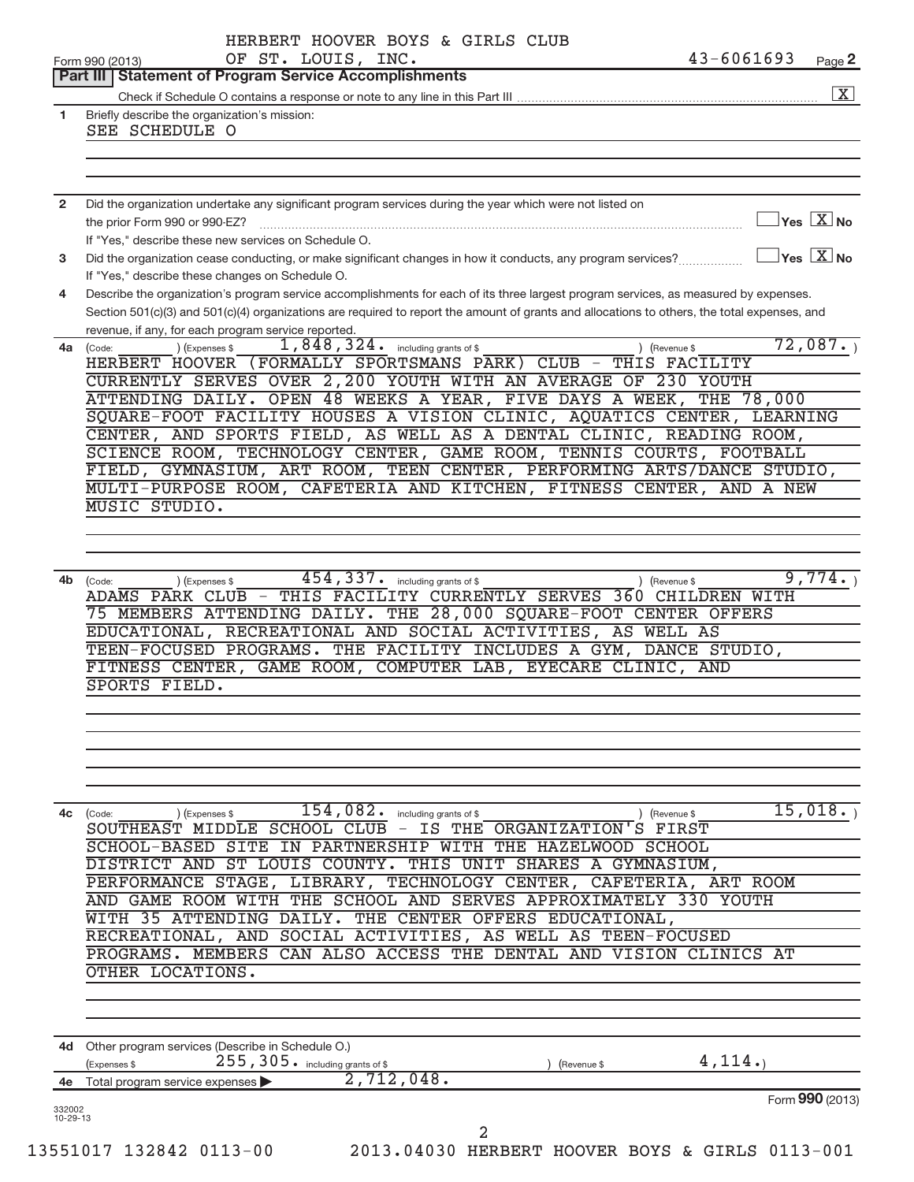|                | $43 - 6061693$<br>OF ST. LOUIS, INC.<br>Form 990 (2013)<br>Page 2<br><b>Part III   Statement of Program Service Accomplishments</b>                                                                                                                                                      |
|----------------|------------------------------------------------------------------------------------------------------------------------------------------------------------------------------------------------------------------------------------------------------------------------------------------|
|                |                                                                                                                                                                                                                                                                                          |
|                |                                                                                                                                                                                                                                                                                          |
| $\mathbf{1}$   | Briefly describe the organization's mission:<br>SEE SCHEDULE O                                                                                                                                                                                                                           |
|                |                                                                                                                                                                                                                                                                                          |
|                |                                                                                                                                                                                                                                                                                          |
|                |                                                                                                                                                                                                                                                                                          |
|                |                                                                                                                                                                                                                                                                                          |
| $\overline{2}$ | Did the organization undertake any significant program services during the year which were not listed on<br>Yes $X$ No                                                                                                                                                                   |
|                | the prior Form 990 or 990-EZ?                                                                                                                                                                                                                                                            |
|                | If "Yes," describe these new services on Schedule O.                                                                                                                                                                                                                                     |
| 3              | $\gamma_{\mathsf{es}}$ $\boxed{\mathrm{X}}$ No<br>Did the organization cease conducting, or make significant changes in how it conducts, any program services?                                                                                                                           |
|                | If "Yes," describe these changes on Schedule O.                                                                                                                                                                                                                                          |
| 4              | Describe the organization's program service accomplishments for each of its three largest program services, as measured by expenses.                                                                                                                                                     |
|                | Section 501(c)(3) and 501(c)(4) organizations are required to report the amount of grants and allocations to others, the total expenses, and                                                                                                                                             |
|                | revenue, if any, for each program service reported.                                                                                                                                                                                                                                      |
| 4a             | 72,087.<br>$\overline{1,848}$ , $324$ . including grants of \$<br>) (Expenses \$<br>) (Revenue \$<br>(Code:                                                                                                                                                                              |
|                | HERBERT HOOVER (FORMALLY SPORTSMANS PARK) CLUB -<br>THIS FACILITY                                                                                                                                                                                                                        |
|                | CURRENTLY SERVES OVER 2,200 YOUTH WITH AN AVERAGE OF 230 YOUTH                                                                                                                                                                                                                           |
|                | ATTENDING DAILY. OPEN 48 WEEKS A YEAR, FIVE DAYS A WEEK,<br>THE 78,000                                                                                                                                                                                                                   |
|                | SQUARE-FOOT FACILITY HOUSES A VISION CLINIC, AQUATICS CENTER, LEARNING                                                                                                                                                                                                                   |
|                | CENTER, AND SPORTS FIELD, AS WELL AS A DENTAL CLINIC, READING ROOM,                                                                                                                                                                                                                      |
|                | SCIENCE ROOM, TECHNOLOGY CENTER, GAME ROOM, TENNIS COURTS, FOOTBALL                                                                                                                                                                                                                      |
|                | FIELD, GYMNASIUM, ART ROOM, TEEN CENTER, PERFORMING ARTS/DANCE STUDIO,                                                                                                                                                                                                                   |
|                | MULTI-PURPOSE ROOM, CAFETERIA AND KITCHEN, FITNESS CENTER, AND A NEW                                                                                                                                                                                                                     |
|                | <b>MUSIC STUDIO.</b>                                                                                                                                                                                                                                                                     |
|                |                                                                                                                                                                                                                                                                                          |
|                |                                                                                                                                                                                                                                                                                          |
|                | 75 MEMBERS ATTENDING DAILY. THE 28,000 SQUARE-FOOT CENTER OFFERS<br>RECREATIONAL AND SOCIAL ACTIVITIES, AS WELL AS<br>EDUCATIONAL,<br>TEEN-FOCUSED PROGRAMS. THE FACILITY INCLUDES A GYM, DANCE STUDIO,<br>FITNESS CENTER, GAME ROOM, COMPUTER LAB, EYECARE CLINIC, AND<br>SPORTS FIELD. |
|                |                                                                                                                                                                                                                                                                                          |
|                |                                                                                                                                                                                                                                                                                          |
|                | $154,082$ .<br>15,018.<br>including grants of \$<br>(Code:<br>) (Expenses \$<br>) (Revenue \$                                                                                                                                                                                            |
|                | SOUTHEAST MIDDLE SCHOOL CLUB - IS THE ORGANIZATION'S FIRST                                                                                                                                                                                                                               |
|                | PARTNERSHIP<br>SCHOOL-BASED<br>SITE<br>ΙN<br>WITH<br>THE HAZELWOOD SCHOOL                                                                                                                                                                                                                |
|                | DISTRICT AND<br>ST LOUIS COUNTY.<br>THIS UNIT SHARES A GYMNASIUM,                                                                                                                                                                                                                        |
|                | PERFORMANCE STAGE, LIBRARY, TECHNOLOGY CENTER,<br>CAFETERIA, ART ROOM                                                                                                                                                                                                                    |
|                | AND GAME ROOM WITH THE SCHOOL AND SERVES APPROXIMATELY 330 YOUTH                                                                                                                                                                                                                         |
|                | WITH 35 ATTENDING DAILY. THE CENTER OFFERS EDUCATIONAL,                                                                                                                                                                                                                                  |
|                | RECREATIONAL, AND SOCIAL ACTIVITIES, AS WELL AS TEEN-FOCUSED                                                                                                                                                                                                                             |
|                | PROGRAMS. MEMBERS CAN ALSO ACCESS THE DENTAL AND VISION CLINICS AT                                                                                                                                                                                                                       |
|                | OTHER LOCATIONS.                                                                                                                                                                                                                                                                         |
|                |                                                                                                                                                                                                                                                                                          |
|                | 4d Other program services (Describe in Schedule O.)                                                                                                                                                                                                                                      |
|                | 4,114.<br>255, 305. including grants of \$<br>(Expenses \$<br>(Revenue \$<br>2,712,048.<br>4e Total program service expenses                                                                                                                                                             |
| 4c<br>332002   | Form 990 (2013)                                                                                                                                                                                                                                                                          |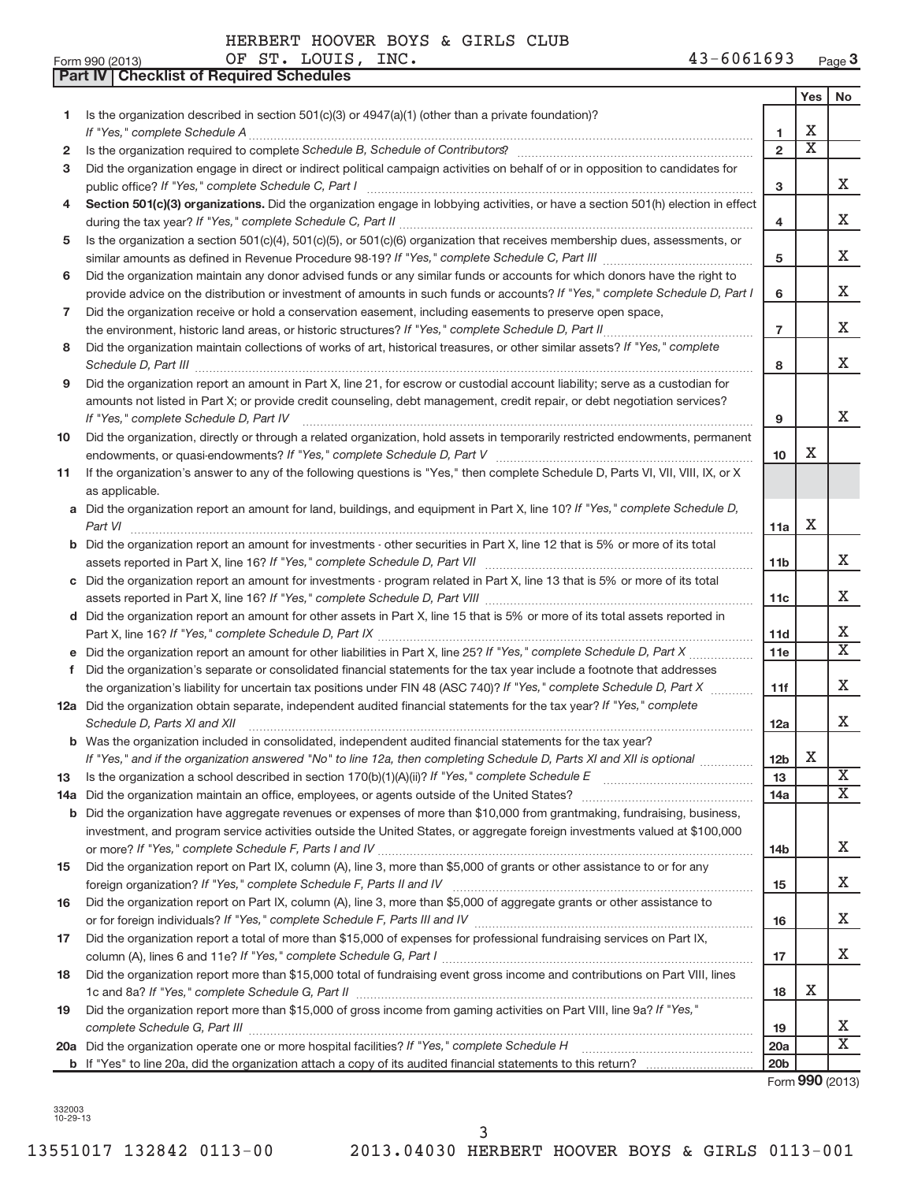OF ST. LOUIS, INC.

**Part IV Checklist of Required Schedules**

|     |                                                                                                                                                                                                                                           |                 | Yes                              | No                      |
|-----|-------------------------------------------------------------------------------------------------------------------------------------------------------------------------------------------------------------------------------------------|-----------------|----------------------------------|-------------------------|
| 1   | Is the organization described in section $501(c)(3)$ or $4947(a)(1)$ (other than a private foundation)?                                                                                                                                   |                 |                                  |                         |
|     | If "Yes," complete Schedule A                                                                                                                                                                                                             | 1               | Х<br>$\overline{\textnormal{x}}$ |                         |
| 2   |                                                                                                                                                                                                                                           | $\overline{2}$  |                                  |                         |
| з   | Did the organization engage in direct or indirect political campaign activities on behalf of or in opposition to candidates for                                                                                                           |                 |                                  | X.                      |
|     | public office? If "Yes," complete Schedule C, Part I<br>Section 501(c)(3) organizations. Did the organization engage in lobbying activities, or have a section 501(h) election in effect                                                  | 3               |                                  |                         |
| 4   |                                                                                                                                                                                                                                           | 4               |                                  | х                       |
| 5   | Is the organization a section 501(c)(4), 501(c)(5), or 501(c)(6) organization that receives membership dues, assessments, or                                                                                                              |                 |                                  |                         |
|     |                                                                                                                                                                                                                                           | 5               |                                  | х                       |
| 6   | Did the organization maintain any donor advised funds or any similar funds or accounts for which donors have the right to                                                                                                                 |                 |                                  |                         |
|     | provide advice on the distribution or investment of amounts in such funds or accounts? If "Yes," complete Schedule D, Part I                                                                                                              | 6               |                                  | х                       |
| 7   | Did the organization receive or hold a conservation easement, including easements to preserve open space,                                                                                                                                 |                 |                                  |                         |
|     |                                                                                                                                                                                                                                           | $\overline{7}$  |                                  | х                       |
| 8   | Did the organization maintain collections of works of art, historical treasures, or other similar assets? If "Yes," complete                                                                                                              |                 |                                  |                         |
|     | Schedule D, Part III <b>Process Constructs</b> Construction and the Construction of the Construction of the Construction of the Construction of the Construction of the Construction of the Construction of the Construction of the       | 8               |                                  | X                       |
| 9   | Did the organization report an amount in Part X, line 21, for escrow or custodial account liability; serve as a custodian for                                                                                                             |                 |                                  |                         |
|     | amounts not listed in Part X; or provide credit counseling, debt management, credit repair, or debt negotiation services?                                                                                                                 |                 |                                  |                         |
|     | If "Yes," complete Schedule D, Part IV                                                                                                                                                                                                    | 9               |                                  | х                       |
| 10  | Did the organization, directly or through a related organization, hold assets in temporarily restricted endowments, permanent                                                                                                             |                 |                                  |                         |
|     |                                                                                                                                                                                                                                           | 10              | Х                                |                         |
| 11  | If the organization's answer to any of the following questions is "Yes," then complete Schedule D, Parts VI, VII, VIII, IX, or X                                                                                                          |                 |                                  |                         |
|     | as applicable.                                                                                                                                                                                                                            |                 |                                  |                         |
|     | a Did the organization report an amount for land, buildings, and equipment in Part X, line 10? If "Yes," complete Schedule D,                                                                                                             |                 | Χ                                |                         |
|     |                                                                                                                                                                                                                                           | 11a             |                                  |                         |
|     | b Did the organization report an amount for investments - other securities in Part X, line 12 that is 5% or more of its total                                                                                                             |                 |                                  | x                       |
|     | c Did the organization report an amount for investments - program related in Part X, line 13 that is 5% or more of its total                                                                                                              | 11 <sub>b</sub> |                                  |                         |
|     |                                                                                                                                                                                                                                           | 11c             |                                  | х                       |
|     | d Did the organization report an amount for other assets in Part X, line 15 that is 5% or more of its total assets reported in                                                                                                            |                 |                                  |                         |
|     |                                                                                                                                                                                                                                           | 11d             |                                  | х                       |
|     |                                                                                                                                                                                                                                           | 11e             |                                  | $\overline{\mathbf{X}}$ |
| f.  | Did the organization's separate or consolidated financial statements for the tax year include a footnote that addresses                                                                                                                   |                 |                                  |                         |
|     | the organization's liability for uncertain tax positions under FIN 48 (ASC 740)? If "Yes," complete Schedule D, Part X                                                                                                                    | 11f             |                                  | х                       |
|     | 12a Did the organization obtain separate, independent audited financial statements for the tax year? If "Yes," complete                                                                                                                   |                 |                                  |                         |
|     | Schedule D, Parts XI and XII                                                                                                                                                                                                              | 12a             |                                  | X                       |
|     | <b>b</b> Was the organization included in consolidated, independent audited financial statements for the tax year?                                                                                                                        |                 |                                  |                         |
|     | If "Yes," and if the organization answered "No" to line 12a, then completing Schedule D, Parts XI and XII is optional                                                                                                                     | 12 <sub>b</sub> | X                                |                         |
| 13  | Is the organization a school described in section 170(b)(1)(A)(ii)? If "Yes," complete Schedule E [ [ [ [ [ [ [ [ ] ]]]                                                                                                                   | 13              |                                  | $\overline{\mathbf{X}}$ |
| 14a |                                                                                                                                                                                                                                           | 14a             |                                  | X                       |
| b   | Did the organization have aggregate revenues or expenses of more than \$10,000 from grantmaking, fundraising, business,                                                                                                                   |                 |                                  |                         |
|     | investment, and program service activities outside the United States, or aggregate foreign investments valued at \$100,000                                                                                                                |                 |                                  |                         |
|     |                                                                                                                                                                                                                                           | 14b             |                                  | x                       |
| 15  | Did the organization report on Part IX, column (A), line 3, more than \$5,000 of grants or other assistance to or for any                                                                                                                 |                 |                                  | x                       |
|     |                                                                                                                                                                                                                                           | 15              |                                  |                         |
| 16  | Did the organization report on Part IX, column (A), line 3, more than \$5,000 of aggregate grants or other assistance to                                                                                                                  |                 |                                  | x                       |
| 17  | or for foreign individuals? If "Yes," complete Schedule F, Parts III and IV [11] mann and intermal manufacture<br>Did the organization report a total of more than \$15,000 of expenses for professional fundraising services on Part IX, | 16              |                                  |                         |
|     |                                                                                                                                                                                                                                           | 17              |                                  | X.                      |
| 18  | Did the organization report more than \$15,000 total of fundraising event gross income and contributions on Part VIII, lines                                                                                                              |                 |                                  |                         |
|     |                                                                                                                                                                                                                                           | 18              | Х                                |                         |
| 19  | Did the organization report more than \$15,000 of gross income from gaming activities on Part VIII, line 9a? If "Yes,"                                                                                                                    |                 |                                  |                         |
|     |                                                                                                                                                                                                                                           | 19              |                                  | x                       |
|     |                                                                                                                                                                                                                                           | 20a             |                                  | $\overline{X}$          |
|     |                                                                                                                                                                                                                                           | 20 <sub>b</sub> |                                  |                         |
|     |                                                                                                                                                                                                                                           |                 |                                  | Form 990 (2013)         |

332003 10-29-13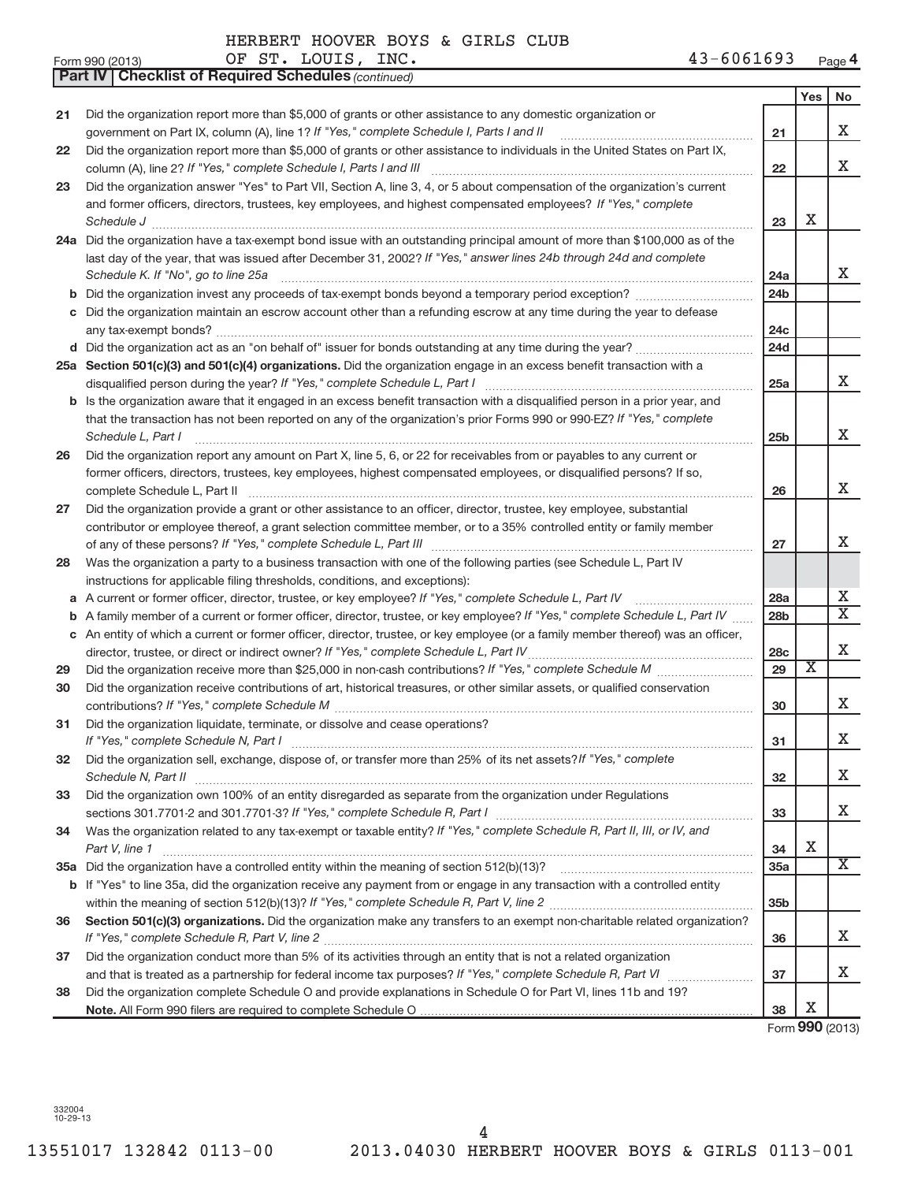|    | OF ST. LOUIS, INC.<br>$43 - 6061693$<br>Form 990 (2013)                                                                             |                 |                       | Page 4                  |
|----|-------------------------------------------------------------------------------------------------------------------------------------|-----------------|-----------------------|-------------------------|
|    | <b>Part IV   Checklist of Required Schedules (continued)</b>                                                                        |                 |                       |                         |
|    |                                                                                                                                     |                 | Yes                   | No                      |
| 21 | Did the organization report more than \$5,000 of grants or other assistance to any domestic organization or                         |                 |                       |                         |
|    | government on Part IX, column (A), line 1? If "Yes," complete Schedule I, Parts I and II                                            | 21              |                       | x                       |
| 22 | Did the organization report more than \$5,000 of grants or other assistance to individuals in the United States on Part IX,         |                 |                       |                         |
|    | column (A), line 2? If "Yes," complete Schedule I, Parts I and III                                                                  | 22              |                       | X                       |
| 23 | Did the organization answer "Yes" to Part VII, Section A, line 3, 4, or 5 about compensation of the organization's current          |                 |                       |                         |
|    | and former officers, directors, trustees, key employees, and highest compensated employees? If "Yes," complete                      |                 |                       |                         |
|    | Schedule J <b>Execute Schedule J Execute Schedule J</b>                                                                             | 23              | х                     |                         |
|    | 24a Did the organization have a tax-exempt bond issue with an outstanding principal amount of more than \$100,000 as of the         |                 |                       |                         |
|    | last day of the year, that was issued after December 31, 2002? If "Yes," answer lines 24b through 24d and complete                  |                 |                       |                         |
|    | Schedule K. If "No", go to line 25a                                                                                                 | 24a             |                       | X.                      |
|    |                                                                                                                                     | 24 <sub>b</sub> |                       |                         |
|    | Did the organization maintain an escrow account other than a refunding escrow at any time during the year to defease                |                 |                       |                         |
|    | any tax-exempt bonds?                                                                                                               | 24c             |                       |                         |
|    |                                                                                                                                     | 24d             |                       |                         |
|    | 25a Section 501(c)(3) and 501(c)(4) organizations. Did the organization engage in an excess benefit transaction with a              |                 |                       |                         |
|    | disqualified person during the year? If "Yes," complete Schedule L, Part I                                                          | 25a             |                       | X                       |
|    | <b>b</b> Is the organization aware that it engaged in an excess benefit transaction with a disqualified person in a prior year, and |                 |                       |                         |
|    | that the transaction has not been reported on any of the organization's prior Forms 990 or 990-EZ? If "Yes," complete               |                 |                       |                         |
|    | Schedule L, Part I                                                                                                                  | 25 <sub>b</sub> |                       | X.                      |
| 26 | Did the organization report any amount on Part X, line 5, 6, or 22 for receivables from or payables to any current or               |                 |                       |                         |
|    | former officers, directors, trustees, key employees, highest compensated employees, or disqualified persons? If so,                 |                 |                       |                         |
|    | complete Schedule L, Part II                                                                                                        | 26              |                       | X.                      |
| 27 | Did the organization provide a grant or other assistance to an officer, director, trustee, key employee, substantial                |                 |                       |                         |
|    | contributor or employee thereof, a grant selection committee member, or to a 35% controlled entity or family member                 |                 |                       |                         |
|    |                                                                                                                                     | 27              |                       | X.                      |
| 28 | Was the organization a party to a business transaction with one of the following parties (see Schedule L, Part IV                   |                 |                       |                         |
|    | instructions for applicable filing thresholds, conditions, and exceptions):                                                         |                 |                       |                         |
|    | a A current or former officer, director, trustee, or key employee? If "Yes," complete Schedule L, Part IV                           | 28a             |                       | X.                      |
|    | <b>b</b> A family member of a current or former officer, director, trustee, or key employee? If "Yes," complete Schedule L, Part IV | 28 <sub>b</sub> |                       | $\overline{\textbf{x}}$ |
|    | c An entity of which a current or former officer, director, trustee, or key employee (or a family member thereof) was an officer,   |                 |                       |                         |
|    | director, trustee, or direct or indirect owner? If "Yes," complete Schedule L, Part IV                                              | 28c             |                       | X                       |
| 29 |                                                                                                                                     | 29              | $\overline{\text{X}}$ |                         |
| 30 | Did the organization receive contributions of art, historical treasures, or other similar assets, or qualified conservation         |                 |                       |                         |
|    |                                                                                                                                     | 30              |                       | x                       |
| 31 | Did the organization liquidate, terminate, or dissolve and cease operations?                                                        |                 |                       |                         |
|    | If "Yes," complete Schedule N, Part I                                                                                               | 31              |                       | х                       |
| 32 | Did the organization sell, exchange, dispose of, or transfer more than 25% of its net assets? If "Yes," complete                    |                 |                       |                         |
|    | Schedule N, Part II                                                                                                                 | 32              |                       | X.                      |
| 33 | Did the organization own 100% of an entity disregarded as separate from the organization under Regulations                          |                 |                       |                         |
|    |                                                                                                                                     | 33              |                       | X.                      |
| 34 | Was the organization related to any tax-exempt or taxable entity? If "Yes," complete Schedule R, Part II, III, or IV, and           |                 |                       |                         |
|    | Part V, line 1                                                                                                                      | 34              | х                     |                         |
|    |                                                                                                                                     | 35a             |                       | X                       |
|    | b If "Yes" to line 35a, did the organization receive any payment from or engage in any transaction with a controlled entity         |                 |                       |                         |
|    |                                                                                                                                     | 35 <sub>b</sub> |                       |                         |
| 36 | Section 501(c)(3) organizations. Did the organization make any transfers to an exempt non-charitable related organization?          |                 |                       |                         |
|    |                                                                                                                                     | 36              |                       | X.                      |
| 37 | Did the organization conduct more than 5% of its activities through an entity that is not a related organization                    |                 |                       | x                       |
|    |                                                                                                                                     | 37              |                       |                         |
| 38 | Did the organization complete Schedule O and provide explanations in Schedule O for Part VI, lines 11b and 19?                      |                 | х                     |                         |
|    |                                                                                                                                     | 38              | $000 \approx$         |                         |

Form **990** (2013)

332004 10-29-13

OF ST. LOUIS, INC.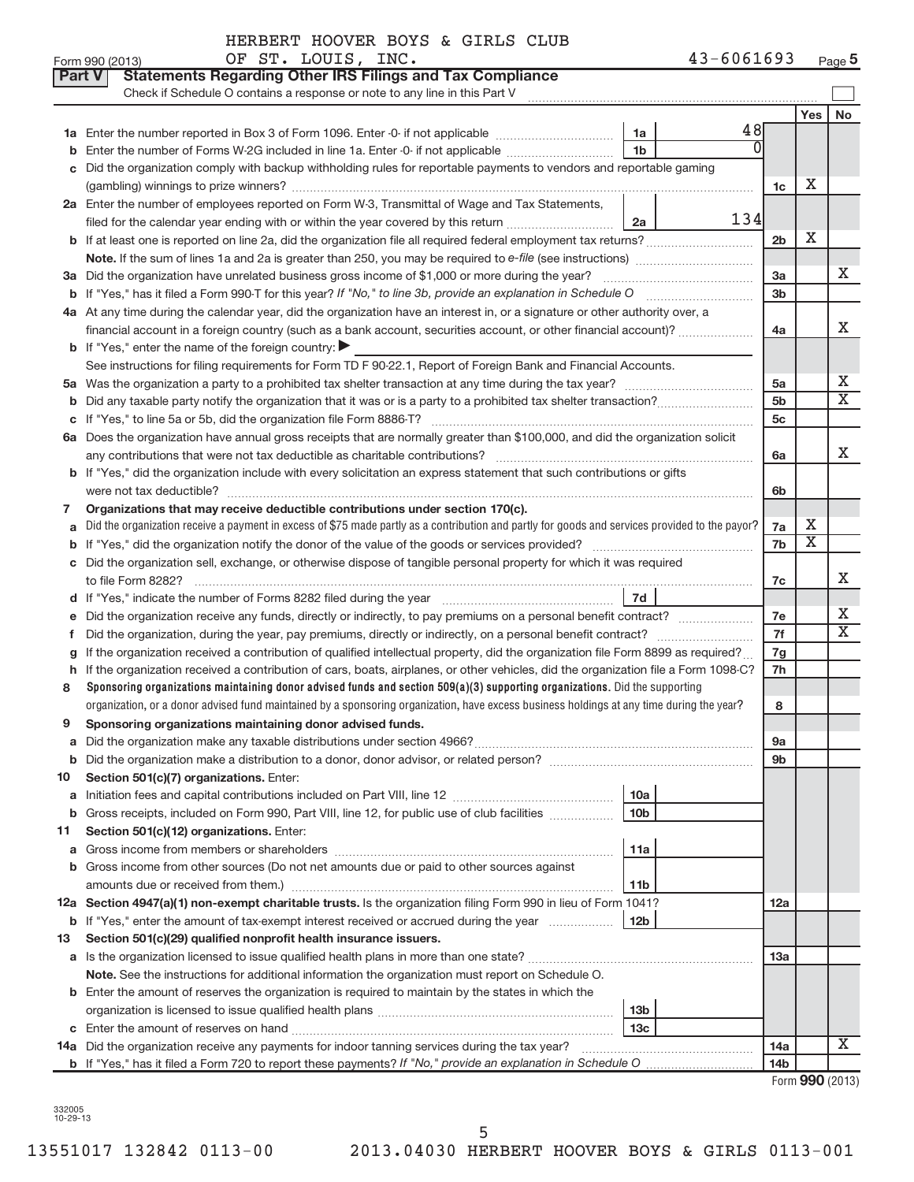#### HERBERT HOOVER BOYS & GIRLS CLUB OF ST. LOUIS, INC.

|    | Part V<br><b>Statements Regarding Other IRS Filings and Tax Compliance</b><br>Check if Schedule O contains a response or note to any line in this Part V |                                    |    |                        |     |                         |  |  |  |  |
|----|----------------------------------------------------------------------------------------------------------------------------------------------------------|------------------------------------|----|------------------------|-----|-------------------------|--|--|--|--|
|    |                                                                                                                                                          |                                    |    |                        | Yes | No                      |  |  |  |  |
|    |                                                                                                                                                          | 1a                                 | 48 |                        |     |                         |  |  |  |  |
| b  | $\Omega$<br>1 <sub>b</sub><br>Enter the number of Forms W-2G included in line 1a. Enter -0- if not applicable                                            |                                    |    |                        |     |                         |  |  |  |  |
| c  | Did the organization comply with backup withholding rules for reportable payments to vendors and reportable gaming                                       |                                    |    |                        |     |                         |  |  |  |  |
|    |                                                                                                                                                          |                                    |    |                        |     |                         |  |  |  |  |
|    | 2a Enter the number of employees reported on Form W-3, Transmittal of Wage and Tax Statements,                                                           |                                    |    |                        |     |                         |  |  |  |  |
|    | 134<br>filed for the calendar year ending with or within the year covered by this return<br>2a                                                           |                                    |    |                        |     |                         |  |  |  |  |
|    | b If at least one is reported on line 2a, did the organization file all required federal employment tax returns?                                         |                                    |    | 2 <sub>b</sub>         | Х   |                         |  |  |  |  |
|    |                                                                                                                                                          |                                    |    |                        |     |                         |  |  |  |  |
|    | 3a Did the organization have unrelated business gross income of \$1,000 or more during the year?                                                         |                                    |    | 3a                     |     | x                       |  |  |  |  |
|    |                                                                                                                                                          |                                    |    | 3 <sub>b</sub>         |     |                         |  |  |  |  |
|    | 4a At any time during the calendar year, did the organization have an interest in, or a signature or other authority over, a                             |                                    |    |                        |     |                         |  |  |  |  |
|    | financial account in a foreign country (such as a bank account, securities account, or other financial account)?                                         |                                    |    | 4a                     |     | х                       |  |  |  |  |
|    | <b>b</b> If "Yes," enter the name of the foreign country: $\blacktriangleright$                                                                          |                                    |    |                        |     |                         |  |  |  |  |
|    | See instructions for filing requirements for Form TD F 90-22.1, Report of Foreign Bank and Financial Accounts.                                           |                                    |    |                        |     |                         |  |  |  |  |
| 5a |                                                                                                                                                          |                                    |    | 5a                     |     | Х                       |  |  |  |  |
| b  |                                                                                                                                                          |                                    |    | 5 <sub>b</sub>         |     | $\overline{\mathbf{X}}$ |  |  |  |  |
|    |                                                                                                                                                          |                                    |    | 5c                     |     |                         |  |  |  |  |
|    | 6a Does the organization have annual gross receipts that are normally greater than \$100,000, and did the organization solicit                           |                                    |    |                        |     |                         |  |  |  |  |
|    |                                                                                                                                                          |                                    |    | 6a                     |     | х                       |  |  |  |  |
|    | b If "Yes," did the organization include with every solicitation an express statement that such contributions or gifts                                   |                                    |    |                        |     |                         |  |  |  |  |
|    |                                                                                                                                                          |                                    |    |                        |     |                         |  |  |  |  |
| 7  | Organizations that may receive deductible contributions under section 170(c).                                                                            |                                    |    |                        |     |                         |  |  |  |  |
| a  | Did the organization receive a payment in excess of \$75 made partly as a contribution and partly for goods and services provided to the payor?          |                                    |    |                        |     |                         |  |  |  |  |
|    |                                                                                                                                                          |                                    |    |                        |     |                         |  |  |  |  |
|    | c Did the organization sell, exchange, or otherwise dispose of tangible personal property for which it was required                                      |                                    |    |                        |     |                         |  |  |  |  |
|    |                                                                                                                                                          |                                    |    |                        |     |                         |  |  |  |  |
|    | 7d                                                                                                                                                       |                                    |    |                        |     |                         |  |  |  |  |
| е  |                                                                                                                                                          |                                    |    | 7e                     |     | Х                       |  |  |  |  |
| f  |                                                                                                                                                          |                                    |    | 7f                     |     | $\overline{\mathbf{X}}$ |  |  |  |  |
| g  | If the organization received a contribution of qualified intellectual property, did the organization file Form 8899 as required?                         |                                    |    | 7g                     |     |                         |  |  |  |  |
| h  | If the organization received a contribution of cars, boats, airplanes, or other vehicles, did the organization file a Form 1098-C?                       |                                    |    | 7h                     |     |                         |  |  |  |  |
| 8  | Sponsoring organizations maintaining donor advised funds and section 509(a)(3) supporting organizations. Did the supporting                              |                                    |    |                        |     |                         |  |  |  |  |
|    | organization, or a donor advised fund maintained by a sponsoring organization, have excess business holdings at any time during the year?                |                                    |    | 8                      |     |                         |  |  |  |  |
| 9  | Sponsoring organizations maintaining donor advised funds.                                                                                                |                                    |    |                        |     |                         |  |  |  |  |
|    |                                                                                                                                                          |                                    |    | 9a                     |     |                         |  |  |  |  |
|    |                                                                                                                                                          |                                    |    | 9b                     |     |                         |  |  |  |  |
| 10 | Section 501(c)(7) organizations. Enter:                                                                                                                  |                                    |    |                        |     |                         |  |  |  |  |
| а  |                                                                                                                                                          | 10a                                |    |                        |     |                         |  |  |  |  |
| b  | Gross receipts, included on Form 990, Part VIII, line 12, for public use of club facilities <i>manumum</i>                                               | 10 <sub>b</sub>                    |    |                        |     |                         |  |  |  |  |
| 11 | Section 501(c)(12) organizations. Enter:                                                                                                                 |                                    |    |                        |     |                         |  |  |  |  |
| а  | 11a                                                                                                                                                      |                                    |    |                        |     |                         |  |  |  |  |
| b  | Gross income from other sources (Do not net amounts due or paid to other sources against                                                                 |                                    |    |                        |     |                         |  |  |  |  |
|    |                                                                                                                                                          | 11b                                |    | 12a                    |     |                         |  |  |  |  |
|    | 12a Section 4947(a)(1) non-exempt charitable trusts. Is the organization filing Form 990 in lieu of Form 1041?                                           |                                    |    |                        |     |                         |  |  |  |  |
|    | <b>b</b> If "Yes," enter the amount of tax-exempt interest received or accrued during the year                                                           | <b>12b</b>                         |    |                        |     |                         |  |  |  |  |
| 13 | Section 501(c)(29) qualified nonprofit health insurance issuers.                                                                                         |                                    |    |                        |     |                         |  |  |  |  |
|    |                                                                                                                                                          |                                    |    | 1За                    |     |                         |  |  |  |  |
|    | Note. See the instructions for additional information the organization must report on Schedule O.                                                        |                                    |    |                        |     |                         |  |  |  |  |
|    | <b>b</b> Enter the amount of reserves the organization is required to maintain by the states in which the                                                |                                    |    |                        |     |                         |  |  |  |  |
|    |                                                                                                                                                          | 13 <sub>b</sub><br>13 <sub>c</sub> |    |                        |     |                         |  |  |  |  |
|    | 14a Did the organization receive any payments for indoor tanning services during the tax year?                                                           |                                    |    |                        |     | x                       |  |  |  |  |
|    |                                                                                                                                                          |                                    |    | 14a<br>14 <sub>b</sub> |     |                         |  |  |  |  |
|    |                                                                                                                                                          |                                    |    |                        |     |                         |  |  |  |  |

332005 10-29-13

**Form 990 (2013)**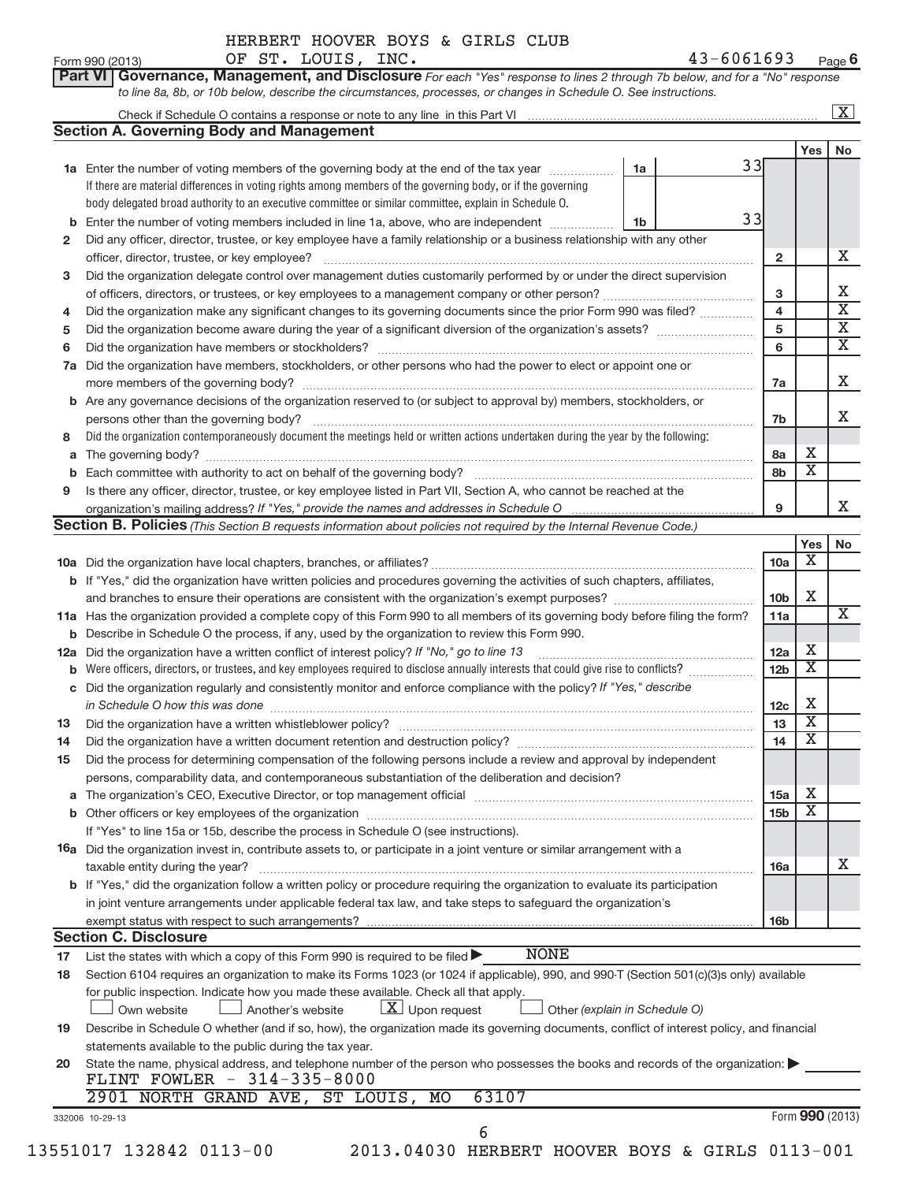|     |                                                                                                                                                                                                                                        |                               |    |                         |                         | $\overline{\mathbf{X}}$ |
|-----|----------------------------------------------------------------------------------------------------------------------------------------------------------------------------------------------------------------------------------------|-------------------------------|----|-------------------------|-------------------------|-------------------------|
|     | <b>Section A. Governing Body and Management</b>                                                                                                                                                                                        |                               |    |                         |                         |                         |
|     |                                                                                                                                                                                                                                        |                               |    |                         | Yes                     | No                      |
|     | 1a Enter the number of voting members of the governing body at the end of the tax year                                                                                                                                                 | 1a                            | 33 |                         |                         |                         |
|     | If there are material differences in voting rights among members of the governing body, or if the governing<br>body delegated broad authority to an executive committee or similar committee, explain in Schedule O.                   |                               |    |                         |                         |                         |
|     |                                                                                                                                                                                                                                        |                               | 33 |                         |                         |                         |
|     | <b>b</b> Enter the number of voting members included in line 1a, above, who are independent <i>manumum</i><br>Did any officer, director, trustee, or key employee have a family relationship or a business relationship with any other | 1b                            |    |                         |                         |                         |
| 2   | officer, director, trustee, or key employee?                                                                                                                                                                                           |                               |    | $\overline{\mathbf{2}}$ |                         |                         |
| з   | Did the organization delegate control over management duties customarily performed by or under the direct supervision                                                                                                                  |                               |    |                         |                         |                         |
|     |                                                                                                                                                                                                                                        |                               |    | 3                       |                         |                         |
| 4   | Did the organization make any significant changes to its governing documents since the prior Form 990 was filed?                                                                                                                       |                               |    | $\overline{\mathbf{4}}$ |                         |                         |
| 5   |                                                                                                                                                                                                                                        |                               |    | 5                       |                         |                         |
| 6   |                                                                                                                                                                                                                                        |                               |    | 6                       |                         |                         |
| 7a  | Did the organization have members, stockholders, or other persons who had the power to elect or appoint one or                                                                                                                         |                               |    |                         |                         |                         |
|     |                                                                                                                                                                                                                                        |                               |    | 7a                      |                         |                         |
|     | <b>b</b> Are any governance decisions of the organization reserved to (or subject to approval by) members, stockholders, or                                                                                                            |                               |    |                         |                         |                         |
|     | persons other than the governing body?                                                                                                                                                                                                 |                               |    | 7b                      |                         |                         |
| 8   | Did the organization contemporaneously document the meetings held or written actions undertaken during the year by the following:                                                                                                      |                               |    |                         |                         |                         |
| a   |                                                                                                                                                                                                                                        |                               |    | 8а                      | Х                       |                         |
|     |                                                                                                                                                                                                                                        |                               |    | 8b                      | $\overline{\mathbf{X}}$ |                         |
| 9   | Is there any officer, director, trustee, or key employee listed in Part VII, Section A, who cannot be reached at the                                                                                                                   |                               |    |                         |                         |                         |
|     |                                                                                                                                                                                                                                        |                               |    | 9                       |                         |                         |
|     | Section B. Policies (This Section B requests information about policies not required by the Internal Revenue Code.)                                                                                                                    |                               |    |                         |                         |                         |
|     |                                                                                                                                                                                                                                        |                               |    |                         | Yes                     |                         |
|     |                                                                                                                                                                                                                                        |                               |    | 10a                     | х                       |                         |
|     | b If "Yes," did the organization have written policies and procedures governing the activities of such chapters, affiliates,                                                                                                           |                               |    |                         |                         |                         |
|     |                                                                                                                                                                                                                                        |                               |    | 10 <sub>b</sub>         | Χ                       |                         |
|     | 11a Has the organization provided a complete copy of this Form 990 to all members of its governing body before filing the form?                                                                                                        |                               |    | 11a                     |                         |                         |
|     | <b>b</b> Describe in Schedule O the process, if any, used by the organization to review this Form 990.                                                                                                                                 |                               |    |                         |                         |                         |
| 12a | Did the organization have a written conflict of interest policy? If "No," go to line 13                                                                                                                                                |                               |    | 12a                     | х                       |                         |
| b   | Were officers, directors, or trustees, and key employees required to disclose annually interests that could give rise to conflicts?                                                                                                    |                               |    | 12 <sub>b</sub>         | $\overline{\mathbf{X}}$ |                         |
| c   | Did the organization regularly and consistently monitor and enforce compliance with the policy? If "Yes," describe                                                                                                                     |                               |    |                         |                         |                         |
|     | in Schedule O how this was done <b>construction</b> and the set of the set of the set of the set of the set of the set of the set of the set of the set of the set of the set of the set of the set of the set of the set of the se    |                               |    | 12 <sub>c</sub>         | х                       |                         |
| 13  |                                                                                                                                                                                                                                        |                               |    | 13                      | $\overline{\mathbf{X}}$ |                         |
| 14  | Did the organization have a written document retention and destruction policy? [11] manufaction in the organization have a written document retention and destruction policy?                                                          |                               |    | 14                      | $\overline{\mathbf{X}}$ |                         |
| 15  | Did the process for determining compensation of the following persons include a review and approval by independent                                                                                                                     |                               |    |                         |                         |                         |
|     | persons, comparability data, and contemporaneous substantiation of the deliberation and decision?                                                                                                                                      |                               |    |                         |                         |                         |
|     |                                                                                                                                                                                                                                        |                               |    | <b>15a</b>              | Х                       |                         |
|     |                                                                                                                                                                                                                                        |                               |    | 15b                     | Χ                       |                         |
|     | If "Yes" to line 15a or 15b, describe the process in Schedule O (see instructions).                                                                                                                                                    |                               |    |                         |                         |                         |
|     | 16a Did the organization invest in, contribute assets to, or participate in a joint venture or similar arrangement with a                                                                                                              |                               |    |                         |                         |                         |
|     | taxable entity during the year?                                                                                                                                                                                                        |                               |    | <b>16a</b>              |                         |                         |
|     | <b>b</b> If "Yes," did the organization follow a written policy or procedure requiring the organization to evaluate its participation                                                                                                  |                               |    |                         |                         |                         |
|     | in joint venture arrangements under applicable federal tax law, and take steps to safeguard the organization's                                                                                                                         |                               |    |                         |                         |                         |
|     | exempt status with respect to such arrangements?                                                                                                                                                                                       |                               |    | 16 <sub>b</sub>         |                         |                         |
|     | <b>Section C. Disclosure</b>                                                                                                                                                                                                           |                               |    |                         |                         |                         |
| 17  | <b>NONE</b><br>List the states with which a copy of this Form 990 is required to be filed $\blacktriangleright$                                                                                                                        |                               |    |                         |                         |                         |
| 18  | Section 6104 requires an organization to make its Forms 1023 (or 1024 if applicable), 990, and 990-T (Section 501(c)(3)s only) available                                                                                               |                               |    |                         |                         |                         |
|     | for public inspection. Indicate how you made these available. Check all that apply.                                                                                                                                                    |                               |    |                         |                         |                         |
|     | $\lfloor x \rfloor$ Upon request<br>Own website<br>Another's website                                                                                                                                                                   | Other (explain in Schedule O) |    |                         |                         |                         |
| 19  | Describe in Schedule O whether (and if so, how), the organization made its governing documents, conflict of interest policy, and financial                                                                                             |                               |    |                         |                         |                         |
|     | statements available to the public during the tax year.                                                                                                                                                                                |                               |    |                         |                         |                         |
| 20  | State the name, physical address, and telephone number of the person who possesses the books and records of the organization:                                                                                                          |                               |    |                         |                         |                         |
|     | FLINT FOWLER - 314-335-8000                                                                                                                                                                                                            |                               |    |                         |                         |                         |
|     | 63107<br>2901 NORTH GRAND AVE, ST LOUIS, MO                                                                                                                                                                                            |                               |    |                         |                         |                         |
|     |                                                                                                                                                                                                                                        |                               |    |                         |                         |                         |
|     | 332006 10-29-13                                                                                                                                                                                                                        |                               |    | Form 990 (2013)         |                         |                         |
|     | 6                                                                                                                                                                                                                                      |                               |    |                         |                         |                         |

**Part VI** Governance, Management, and Disclosure For each "Yes" response to lines 2 through 7b below, and for a "No" response *to line 8a, 8b, or 10b below, describe the circumstances, processes, or changes in Schedule O. See instructions.*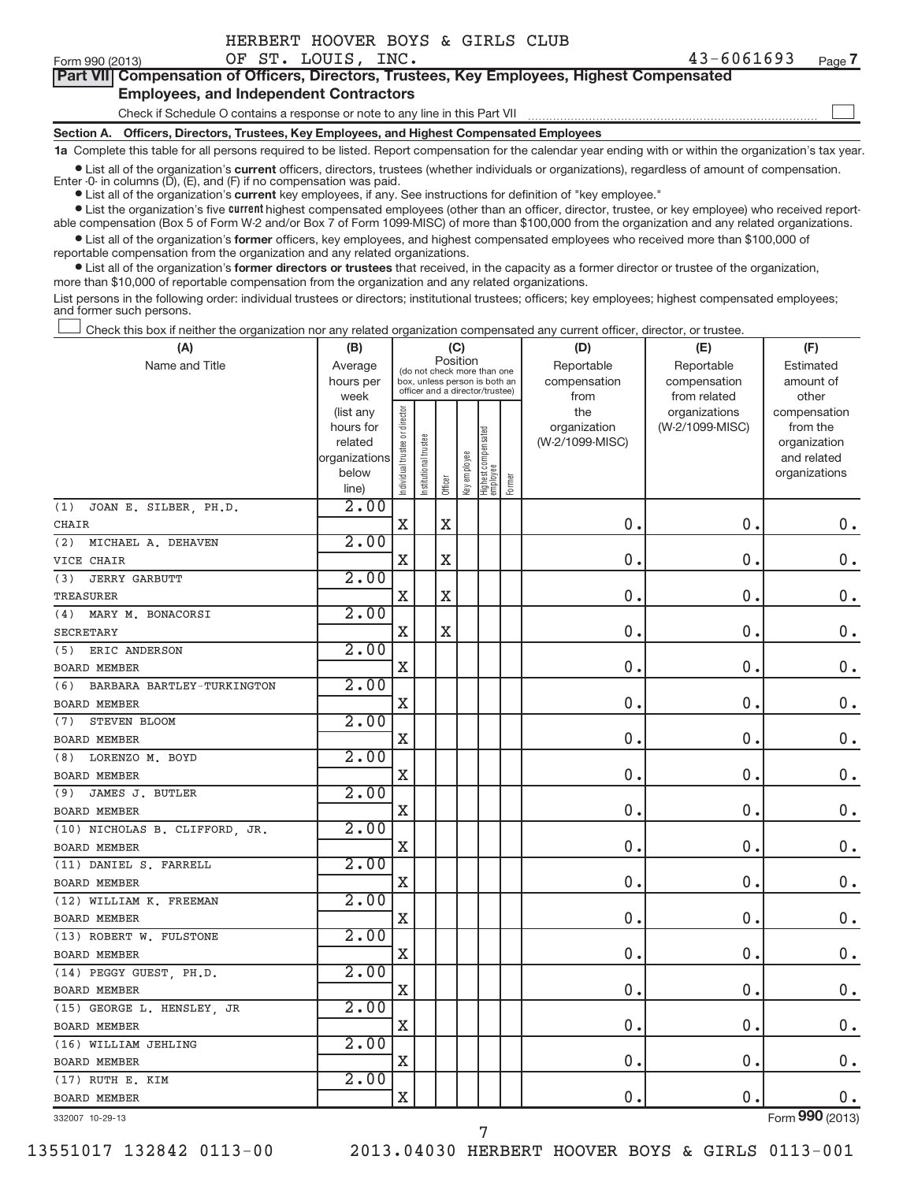-

#### **Part VII Compensation of Officers, Directors, Trustees, Key Employees, Highest CompensatedEmployees, and Independent Contractors**

## Check if Schedule O contains a response or note to any line in this Part VII

**Section A. Officers, Directors, Trustees, Key Employees, and Highest Compensated Employees**

**1a** Complete this table for all persons required to be listed. Report compensation for the calendar year ending with or within the organization's tax year.

● List all of the organization's **current** officers, directors, trustees (whether individuals or organizations), regardless of amount of compensation.<br>Enter -0- in columns (D), (E), and (F) if no compensation was paid.

**Example I** List all of the organization's **current** key employees, if any. See instructions for definition of "key employee."

● List the organization's five current highest compensated employees (other than an officer, director, trustee, or key employee) who received reportable compensation (Box 5 of Form W-2 and/or Box 7 of Form 1099-MISC) of more than \$100,000 from the organization and any related organizations.

● List all of the organization's former officers, key employees, and highest compensated employees who received more than \$100,000 of reportable compensation from the organization and any related organizations.

**•** List all of the organization's former directors or trustees that received, in the capacity as a former director or trustee of the organization, more than \$10,000 of reportable compensation from the organization and any related organizations.

List persons in the following order: individual trustees or directors; institutional trustees; officers; key employees; highest compensated employees; and former such persons.

Check this box if neither the organization nor any related organization compensated any current officer, director, or trustee. -

| (A)                               | (B)                    |                                |                                                                  |             | (C)          |                                 |        | (D)                 | (E)                              | (F)                      |
|-----------------------------------|------------------------|--------------------------------|------------------------------------------------------------------|-------------|--------------|---------------------------------|--------|---------------------|----------------------------------|--------------------------|
| Name and Title                    | Average                |                                | (do not check more than one                                      | Position    |              |                                 |        | Reportable          | Reportable                       | Estimated                |
|                                   | hours per              |                                | box, unless person is both an<br>officer and a director/trustee) |             |              |                                 |        | compensation        | compensation                     | amount of                |
|                                   | week                   |                                |                                                                  |             |              |                                 |        | from                | from related                     | other                    |
|                                   | (list any<br>hours for | Individual trustee or director |                                                                  |             |              |                                 |        | the<br>organization | organizations<br>(W-2/1099-MISC) | compensation<br>from the |
|                                   | related                |                                |                                                                  |             |              |                                 |        | (W-2/1099-MISC)     |                                  | organization             |
|                                   | organizations          |                                | nstitutional trustee                                             |             |              | Highest compensated<br>employee |        |                     |                                  | and related              |
|                                   | below                  |                                |                                                                  |             | Key employee |                                 |        |                     |                                  | organizations            |
|                                   | line)                  |                                |                                                                  | Officer     |              |                                 | Former |                     |                                  |                          |
| JOAN E. SILBER, PH.D.<br>(1)      | 2.00                   |                                |                                                                  |             |              |                                 |        |                     |                                  |                          |
| <b>CHAIR</b>                      |                        | $\mathbf X$                    |                                                                  | X           |              |                                 |        | 0.                  | 0.                               | 0.                       |
| MICHAEL A. DEHAVEN<br>(2)         | 2.00                   |                                |                                                                  |             |              |                                 |        |                     |                                  |                          |
| VICE CHAIR                        |                        | $\mathbf X$                    |                                                                  | $\mathbf X$ |              |                                 |        | 0.                  | 0.                               | $0$ .                    |
| <b>JERRY GARBUTT</b><br>(3)       | 2.00                   |                                |                                                                  |             |              |                                 |        |                     |                                  |                          |
| <b>TREASURER</b>                  |                        | $\mathbf X$                    |                                                                  | $\mathbf X$ |              |                                 |        | $\mathbf 0$         | 0                                | 0.                       |
| (4) MARY M. BONACORSI             | 2.00                   |                                |                                                                  |             |              |                                 |        |                     |                                  |                          |
| <b>SECRETARY</b>                  |                        | $\mathbf X$                    |                                                                  | $\mathbf X$ |              |                                 |        | 0.                  | 0.                               | 0.                       |
| (5)<br>ERIC ANDERSON              | 2.00                   |                                |                                                                  |             |              |                                 |        |                     |                                  |                          |
| <b>BOARD MEMBER</b>               |                        | $\mathbf X$                    |                                                                  |             |              |                                 |        | 0.                  | 0                                | 0.                       |
| BARBARA BARTLEY-TURKINGTON<br>(6) | 2.00                   |                                |                                                                  |             |              |                                 |        |                     |                                  |                          |
| <b>BOARD MEMBER</b>               |                        | $\mathbf X$                    |                                                                  |             |              |                                 |        | 0.                  | 0.                               | $0$ .                    |
| STEVEN BLOOM<br>(7)               | 2.00                   |                                |                                                                  |             |              |                                 |        |                     |                                  |                          |
| <b>BOARD MEMBER</b>               |                        | $\mathbf X$                    |                                                                  |             |              |                                 |        | 0.                  | $\mathbf 0$                      | $0$ .                    |
| (8) LORENZO M. BOYD               | 2.00                   |                                |                                                                  |             |              |                                 |        |                     |                                  |                          |
| <b>BOARD MEMBER</b>               |                        | Χ                              |                                                                  |             |              |                                 |        | $\mathbf 0$         | 0.                               | 0.                       |
| JAMES J. BUTLER<br>(9)            | 2.00                   |                                |                                                                  |             |              |                                 |        |                     |                                  |                          |
| <b>BOARD MEMBER</b>               |                        | $\mathbf X$                    |                                                                  |             |              |                                 |        | 0.                  | 0.                               | $\mathbf 0$ .            |
| (10) NICHOLAS B. CLIFFORD, JR.    | 2.00                   |                                |                                                                  |             |              |                                 |        |                     |                                  |                          |
| <b>BOARD MEMBER</b>               |                        | $\mathbf X$                    |                                                                  |             |              |                                 |        | 0.                  | 0.                               | $0$ .                    |
| (11) DANIEL S. FARRELL            | 2.00                   |                                |                                                                  |             |              |                                 |        |                     |                                  |                          |
| <b>BOARD MEMBER</b>               |                        | $\mathbf X$                    |                                                                  |             |              |                                 |        | $\pmb{0}$           | $\pmb{0}$                        | $0$ .                    |
| (12) WILLIAM K. FREEMAN           | 2.00                   |                                |                                                                  |             |              |                                 |        |                     |                                  |                          |
| <b>BOARD MEMBER</b>               |                        | X                              |                                                                  |             |              |                                 |        | 0.                  | 0.                               | $\mathbf 0$ .            |
| (13) ROBERT W. FULSTONE           | 2.00                   |                                |                                                                  |             |              |                                 |        |                     |                                  |                          |
| <b>BOARD MEMBER</b>               |                        | X                              |                                                                  |             |              |                                 |        | 0.                  | 0.                               | $0$ .                    |
| (14) PEGGY GUEST, PH.D.           | 2.00                   |                                |                                                                  |             |              |                                 |        |                     |                                  |                          |
| <b>BOARD MEMBER</b>               |                        | $\mathbf X$                    |                                                                  |             |              |                                 |        | 0.                  | 0                                | $0$ .                    |
| (15) GEORGE L. HENSLEY, JR        | 2.00                   |                                |                                                                  |             |              |                                 |        |                     |                                  |                          |
| <b>BOARD MEMBER</b>               |                        | X                              |                                                                  |             |              |                                 |        | 0.                  | 0.                               | 0.                       |
| (16) WILLIAM JEHLING              | 2.00                   |                                |                                                                  |             |              |                                 |        |                     |                                  |                          |
| <b>BOARD MEMBER</b>               |                        | $\mathbf X$                    |                                                                  |             |              |                                 |        | 0.                  | 0.                               | $0$ .                    |
| (17) RUTH E. KIM                  | 2.00                   |                                |                                                                  |             |              |                                 |        |                     |                                  |                          |
| <b>BOARD MEMBER</b>               |                        | X                              |                                                                  |             |              |                                 |        | 0.                  | $\mathbf 0$                      | $0$ .                    |
| 332007 10-29-13                   |                        |                                |                                                                  |             |              |                                 |        |                     |                                  | Form 990 (2013)          |

7

332007 10-29-13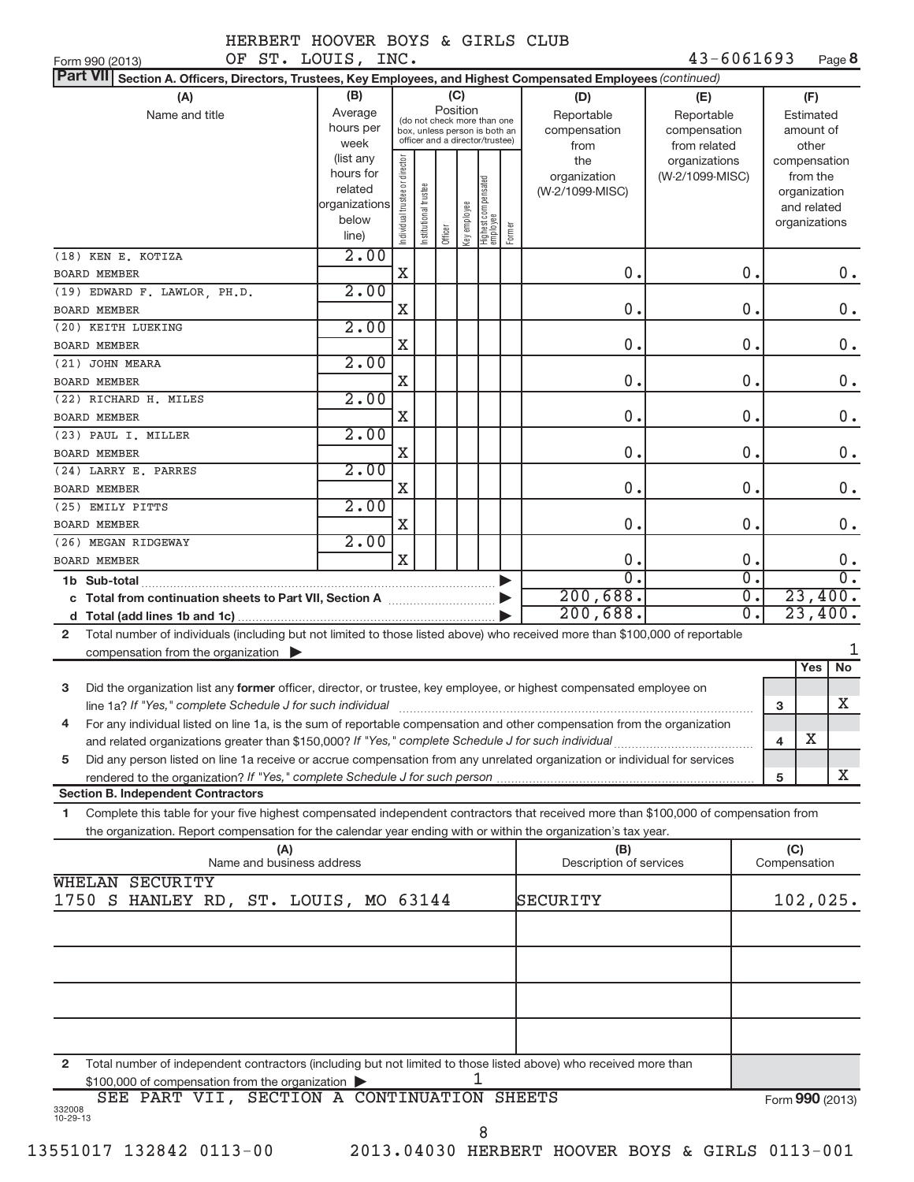Form 990 (2013) **DE ST. LOUIS, INC.** 43-6061693 Page 8

|  |  | OF ST. | LOUIS, | INC. |
|--|--|--------|--------|------|
|--|--|--------|--------|------|

| <b>Part VII</b><br>Section A. Officers, Directors, Trustees, Key Employees, and Highest Compensated Employees (continued)                      |                        |                                |                       |          |              |                                                              |        |                              |                  |   |               |                  |  |
|------------------------------------------------------------------------------------------------------------------------------------------------|------------------------|--------------------------------|-----------------------|----------|--------------|--------------------------------------------------------------|--------|------------------------------|------------------|---|---------------|------------------|--|
| (A)                                                                                                                                            | (B)                    |                                |                       | (C)      |              |                                                              |        | (D)                          | (E)              |   | (F)           |                  |  |
| Name and title                                                                                                                                 | Average                |                                |                       | Position |              |                                                              |        | Reportable                   | Reportable       |   | Estimated     |                  |  |
|                                                                                                                                                | hours per              |                                |                       |          |              | (do not check more than one<br>box, unless person is both an |        | compensation<br>compensation |                  |   | amount of     |                  |  |
|                                                                                                                                                | week                   |                                |                       |          |              | officer and a director/trustee)                              |        | from                         | from related     |   | other         |                  |  |
|                                                                                                                                                | (list any              |                                |                       |          |              |                                                              |        | the                          | organizations    |   | compensation  |                  |  |
|                                                                                                                                                | hours for              |                                |                       |          |              |                                                              |        | organization                 | (W-2/1099-MISC)  |   | from the      |                  |  |
|                                                                                                                                                | related                |                                |                       |          |              |                                                              |        | (W-2/1099-MISC)              |                  |   | organization  |                  |  |
|                                                                                                                                                | organizations<br>below |                                |                       |          |              |                                                              |        |                              |                  |   | and related   |                  |  |
|                                                                                                                                                | line)                  | Individual trustee or director | Institutional trustee | Officer  | Key employee | Highest compensated<br>employee                              | Former |                              |                  |   | organizations |                  |  |
|                                                                                                                                                | 2.00                   |                                |                       |          |              |                                                              |        |                              |                  |   |               |                  |  |
| (18) KEN E. KOTIZA<br><b>BOARD MEMBER</b>                                                                                                      |                        | X                              |                       |          |              |                                                              |        | $\mathbf 0$ .                | 0.               |   |               | $0$ .            |  |
|                                                                                                                                                | 2.00                   |                                |                       |          |              |                                                              |        |                              |                  |   |               |                  |  |
| (19) EDWARD F. LAWLOR, PH.D.<br><b>BOARD MEMBER</b>                                                                                            |                        | X                              |                       |          |              |                                                              |        | 0.                           | 0.               |   |               | $0$ .            |  |
|                                                                                                                                                | 2.00                   |                                |                       |          |              |                                                              |        |                              |                  |   |               |                  |  |
| (20) KEITH LUEKING                                                                                                                             |                        | X                              |                       |          |              |                                                              |        | 0.                           | 0.               |   |               | $0$ .            |  |
| <b>BOARD MEMBER</b>                                                                                                                            |                        |                                |                       |          |              |                                                              |        |                              |                  |   |               |                  |  |
| (21) JOHN MEARA                                                                                                                                | 2.00                   |                                |                       |          |              |                                                              |        |                              |                  |   |               |                  |  |
| <b>BOARD MEMBER</b>                                                                                                                            |                        | $\mathbf X$                    |                       |          |              |                                                              |        | 0.                           | 0.               |   |               | $0$ .            |  |
| (22) RICHARD H. MILES                                                                                                                          | 2.00                   |                                |                       |          |              |                                                              |        |                              |                  |   |               |                  |  |
| <b>BOARD MEMBER</b>                                                                                                                            |                        | X                              |                       |          |              |                                                              |        | 0.                           | 0.               |   |               | $0$ .            |  |
| (23) PAUL I. MILLER                                                                                                                            | 2.00                   |                                |                       |          |              |                                                              |        | 0.                           | 0.               |   |               |                  |  |
| <b>BOARD MEMBER</b>                                                                                                                            | 2.00                   | X                              |                       |          |              |                                                              |        |                              |                  |   |               | $0$ .            |  |
| (24) LARRY E. PARRES<br><b>BOARD MEMBER</b>                                                                                                    |                        | X                              |                       |          |              |                                                              |        | 0.                           | 0.               |   |               | $0$ .            |  |
| (25) EMILY PITTS                                                                                                                               | 2.00                   |                                |                       |          |              |                                                              |        |                              |                  |   |               |                  |  |
| <b>BOARD MEMBER</b>                                                                                                                            |                        | $\mathbf X$                    |                       |          |              |                                                              |        | 0.                           | 0.               |   |               | $0$ .            |  |
| (26) MEGAN RIDGEWAY                                                                                                                            | 2.00                   |                                |                       |          |              |                                                              |        |                              |                  |   |               |                  |  |
| <b>BOARD MEMBER</b>                                                                                                                            |                        | $\mathbf x$                    |                       |          |              |                                                              |        | 0.                           | 0.               |   |               | $0$ .            |  |
| 1b Sub-total                                                                                                                                   |                        |                                |                       |          |              |                                                              |        | $\Omega$ .                   | $\overline{0}$ . |   |               | $\overline{0}$ . |  |
| c Total from continuation sheets to Part VII, Section A manufactured:                                                                          |                        |                                |                       |          |              |                                                              |        | 200,688.                     | $\overline{0}$ . |   | 23,400.       |                  |  |
| d                                                                                                                                              |                        |                                |                       |          |              |                                                              |        | 200,688.                     | $\overline{0}$ . |   | 23,400.       |                  |  |
| Total number of individuals (including but not limited to those listed above) who received more than \$100,000 of reportable<br>$\overline{2}$ |                        |                                |                       |          |              |                                                              |        |                              |                  |   |               |                  |  |
| compensation from the organization $\blacktriangleright$                                                                                       |                        |                                |                       |          |              |                                                              |        |                              |                  |   |               |                  |  |
|                                                                                                                                                |                        |                                |                       |          |              |                                                              |        |                              |                  |   | Yes           | No               |  |
| Did the organization list any former officer, director, or trustee, key employee, or highest compensated employee on<br>3                      |                        |                                |                       |          |              |                                                              |        |                              |                  |   |               |                  |  |
| line 1a? If "Yes," complete Schedule J for such individual                                                                                     |                        |                                |                       |          |              |                                                              |        |                              |                  | 3 |               | х                |  |
| For any individual listed on line 1a, is the sum of reportable compensation and other compensation from the organization<br>4                  |                        |                                |                       |          |              |                                                              |        |                              |                  |   |               |                  |  |
|                                                                                                                                                |                        |                                |                       |          |              |                                                              |        |                              |                  | 4 | $\mathbf X$   |                  |  |
| Did any person listed on line 1a receive or accrue compensation from any unrelated organization or individual for services<br>5                |                        |                                |                       |          |              |                                                              |        |                              |                  |   |               |                  |  |
|                                                                                                                                                |                        |                                |                       |          |              |                                                              |        |                              |                  | 5 |               | X                |  |
| <b>Section B. Independent Contractors</b>                                                                                                      |                        |                                |                       |          |              |                                                              |        |                              |                  |   |               |                  |  |
| Complete this table for your five highest compensated independent contractors that received more than \$100,000 of compensation from<br>1      |                        |                                |                       |          |              |                                                              |        |                              |                  |   |               |                  |  |
| the organization. Report compensation for the calendar year ending with or within the organization's tax year.                                 |                        |                                |                       |          |              |                                                              |        |                              |                  |   |               |                  |  |
| (A)                                                                                                                                            |                        |                                |                       |          |              |                                                              |        | (B)                          |                  |   | (C)           |                  |  |
| Name and business address                                                                                                                      |                        |                                |                       |          |              |                                                              |        | Description of services      |                  |   | Compensation  |                  |  |
| WHELAN SECURITY                                                                                                                                |                        |                                |                       |          |              |                                                              |        |                              |                  |   |               |                  |  |
| 1750 S HANLEY RD, ST. LOUIS, MO 63144                                                                                                          |                        |                                |                       |          |              |                                                              |        | SECURITY                     |                  |   | 102,025.      |                  |  |
|                                                                                                                                                |                        |                                |                       |          |              |                                                              |        |                              |                  |   |               |                  |  |
|                                                                                                                                                |                        |                                |                       |          |              |                                                              |        |                              |                  |   |               |                  |  |
|                                                                                                                                                |                        |                                |                       |          |              |                                                              |        |                              |                  |   |               |                  |  |
|                                                                                                                                                |                        |                                |                       |          |              |                                                              |        |                              |                  |   |               |                  |  |
|                                                                                                                                                |                        |                                |                       |          |              |                                                              |        |                              |                  |   |               |                  |  |
|                                                                                                                                                |                        |                                |                       |          |              |                                                              |        |                              |                  |   |               |                  |  |
|                                                                                                                                                |                        |                                |                       |          |              |                                                              |        |                              |                  |   |               |                  |  |
| Total number of independent contractors (including but not limited to those listed above) who received more than                               |                        |                                |                       |          |              |                                                              |        |                              |                  |   |               |                  |  |
| 2<br>$$100,000$ of compensation from the organization                                                                                          |                        |                                |                       |          |              |                                                              |        |                              |                  |   |               |                  |  |

|                          |  | \$100,000 of compensation from the organization $\blacktriangleright$ |                                             |  |                 |
|--------------------------|--|-----------------------------------------------------------------------|---------------------------------------------|--|-----------------|
| 332008<br>$10 - 29 - 13$ |  |                                                                       | SEE PART VII, SECTION A CONTINUATION SHEETS |  | Form 990 (2013) |
|                          |  |                                                                       |                                             |  |                 |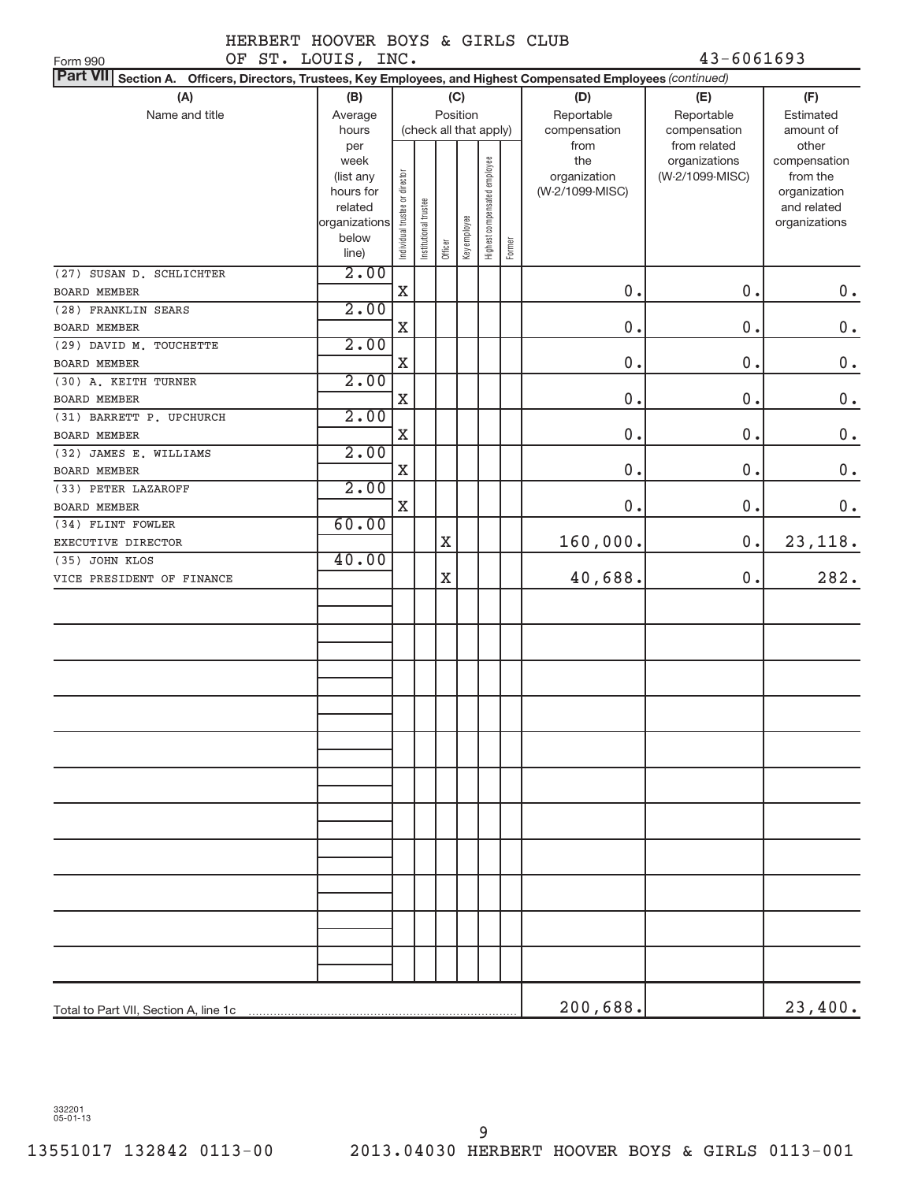OF ST. LOUIS, INC. 43-6061693

| OF ST. LOUIS, INC.<br>Form 990                                                                                            |                      |                                |                       |         |              |                              |        |                 | $43 - 6061693$  |                             |
|---------------------------------------------------------------------------------------------------------------------------|----------------------|--------------------------------|-----------------------|---------|--------------|------------------------------|--------|-----------------|-----------------|-----------------------------|
| <b>Part VII</b><br>Section A. Officers, Directors, Trustees, Key Employees, and Highest Compensated Employees (continued) |                      |                                |                       |         |              |                              |        |                 |                 |                             |
| (A)                                                                                                                       | (B)                  |                                |                       |         | (C)          |                              |        | (D)             | (E)             | (F)                         |
| Name and title                                                                                                            | Average              |                                |                       |         | Position     |                              |        | Reportable      | Reportable      | Estimated                   |
|                                                                                                                           | hours                |                                |                       |         |              | (check all that apply)       |        | compensation    | compensation    | amount of                   |
|                                                                                                                           | per                  |                                |                       |         |              |                              |        | from            | from related    | other                       |
|                                                                                                                           | week                 |                                |                       |         |              |                              |        | the             | organizations   | compensation                |
|                                                                                                                           | (list any            |                                |                       |         |              |                              |        | organization    | (W-2/1099-MISC) | from the                    |
|                                                                                                                           | hours for<br>related |                                |                       |         |              |                              |        | (W-2/1099-MISC) |                 | organization<br>and related |
|                                                                                                                           | organizations        |                                |                       |         |              |                              |        |                 |                 | organizations               |
|                                                                                                                           | below                | Individual trustee or director | Institutional trustee |         |              |                              |        |                 |                 |                             |
|                                                                                                                           | line)                |                                |                       | Officer | Key employee | Highest compensated employee | Former |                 |                 |                             |
| (27) SUSAN D. SCHLICHTER                                                                                                  | 2.00                 |                                |                       |         |              |                              |        |                 |                 |                             |
| <b>BOARD MEMBER</b>                                                                                                       |                      | $\mathbf X$                    |                       |         |              |                              |        | 0.              | 0.              | $0$ .                       |
| (28) FRANKLIN SEARS                                                                                                       | 2.00                 |                                |                       |         |              |                              |        |                 |                 |                             |
| <b>BOARD MEMBER</b>                                                                                                       |                      | $\mathbf X$                    |                       |         |              |                              |        | 0.              | 0.              | $0$ .                       |
| (29) DAVID M. TOUCHETTE                                                                                                   | 2.00                 |                                |                       |         |              |                              |        |                 |                 |                             |
| <b>BOARD MEMBER</b>                                                                                                       |                      | $\mathbf X$                    |                       |         |              |                              |        | 0.              | $0$ .           | $0$ .                       |
| (30) A. KEITH TURNER                                                                                                      | 2.00                 |                                |                       |         |              |                              |        |                 |                 |                             |
| <b>BOARD MEMBER</b>                                                                                                       |                      | X                              |                       |         |              |                              |        | 0.              | $0$ .           | $0$ .                       |
| (31) BARRETT P. UPCHURCH                                                                                                  | 2.00                 |                                |                       |         |              |                              |        |                 |                 |                             |
| <b>BOARD MEMBER</b>                                                                                                       |                      | $\mathbf X$                    |                       |         |              |                              |        | 0.              | 0.              | $0$ .                       |
| (32) JAMES E. WILLIAMS                                                                                                    | 2.00                 |                                |                       |         |              |                              |        |                 |                 |                             |
| <b>BOARD MEMBER</b>                                                                                                       |                      | $\mathbf X$                    |                       |         |              |                              |        | 0.              | 0.              | $0$ .                       |
| (33) PETER LAZAROFF                                                                                                       | 2.00                 |                                |                       |         |              |                              |        |                 |                 |                             |
| BOARD MEMBER                                                                                                              |                      | $\mathbf X$                    |                       |         |              |                              |        | 0.              | $0$ .           | $0$ .                       |
| (34) FLINT FOWLER                                                                                                         | 60.00                |                                |                       |         |              |                              |        |                 |                 |                             |
| EXECUTIVE DIRECTOR                                                                                                        |                      |                                |                       | X       |              |                              |        | 160,000.        | $0$ .           | 23, 118.                    |
| (35) JOHN KLOS                                                                                                            | 40.00                |                                |                       |         |              |                              |        |                 |                 |                             |
| VICE PRESIDENT OF FINANCE                                                                                                 |                      |                                |                       | X       |              |                              |        | 40,688.         | $0$ .           | 282.                        |
|                                                                                                                           |                      |                                |                       |         |              |                              |        |                 |                 |                             |
|                                                                                                                           |                      |                                |                       |         |              |                              |        |                 |                 |                             |
|                                                                                                                           |                      |                                |                       |         |              |                              |        |                 |                 |                             |
|                                                                                                                           |                      |                                |                       |         |              |                              |        |                 |                 |                             |
|                                                                                                                           |                      |                                |                       |         |              |                              |        |                 |                 |                             |
|                                                                                                                           |                      |                                |                       |         |              |                              |        |                 |                 |                             |
|                                                                                                                           |                      |                                |                       |         |              |                              |        |                 |                 |                             |
|                                                                                                                           |                      |                                |                       |         |              |                              |        |                 |                 |                             |
|                                                                                                                           |                      |                                |                       |         |              |                              |        |                 |                 |                             |
|                                                                                                                           |                      |                                |                       |         |              |                              |        |                 |                 |                             |
|                                                                                                                           |                      |                                |                       |         |              |                              |        |                 |                 |                             |
|                                                                                                                           |                      |                                |                       |         |              |                              |        |                 |                 |                             |
|                                                                                                                           |                      |                                |                       |         |              |                              |        |                 |                 |                             |
|                                                                                                                           |                      |                                |                       |         |              |                              |        |                 |                 |                             |
|                                                                                                                           |                      |                                |                       |         |              |                              |        |                 |                 |                             |
|                                                                                                                           |                      |                                |                       |         |              |                              |        |                 |                 |                             |
|                                                                                                                           |                      |                                |                       |         |              |                              |        |                 |                 |                             |
|                                                                                                                           |                      |                                |                       |         |              |                              |        |                 |                 |                             |
|                                                                                                                           |                      |                                |                       |         |              |                              |        |                 |                 |                             |
|                                                                                                                           |                      |                                |                       |         |              |                              |        |                 |                 |                             |
|                                                                                                                           |                      |                                |                       |         |              |                              |        |                 |                 |                             |
|                                                                                                                           |                      |                                |                       |         |              |                              |        | 200,688.        |                 | 23,400.                     |
| Total to Part VII, Section A, line 1c                                                                                     |                      |                                |                       |         |              |                              |        |                 |                 |                             |

332201 05-01-13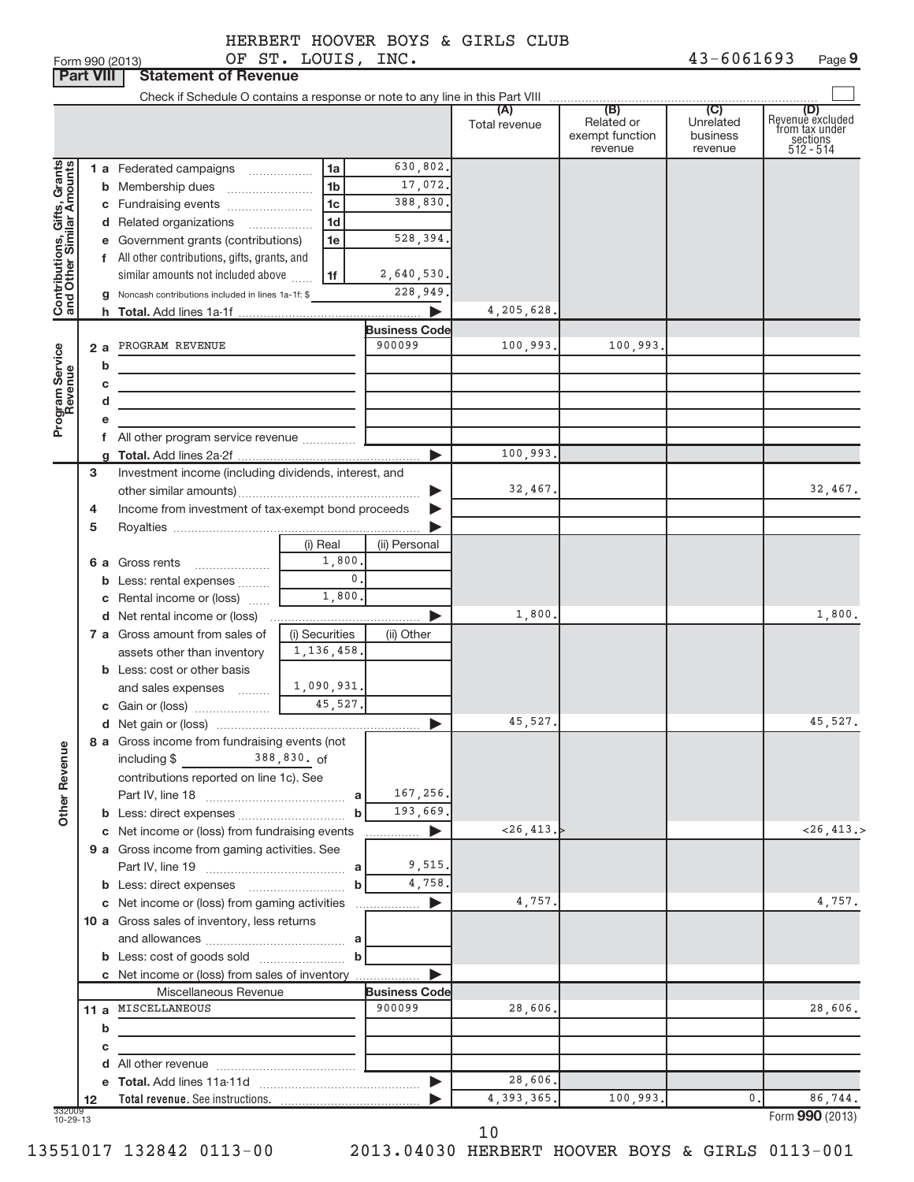| (A)<br>Total revenue<br>Contributions, Gifts, Grants<br>630,802.<br>1 a Federated campaigns<br>1a<br>17,072.<br>1 <sub>b</sub><br><b>b</b> Membership dues<br>388,830.<br>1 <sub>c</sub><br>1 <sub>d</sub><br>d Related organizations<br>.<br>528,394.<br>e Government grants (contributions)<br>1e<br>f All other contributions, gifts, grants, and<br>similar amounts not included above<br>2,640,530.<br>1f<br>228,949<br>g Noncash contributions included in lines 1a-1f: \$<br>4, 205, 628,<br><b>Business Code</b><br>900099<br>100,993.<br>PROGRAM REVENUE<br>Program Service<br>2a<br>b<br>c<br>d<br>f All other program service revenue<br>100,993.<br>Investment income (including dividends, interest, and<br>3<br>32,467.<br>Income from investment of tax-exempt bond proceeds<br>4<br>5<br>(i) Real<br>(ii) Personal<br>1,800,<br>6 a Gross rents<br>0.<br><b>b</b> Less: rental expenses<br>1,800.<br>c Rental income or (loss)<br>1,800<br>d Net rental income or (loss)<br>7 a Gross amount from sales of<br>(i) Securities<br>(ii) Other<br>1, 136, 458.<br>assets other than inventory<br><b>b</b> Less: cost or other basis<br>1,090,931.<br>and sales expenses [[11,11,11]<br>45,527.<br>8 a Gross income from fundraising events (not<br><b>Other Revenue</b><br>including \$<br>contributions reported on line 1c). See<br>167,256.<br>a<br>193,669.<br>$\mathbf b$<br>~126, 413.<br>c Net income or (loss) from fundraising events<br>▶<br>9 a Gross income from gaming activities. See<br>9,515.<br>a<br>4,758.<br>$\mathbf b$<br>4,757.<br>c Net income or (loss) from gaming activities<br>10 a Gross sales of inventory, less returns<br>$\mathbf b$ | (B)<br>Related or<br>exempt function<br>revenue | (C)<br>Unrelated<br>business<br>revenue | (D)<br>Revenue excluded<br>from tax under<br>sections<br>512 - 514 |
|----------------------------------------------------------------------------------------------------------------------------------------------------------------------------------------------------------------------------------------------------------------------------------------------------------------------------------------------------------------------------------------------------------------------------------------------------------------------------------------------------------------------------------------------------------------------------------------------------------------------------------------------------------------------------------------------------------------------------------------------------------------------------------------------------------------------------------------------------------------------------------------------------------------------------------------------------------------------------------------------------------------------------------------------------------------------------------------------------------------------------------------------------------------------------------------------------------------------------------------------------------------------------------------------------------------------------------------------------------------------------------------------------------------------------------------------------------------------------------------------------------------------------------------------------------------------------------------------------------------------------------------------------------------------------------|-------------------------------------------------|-----------------------------------------|--------------------------------------------------------------------|
|                                                                                                                                                                                                                                                                                                                                                                                                                                                                                                                                                                                                                                                                                                                                                                                                                                                                                                                                                                                                                                                                                                                                                                                                                                                                                                                                                                                                                                                                                                                                                                                                                                                                                  |                                                 |                                         |                                                                    |
|                                                                                                                                                                                                                                                                                                                                                                                                                                                                                                                                                                                                                                                                                                                                                                                                                                                                                                                                                                                                                                                                                                                                                                                                                                                                                                                                                                                                                                                                                                                                                                                                                                                                                  |                                                 |                                         |                                                                    |
|                                                                                                                                                                                                                                                                                                                                                                                                                                                                                                                                                                                                                                                                                                                                                                                                                                                                                                                                                                                                                                                                                                                                                                                                                                                                                                                                                                                                                                                                                                                                                                                                                                                                                  |                                                 |                                         |                                                                    |
|                                                                                                                                                                                                                                                                                                                                                                                                                                                                                                                                                                                                                                                                                                                                                                                                                                                                                                                                                                                                                                                                                                                                                                                                                                                                                                                                                                                                                                                                                                                                                                                                                                                                                  |                                                 |                                         |                                                                    |
|                                                                                                                                                                                                                                                                                                                                                                                                                                                                                                                                                                                                                                                                                                                                                                                                                                                                                                                                                                                                                                                                                                                                                                                                                                                                                                                                                                                                                                                                                                                                                                                                                                                                                  |                                                 |                                         |                                                                    |
|                                                                                                                                                                                                                                                                                                                                                                                                                                                                                                                                                                                                                                                                                                                                                                                                                                                                                                                                                                                                                                                                                                                                                                                                                                                                                                                                                                                                                                                                                                                                                                                                                                                                                  |                                                 |                                         |                                                                    |
|                                                                                                                                                                                                                                                                                                                                                                                                                                                                                                                                                                                                                                                                                                                                                                                                                                                                                                                                                                                                                                                                                                                                                                                                                                                                                                                                                                                                                                                                                                                                                                                                                                                                                  |                                                 |                                         |                                                                    |
|                                                                                                                                                                                                                                                                                                                                                                                                                                                                                                                                                                                                                                                                                                                                                                                                                                                                                                                                                                                                                                                                                                                                                                                                                                                                                                                                                                                                                                                                                                                                                                                                                                                                                  |                                                 |                                         |                                                                    |
|                                                                                                                                                                                                                                                                                                                                                                                                                                                                                                                                                                                                                                                                                                                                                                                                                                                                                                                                                                                                                                                                                                                                                                                                                                                                                                                                                                                                                                                                                                                                                                                                                                                                                  |                                                 |                                         |                                                                    |
|                                                                                                                                                                                                                                                                                                                                                                                                                                                                                                                                                                                                                                                                                                                                                                                                                                                                                                                                                                                                                                                                                                                                                                                                                                                                                                                                                                                                                                                                                                                                                                                                                                                                                  |                                                 |                                         |                                                                    |
|                                                                                                                                                                                                                                                                                                                                                                                                                                                                                                                                                                                                                                                                                                                                                                                                                                                                                                                                                                                                                                                                                                                                                                                                                                                                                                                                                                                                                                                                                                                                                                                                                                                                                  |                                                 |                                         |                                                                    |
|                                                                                                                                                                                                                                                                                                                                                                                                                                                                                                                                                                                                                                                                                                                                                                                                                                                                                                                                                                                                                                                                                                                                                                                                                                                                                                                                                                                                                                                                                                                                                                                                                                                                                  |                                                 |                                         |                                                                    |
|                                                                                                                                                                                                                                                                                                                                                                                                                                                                                                                                                                                                                                                                                                                                                                                                                                                                                                                                                                                                                                                                                                                                                                                                                                                                                                                                                                                                                                                                                                                                                                                                                                                                                  | 100,993.                                        |                                         |                                                                    |
|                                                                                                                                                                                                                                                                                                                                                                                                                                                                                                                                                                                                                                                                                                                                                                                                                                                                                                                                                                                                                                                                                                                                                                                                                                                                                                                                                                                                                                                                                                                                                                                                                                                                                  |                                                 |                                         |                                                                    |
|                                                                                                                                                                                                                                                                                                                                                                                                                                                                                                                                                                                                                                                                                                                                                                                                                                                                                                                                                                                                                                                                                                                                                                                                                                                                                                                                                                                                                                                                                                                                                                                                                                                                                  |                                                 |                                         |                                                                    |
|                                                                                                                                                                                                                                                                                                                                                                                                                                                                                                                                                                                                                                                                                                                                                                                                                                                                                                                                                                                                                                                                                                                                                                                                                                                                                                                                                                                                                                                                                                                                                                                                                                                                                  |                                                 |                                         |                                                                    |
|                                                                                                                                                                                                                                                                                                                                                                                                                                                                                                                                                                                                                                                                                                                                                                                                                                                                                                                                                                                                                                                                                                                                                                                                                                                                                                                                                                                                                                                                                                                                                                                                                                                                                  |                                                 |                                         |                                                                    |
|                                                                                                                                                                                                                                                                                                                                                                                                                                                                                                                                                                                                                                                                                                                                                                                                                                                                                                                                                                                                                                                                                                                                                                                                                                                                                                                                                                                                                                                                                                                                                                                                                                                                                  |                                                 |                                         |                                                                    |
|                                                                                                                                                                                                                                                                                                                                                                                                                                                                                                                                                                                                                                                                                                                                                                                                                                                                                                                                                                                                                                                                                                                                                                                                                                                                                                                                                                                                                                                                                                                                                                                                                                                                                  |                                                 |                                         |                                                                    |
|                                                                                                                                                                                                                                                                                                                                                                                                                                                                                                                                                                                                                                                                                                                                                                                                                                                                                                                                                                                                                                                                                                                                                                                                                                                                                                                                                                                                                                                                                                                                                                                                                                                                                  |                                                 |                                         |                                                                    |
|                                                                                                                                                                                                                                                                                                                                                                                                                                                                                                                                                                                                                                                                                                                                                                                                                                                                                                                                                                                                                                                                                                                                                                                                                                                                                                                                                                                                                                                                                                                                                                                                                                                                                  |                                                 |                                         | 32,467.                                                            |
|                                                                                                                                                                                                                                                                                                                                                                                                                                                                                                                                                                                                                                                                                                                                                                                                                                                                                                                                                                                                                                                                                                                                                                                                                                                                                                                                                                                                                                                                                                                                                                                                                                                                                  |                                                 |                                         |                                                                    |
|                                                                                                                                                                                                                                                                                                                                                                                                                                                                                                                                                                                                                                                                                                                                                                                                                                                                                                                                                                                                                                                                                                                                                                                                                                                                                                                                                                                                                                                                                                                                                                                                                                                                                  |                                                 |                                         |                                                                    |
|                                                                                                                                                                                                                                                                                                                                                                                                                                                                                                                                                                                                                                                                                                                                                                                                                                                                                                                                                                                                                                                                                                                                                                                                                                                                                                                                                                                                                                                                                                                                                                                                                                                                                  |                                                 |                                         |                                                                    |
|                                                                                                                                                                                                                                                                                                                                                                                                                                                                                                                                                                                                                                                                                                                                                                                                                                                                                                                                                                                                                                                                                                                                                                                                                                                                                                                                                                                                                                                                                                                                                                                                                                                                                  |                                                 |                                         |                                                                    |
|                                                                                                                                                                                                                                                                                                                                                                                                                                                                                                                                                                                                                                                                                                                                                                                                                                                                                                                                                                                                                                                                                                                                                                                                                                                                                                                                                                                                                                                                                                                                                                                                                                                                                  |                                                 |                                         |                                                                    |
|                                                                                                                                                                                                                                                                                                                                                                                                                                                                                                                                                                                                                                                                                                                                                                                                                                                                                                                                                                                                                                                                                                                                                                                                                                                                                                                                                                                                                                                                                                                                                                                                                                                                                  |                                                 |                                         |                                                                    |
|                                                                                                                                                                                                                                                                                                                                                                                                                                                                                                                                                                                                                                                                                                                                                                                                                                                                                                                                                                                                                                                                                                                                                                                                                                                                                                                                                                                                                                                                                                                                                                                                                                                                                  |                                                 |                                         | 1,800.                                                             |
|                                                                                                                                                                                                                                                                                                                                                                                                                                                                                                                                                                                                                                                                                                                                                                                                                                                                                                                                                                                                                                                                                                                                                                                                                                                                                                                                                                                                                                                                                                                                                                                                                                                                                  |                                                 |                                         |                                                                    |
|                                                                                                                                                                                                                                                                                                                                                                                                                                                                                                                                                                                                                                                                                                                                                                                                                                                                                                                                                                                                                                                                                                                                                                                                                                                                                                                                                                                                                                                                                                                                                                                                                                                                                  |                                                 |                                         |                                                                    |
|                                                                                                                                                                                                                                                                                                                                                                                                                                                                                                                                                                                                                                                                                                                                                                                                                                                                                                                                                                                                                                                                                                                                                                                                                                                                                                                                                                                                                                                                                                                                                                                                                                                                                  |                                                 |                                         |                                                                    |
|                                                                                                                                                                                                                                                                                                                                                                                                                                                                                                                                                                                                                                                                                                                                                                                                                                                                                                                                                                                                                                                                                                                                                                                                                                                                                                                                                                                                                                                                                                                                                                                                                                                                                  |                                                 |                                         |                                                                    |
|                                                                                                                                                                                                                                                                                                                                                                                                                                                                                                                                                                                                                                                                                                                                                                                                                                                                                                                                                                                                                                                                                                                                                                                                                                                                                                                                                                                                                                                                                                                                                                                                                                                                                  |                                                 |                                         |                                                                    |
|                                                                                                                                                                                                                                                                                                                                                                                                                                                                                                                                                                                                                                                                                                                                                                                                                                                                                                                                                                                                                                                                                                                                                                                                                                                                                                                                                                                                                                                                                                                                                                                                                                                                                  |                                                 |                                         | 45,527.                                                            |
|                                                                                                                                                                                                                                                                                                                                                                                                                                                                                                                                                                                                                                                                                                                                                                                                                                                                                                                                                                                                                                                                                                                                                                                                                                                                                                                                                                                                                                                                                                                                                                                                                                                                                  |                                                 |                                         |                                                                    |
|                                                                                                                                                                                                                                                                                                                                                                                                                                                                                                                                                                                                                                                                                                                                                                                                                                                                                                                                                                                                                                                                                                                                                                                                                                                                                                                                                                                                                                                                                                                                                                                                                                                                                  |                                                 |                                         |                                                                    |
|                                                                                                                                                                                                                                                                                                                                                                                                                                                                                                                                                                                                                                                                                                                                                                                                                                                                                                                                                                                                                                                                                                                                                                                                                                                                                                                                                                                                                                                                                                                                                                                                                                                                                  |                                                 |                                         |                                                                    |
|                                                                                                                                                                                                                                                                                                                                                                                                                                                                                                                                                                                                                                                                                                                                                                                                                                                                                                                                                                                                                                                                                                                                                                                                                                                                                                                                                                                                                                                                                                                                                                                                                                                                                  |                                                 |                                         |                                                                    |
|                                                                                                                                                                                                                                                                                                                                                                                                                                                                                                                                                                                                                                                                                                                                                                                                                                                                                                                                                                                                                                                                                                                                                                                                                                                                                                                                                                                                                                                                                                                                                                                                                                                                                  |                                                 |                                         |                                                                    |
|                                                                                                                                                                                                                                                                                                                                                                                                                                                                                                                                                                                                                                                                                                                                                                                                                                                                                                                                                                                                                                                                                                                                                                                                                                                                                                                                                                                                                                                                                                                                                                                                                                                                                  |                                                 |                                         | $<$ 26,413.>                                                       |
|                                                                                                                                                                                                                                                                                                                                                                                                                                                                                                                                                                                                                                                                                                                                                                                                                                                                                                                                                                                                                                                                                                                                                                                                                                                                                                                                                                                                                                                                                                                                                                                                                                                                                  |                                                 |                                         |                                                                    |
|                                                                                                                                                                                                                                                                                                                                                                                                                                                                                                                                                                                                                                                                                                                                                                                                                                                                                                                                                                                                                                                                                                                                                                                                                                                                                                                                                                                                                                                                                                                                                                                                                                                                                  |                                                 |                                         |                                                                    |
|                                                                                                                                                                                                                                                                                                                                                                                                                                                                                                                                                                                                                                                                                                                                                                                                                                                                                                                                                                                                                                                                                                                                                                                                                                                                                                                                                                                                                                                                                                                                                                                                                                                                                  |                                                 |                                         |                                                                    |
|                                                                                                                                                                                                                                                                                                                                                                                                                                                                                                                                                                                                                                                                                                                                                                                                                                                                                                                                                                                                                                                                                                                                                                                                                                                                                                                                                                                                                                                                                                                                                                                                                                                                                  |                                                 |                                         | 4,757.                                                             |
|                                                                                                                                                                                                                                                                                                                                                                                                                                                                                                                                                                                                                                                                                                                                                                                                                                                                                                                                                                                                                                                                                                                                                                                                                                                                                                                                                                                                                                                                                                                                                                                                                                                                                  |                                                 |                                         |                                                                    |
|                                                                                                                                                                                                                                                                                                                                                                                                                                                                                                                                                                                                                                                                                                                                                                                                                                                                                                                                                                                                                                                                                                                                                                                                                                                                                                                                                                                                                                                                                                                                                                                                                                                                                  |                                                 |                                         |                                                                    |
|                                                                                                                                                                                                                                                                                                                                                                                                                                                                                                                                                                                                                                                                                                                                                                                                                                                                                                                                                                                                                                                                                                                                                                                                                                                                                                                                                                                                                                                                                                                                                                                                                                                                                  |                                                 |                                         |                                                                    |
| c Net income or (loss) from sales of inventory                                                                                                                                                                                                                                                                                                                                                                                                                                                                                                                                                                                                                                                                                                                                                                                                                                                                                                                                                                                                                                                                                                                                                                                                                                                                                                                                                                                                                                                                                                                                                                                                                                   |                                                 |                                         |                                                                    |
| Miscellaneous Revenue<br><b>Business Code</b>                                                                                                                                                                                                                                                                                                                                                                                                                                                                                                                                                                                                                                                                                                                                                                                                                                                                                                                                                                                                                                                                                                                                                                                                                                                                                                                                                                                                                                                                                                                                                                                                                                    |                                                 |                                         |                                                                    |
| 11 a MISCELLANEOUS<br>900099<br>28,606.                                                                                                                                                                                                                                                                                                                                                                                                                                                                                                                                                                                                                                                                                                                                                                                                                                                                                                                                                                                                                                                                                                                                                                                                                                                                                                                                                                                                                                                                                                                                                                                                                                          |                                                 |                                         | 28,606.                                                            |
| b<br><u> 1989 - Jan Barnett, fransk politik (</u>                                                                                                                                                                                                                                                                                                                                                                                                                                                                                                                                                                                                                                                                                                                                                                                                                                                                                                                                                                                                                                                                                                                                                                                                                                                                                                                                                                                                                                                                                                                                                                                                                                |                                                 |                                         |                                                                    |
| с                                                                                                                                                                                                                                                                                                                                                                                                                                                                                                                                                                                                                                                                                                                                                                                                                                                                                                                                                                                                                                                                                                                                                                                                                                                                                                                                                                                                                                                                                                                                                                                                                                                                                |                                                 |                                         |                                                                    |
|                                                                                                                                                                                                                                                                                                                                                                                                                                                                                                                                                                                                                                                                                                                                                                                                                                                                                                                                                                                                                                                                                                                                                                                                                                                                                                                                                                                                                                                                                                                                                                                                                                                                                  |                                                 |                                         |                                                                    |
| 28,606.                                                                                                                                                                                                                                                                                                                                                                                                                                                                                                                                                                                                                                                                                                                                                                                                                                                                                                                                                                                                                                                                                                                                                                                                                                                                                                                                                                                                                                                                                                                                                                                                                                                                          |                                                 |                                         |                                                                    |
| 4,393,365.<br>12<br>332009<br>10-29-13                                                                                                                                                                                                                                                                                                                                                                                                                                                                                                                                                                                                                                                                                                                                                                                                                                                                                                                                                                                                                                                                                                                                                                                                                                                                                                                                                                                                                                                                                                                                                                                                                                           | 100,993.                                        | 0.                                      | 86,744.                                                            |

10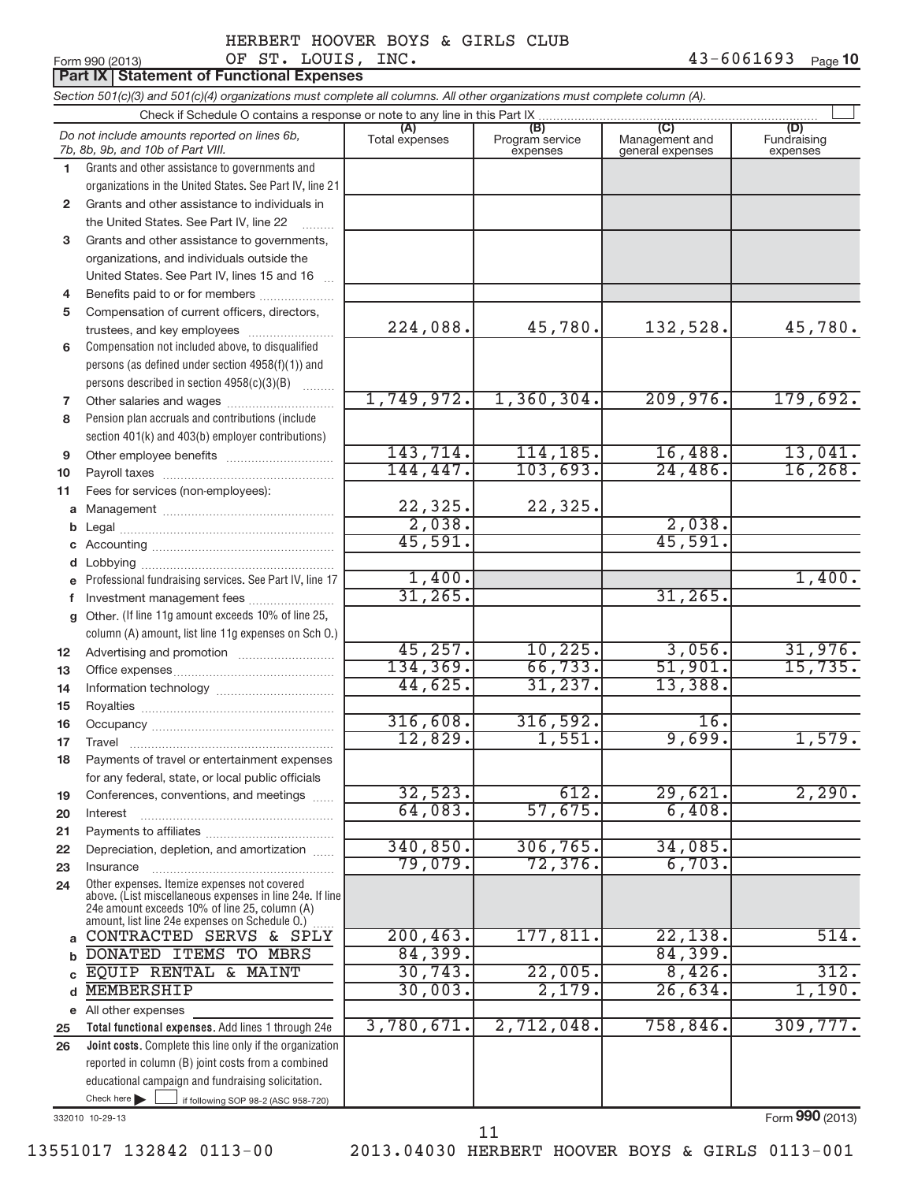**10**

#### Form 990 (2013) Page OF ST. LOUIS, INC.

|          | <b>Part IX   Statement of Functional Expenses</b>                                                                                                                                                                                    |                       |                                    |                                           |                                |  |  |  |  |  |
|----------|--------------------------------------------------------------------------------------------------------------------------------------------------------------------------------------------------------------------------------------|-----------------------|------------------------------------|-------------------------------------------|--------------------------------|--|--|--|--|--|
|          | Section 501(c)(3) and 501(c)(4) organizations must complete all columns. All other organizations must complete column (A).                                                                                                           |                       |                                    |                                           |                                |  |  |  |  |  |
|          | Check if Schedule O contains a response or note to any line in this Part IX                                                                                                                                                          |                       |                                    |                                           |                                |  |  |  |  |  |
|          | Do not include amounts reported on lines 6b,<br>7b, 8b, 9b, and 10b of Part VIII.                                                                                                                                                    | (A)<br>Total expenses | (B)<br>Program service<br>expenses | (C)<br>Management and<br>general expenses | (D)<br>Fundraising<br>expenses |  |  |  |  |  |
| 1        | Grants and other assistance to governments and                                                                                                                                                                                       |                       |                                    |                                           |                                |  |  |  |  |  |
|          | organizations in the United States. See Part IV, line 21                                                                                                                                                                             |                       |                                    |                                           |                                |  |  |  |  |  |
| 2        | Grants and other assistance to individuals in                                                                                                                                                                                        |                       |                                    |                                           |                                |  |  |  |  |  |
|          | the United States. See Part IV, line 22                                                                                                                                                                                              |                       |                                    |                                           |                                |  |  |  |  |  |
| 3        | Grants and other assistance to governments,                                                                                                                                                                                          |                       |                                    |                                           |                                |  |  |  |  |  |
|          | organizations, and individuals outside the                                                                                                                                                                                           |                       |                                    |                                           |                                |  |  |  |  |  |
|          | United States. See Part IV, lines 15 and 16                                                                                                                                                                                          |                       |                                    |                                           |                                |  |  |  |  |  |
| 4        | Benefits paid to or for members                                                                                                                                                                                                      |                       |                                    |                                           |                                |  |  |  |  |  |
| 5        | Compensation of current officers, directors,                                                                                                                                                                                         | 224,088.              | 45,780.                            | 132,528.                                  | 45,780.                        |  |  |  |  |  |
|          | trustees, and key employees<br>Compensation not included above, to disqualified                                                                                                                                                      |                       |                                    |                                           |                                |  |  |  |  |  |
| 6        | persons (as defined under section 4958(f)(1)) and                                                                                                                                                                                    |                       |                                    |                                           |                                |  |  |  |  |  |
|          | persons described in section 4958(c)(3)(B)                                                                                                                                                                                           |                       |                                    |                                           |                                |  |  |  |  |  |
| 7        |                                                                                                                                                                                                                                      | 1,749,972.            | 1,360,304.                         | 209,976.                                  | 179,692.                       |  |  |  |  |  |
| 8        | Pension plan accruals and contributions (include                                                                                                                                                                                     |                       |                                    |                                           |                                |  |  |  |  |  |
|          | section 401(k) and 403(b) employer contributions)                                                                                                                                                                                    |                       |                                    |                                           |                                |  |  |  |  |  |
| 9        |                                                                                                                                                                                                                                      | 143, 714.             | 114, 185.                          | 16,488.                                   | 13,041.                        |  |  |  |  |  |
| 10       |                                                                                                                                                                                                                                      | 144,447.              | 103,693.                           | 24,486.                                   | 16, 268.                       |  |  |  |  |  |
| 11       | Fees for services (non-employees):                                                                                                                                                                                                   |                       |                                    |                                           |                                |  |  |  |  |  |
| a        |                                                                                                                                                                                                                                      | 22,325.               | 22,325.                            |                                           |                                |  |  |  |  |  |
| b        |                                                                                                                                                                                                                                      | 2,038.                |                                    | 2,038.                                    |                                |  |  |  |  |  |
|          |                                                                                                                                                                                                                                      | 45,591.               |                                    | 45,591.                                   |                                |  |  |  |  |  |
| d        | Lobbying                                                                                                                                                                                                                             |                       |                                    |                                           |                                |  |  |  |  |  |
|          | Professional fundraising services. See Part IV, line 17                                                                                                                                                                              | 1,400.                |                                    |                                           | 1,400.                         |  |  |  |  |  |
| f        | Investment management fees                                                                                                                                                                                                           | 31, 265.              |                                    | 31, 265.                                  |                                |  |  |  |  |  |
| q        | Other. (If line 11g amount exceeds 10% of line 25,                                                                                                                                                                                   |                       |                                    |                                           |                                |  |  |  |  |  |
|          | column (A) amount, list line 11g expenses on Sch O.)                                                                                                                                                                                 |                       |                                    |                                           |                                |  |  |  |  |  |
| 12       |                                                                                                                                                                                                                                      | 45, 257.              | 10, 225.                           | 3,056.                                    | 31,976.                        |  |  |  |  |  |
| 13       |                                                                                                                                                                                                                                      | 134,369.              | 66, 733.                           | 51,901.                                   | 15,735.                        |  |  |  |  |  |
| 14       |                                                                                                                                                                                                                                      | 44,625.               | 31, 237.                           | 13,388.                                   |                                |  |  |  |  |  |
| 15       |                                                                                                                                                                                                                                      |                       |                                    |                                           |                                |  |  |  |  |  |
| 16       | Occupancy <u>with and the community of the community of the community of the community of the community of the community of the community of the community of the community of the community of the community of the community o</u> | 316,608.<br>12,829.   | 316,592.<br>1,551.                 | 16.<br>9,699.                             |                                |  |  |  |  |  |
| 17       | Travel                                                                                                                                                                                                                               |                       |                                    |                                           | 1,579.                         |  |  |  |  |  |
| 18       | Payments of travel or entertainment expenses                                                                                                                                                                                         |                       |                                    |                                           |                                |  |  |  |  |  |
|          | for any federal, state, or local public officials                                                                                                                                                                                    | 32,523.               | 612.                               | 29,621.                                   | 2,290.                         |  |  |  |  |  |
| 19       | Conferences, conventions, and meetings<br>Interest                                                                                                                                                                                   | 64,083.               | 57,675.                            | 6,408.                                    |                                |  |  |  |  |  |
| 20<br>21 |                                                                                                                                                                                                                                      |                       |                                    |                                           |                                |  |  |  |  |  |
| 22       | Depreciation, depletion, and amortization                                                                                                                                                                                            | 340, 850.             | 306, 765.                          | 34,085.                                   |                                |  |  |  |  |  |
| 23       | Insurance                                                                                                                                                                                                                            | 79,079.               | 72,376.                            | 6,703.                                    |                                |  |  |  |  |  |
| 24       | Other expenses. Itemize expenses not covered                                                                                                                                                                                         |                       |                                    |                                           |                                |  |  |  |  |  |
|          | above. (List miscellaneous expenses in line 24e. If line<br>24e amount exceeds 10% of line 25, column (A)                                                                                                                            |                       |                                    |                                           |                                |  |  |  |  |  |
|          | amount, list line 24e expenses on Schedule O.)                                                                                                                                                                                       |                       |                                    |                                           |                                |  |  |  |  |  |
| a        | CONTRACTED SERVS & SPLY                                                                                                                                                                                                              | 200, 463.             | 177,811.                           | 22,138.                                   | 514.                           |  |  |  |  |  |
| b        | DONATED ITEMS TO MBRS                                                                                                                                                                                                                | 84,399.               |                                    | 84,399.                                   |                                |  |  |  |  |  |
| C        | EQUIP RENTAL & MAINT                                                                                                                                                                                                                 | 30, 743.              | 22,005.                            | 8,426.                                    | 312.                           |  |  |  |  |  |
| d        | <b>MEMBERSHIP</b>                                                                                                                                                                                                                    | 30,003.               | 2,179.                             | 26,634.                                   | 1,190.                         |  |  |  |  |  |
|          | e All other expenses                                                                                                                                                                                                                 |                       |                                    |                                           |                                |  |  |  |  |  |
| 25       | Total functional expenses. Add lines 1 through 24e                                                                                                                                                                                   | 3,780,671.            | 2,712,048.                         | 758,846.                                  | 309,777.                       |  |  |  |  |  |
| 26       | Joint costs. Complete this line only if the organization                                                                                                                                                                             |                       |                                    |                                           |                                |  |  |  |  |  |
|          | reported in column (B) joint costs from a combined                                                                                                                                                                                   |                       |                                    |                                           |                                |  |  |  |  |  |
|          | educational campaign and fundraising solicitation.                                                                                                                                                                                   |                       |                                    |                                           |                                |  |  |  |  |  |
|          | Check here<br>if following SOP 98-2 (ASC 958-720)                                                                                                                                                                                    |                       |                                    |                                           |                                |  |  |  |  |  |

332010 10-29-13

13551017 132842 0113-00 2013.04030 HERBERT HOOVER BOYS & GIRLS 0113-001

11

Form **990** (2013)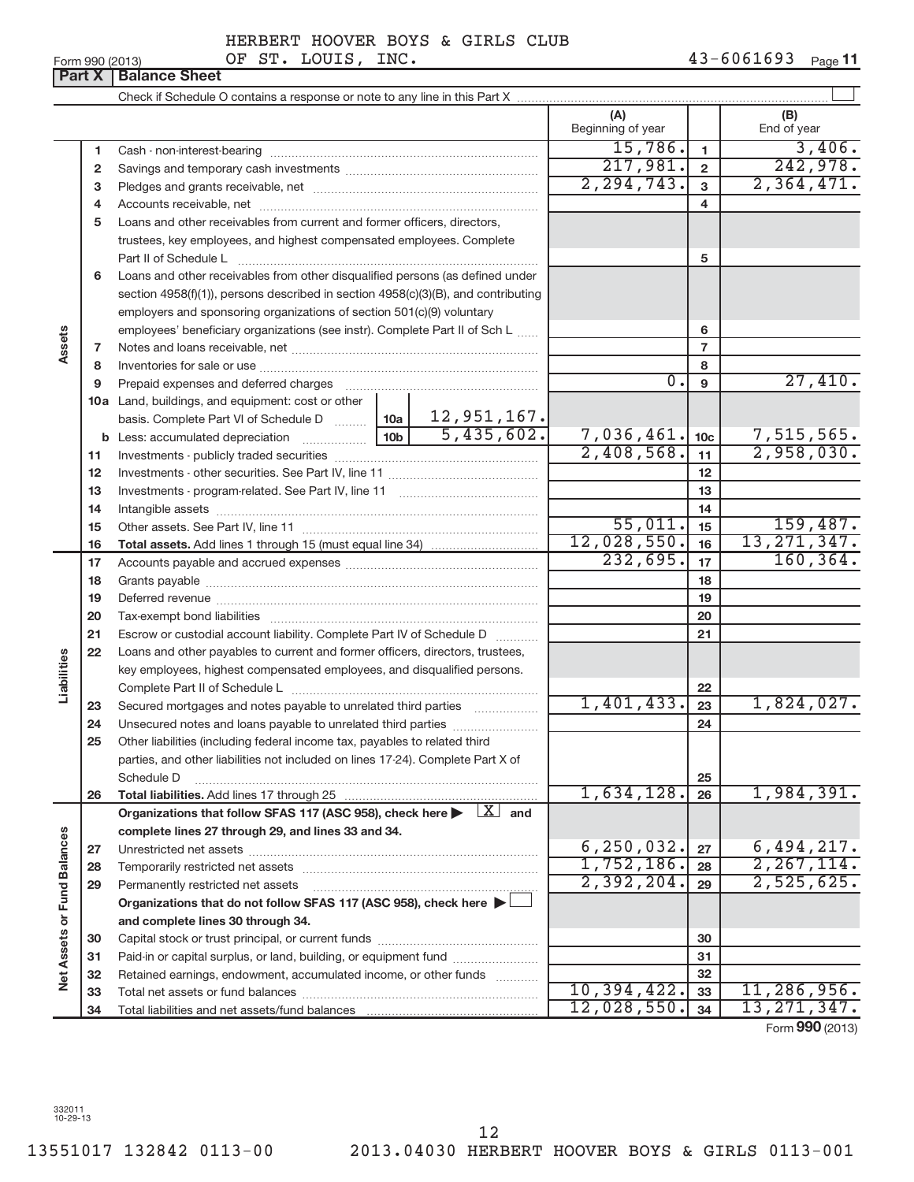Form 990 (2013)  $OF ST. LOUIS, INC.$ **11**

|                             | Part X       | <b>Balance Sheet</b>                                                                                                                                                                                                           |                          |                 |                            |
|-----------------------------|--------------|--------------------------------------------------------------------------------------------------------------------------------------------------------------------------------------------------------------------------------|--------------------------|-----------------|----------------------------|
|                             |              |                                                                                                                                                                                                                                |                          |                 |                            |
|                             |              |                                                                                                                                                                                                                                | (A)<br>Beginning of year |                 | (B)<br>End of year         |
|                             | 1            |                                                                                                                                                                                                                                | 15,786.                  | $\mathbf{1}$    | 3,406.                     |
|                             | $\mathbf{2}$ |                                                                                                                                                                                                                                | 217,981.                 | $\overline{2}$  | 242,978.                   |
|                             | 3            |                                                                                                                                                                                                                                | 2, 294, 743.             | $\mathbf{3}$    | 2,364,471.                 |
|                             | 4            |                                                                                                                                                                                                                                |                          | 4               |                            |
|                             | 5            | Loans and other receivables from current and former officers, directors,                                                                                                                                                       |                          |                 |                            |
|                             |              | trustees, key employees, and highest compensated employees. Complete                                                                                                                                                           |                          |                 |                            |
|                             |              | Part II of Schedule L                                                                                                                                                                                                          |                          | 5               |                            |
|                             | 6            | Loans and other receivables from other disqualified persons (as defined under                                                                                                                                                  |                          |                 |                            |
|                             |              | section 4958(f)(1)), persons described in section 4958(c)(3)(B), and contributing                                                                                                                                              |                          |                 |                            |
|                             |              | employers and sponsoring organizations of section 501(c)(9) voluntary                                                                                                                                                          |                          |                 |                            |
|                             |              | employees' beneficiary organizations (see instr). Complete Part II of Sch L                                                                                                                                                    |                          | 6               |                            |
| Assets                      | 7            |                                                                                                                                                                                                                                |                          | $\overline{7}$  |                            |
|                             | 8            |                                                                                                                                                                                                                                |                          | 8               |                            |
|                             | 9            | Prepaid expenses and deferred charges                                                                                                                                                                                          | 0.                       | 9               | 27,410.                    |
|                             |              | 10a Land, buildings, and equipment: cost or other                                                                                                                                                                              |                          |                 |                            |
|                             |              |                                                                                                                                                                                                                                |                          |                 |                            |
|                             |              | <b>b</b> Less: accumulated depreciation                                                                                                                                                                                        | 7,036,461.               | 10 <sub>c</sub> | $7,515,565.$<br>2,958,030. |
|                             | 11           |                                                                                                                                                                                                                                | 2,408,568.               | 11              |                            |
|                             | 12           |                                                                                                                                                                                                                                |                          | 12              |                            |
|                             | 13           |                                                                                                                                                                                                                                |                          | 13              |                            |
|                             | 14           |                                                                                                                                                                                                                                |                          | 14              |                            |
|                             | 15           |                                                                                                                                                                                                                                | 55,011.                  | 15              | 159,487.                   |
|                             | 16           |                                                                                                                                                                                                                                | 12,028,550.              | 16              | 13, 271, 347.              |
|                             | 17           |                                                                                                                                                                                                                                | 232,695.                 | 17              | 160, 364.                  |
|                             | 18           |                                                                                                                                                                                                                                |                          | 18              |                            |
|                             | 19           | Deferred revenue manual contracts and contracts are all the contracts and contracts are contracted and contracts are contracted and contract are contracted and contract are contracted and contract are contracted and contra |                          | 19              |                            |
|                             | 20           |                                                                                                                                                                                                                                |                          | 20              |                            |
|                             | 21           | Escrow or custodial account liability. Complete Part IV of Schedule D                                                                                                                                                          |                          | 21              |                            |
|                             | 22           | Loans and other payables to current and former officers, directors, trustees,                                                                                                                                                  |                          |                 |                            |
| Liabilities                 |              | key employees, highest compensated employees, and disqualified persons.                                                                                                                                                        |                          |                 |                            |
|                             |              |                                                                                                                                                                                                                                |                          | 22              | 1,824,027.                 |
|                             | 23           | Secured mortgages and notes payable to unrelated third parties                                                                                                                                                                 | 1,401,433.               | 23              |                            |
|                             | 24           |                                                                                                                                                                                                                                |                          | 24              |                            |
|                             | 25           | Other liabilities (including federal income tax, payables to related third                                                                                                                                                     |                          |                 |                            |
|                             |              | parties, and other liabilities not included on lines 17-24). Complete Part X of                                                                                                                                                |                          |                 |                            |
|                             |              | Schedule D                                                                                                                                                                                                                     | 1,634,128.               | 25              | 1,984,391.                 |
|                             | 26           | Total liabilities. Add lines 17 through 25<br>Organizations that follow SFAS 117 (ASC 958), check here $\blacktriangleright \begin{array}{c} \boxed{X} \end{array}$ and                                                        |                          | 26              |                            |
|                             |              | complete lines 27 through 29, and lines 33 and 34.                                                                                                                                                                             |                          |                 |                            |
|                             | 27           |                                                                                                                                                                                                                                | 6, 250, 032.             | 27              | 6,494,217.                 |
|                             | 28           | Temporarily restricted net assets                                                                                                                                                                                              | 1,752,186.               | 28              | 2, 267, 114.               |
|                             | 29           | Permanently restricted net assets                                                                                                                                                                                              | 2,392,204.               | 29              | 2,525,625.                 |
|                             |              | Organizations that do not follow SFAS 117 (ASC 958), check here ▶                                                                                                                                                              |                          |                 |                            |
|                             |              | and complete lines 30 through 34.                                                                                                                                                                                              |                          |                 |                            |
|                             | 30           |                                                                                                                                                                                                                                |                          | 30              |                            |
| Net Assets or Fund Balances | 31           | Paid-in or capital surplus, or land, building, or equipment fund                                                                                                                                                               |                          | 31              |                            |
|                             | 32           | Retained earnings, endowment, accumulated income, or other funds                                                                                                                                                               |                          | 32              |                            |
|                             | 33           |                                                                                                                                                                                                                                | 10,394,422.              | 33              | 11,286,956.                |
|                             | 34           |                                                                                                                                                                                                                                | 12,028,550.              | 34              | 13, 271, 347.              |
|                             |              |                                                                                                                                                                                                                                |                          |                 | Form 990 (2013)            |

332011 10-29-13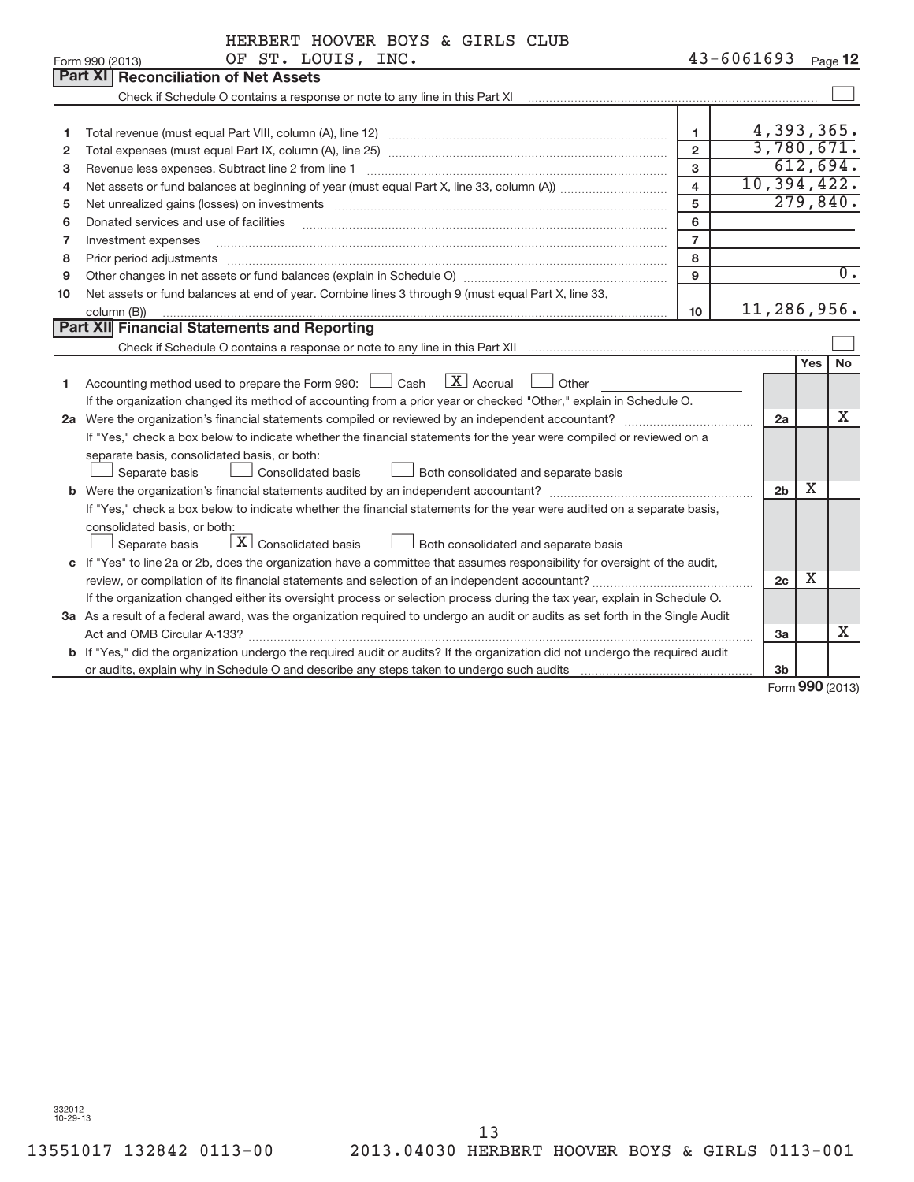|    | OF ST. LOUIS, INC.<br>Form 990 (2013)                                                                                                                                                                                                                                                                                                                                                                                                                                    |                         | $43 - 6061693$ | Page 12                     |                  |
|----|--------------------------------------------------------------------------------------------------------------------------------------------------------------------------------------------------------------------------------------------------------------------------------------------------------------------------------------------------------------------------------------------------------------------------------------------------------------------------|-------------------------|----------------|-----------------------------|------------------|
|    | <b>Part XI   Reconciliation of Net Assets</b>                                                                                                                                                                                                                                                                                                                                                                                                                            |                         |                |                             |                  |
|    | Check if Schedule O contains a response or note to any line in this Part XI [11] [12] Check if Schedule O contains a response or note to any line in this Part XI                                                                                                                                                                                                                                                                                                        |                         |                |                             |                  |
|    |                                                                                                                                                                                                                                                                                                                                                                                                                                                                          |                         |                |                             |                  |
| 1  |                                                                                                                                                                                                                                                                                                                                                                                                                                                                          | $\mathbf{1}$            | 4,393,365.     |                             |                  |
| 2  |                                                                                                                                                                                                                                                                                                                                                                                                                                                                          | $\overline{2}$          | 3,780,671.     |                             |                  |
| 3  | Revenue less expenses. Subtract line 2 from line 1                                                                                                                                                                                                                                                                                                                                                                                                                       | 3                       |                | 612,694.                    |                  |
| 4  |                                                                                                                                                                                                                                                                                                                                                                                                                                                                          | $\overline{\mathbf{4}}$ | 10, 394, 422.  |                             |                  |
| 5  | Net unrealized gains (losses) on investments [11] matter contracts and the state of the state of the state of the state of the state of the state of the state of the state of the state of the state of the state of the stat                                                                                                                                                                                                                                           | 5                       |                | 279,840.                    |                  |
| 6  | Donated services and use of facilities                                                                                                                                                                                                                                                                                                                                                                                                                                   | 6                       |                |                             |                  |
| 7  | Investment expenses                                                                                                                                                                                                                                                                                                                                                                                                                                                      | $\overline{7}$          |                |                             |                  |
| 8  | Prior period adjustments<br>$\begin{minipage}{0.5\textwidth} \begin{tabular}{ l l l } \hline \multicolumn{1}{ l l } \hline \multicolumn{1}{ l } \multicolumn{1}{ l } \multicolumn{1}{ l } \multicolumn{1}{ l } \multicolumn{1}{ l } \multicolumn{1}{ l } \multicolumn{1}{ l } \multicolumn{1}{ l } \multicolumn{1}{ l } \multicolumn{1}{ l } \multicolumn{1}{ l } \multicolumn{1}{ l } \multicolumn{1}{ l } \multicolumn{1}{ l } \multicolumn{1}{ l } \multicolumn{1}{ $ | 8                       |                |                             |                  |
| 9  |                                                                                                                                                                                                                                                                                                                                                                                                                                                                          | $\mathbf{Q}$            |                |                             | $\overline{0}$ . |
| 10 | Net assets or fund balances at end of year. Combine lines 3 through 9 (must equal Part X, line 33,                                                                                                                                                                                                                                                                                                                                                                       |                         |                |                             |                  |
|    | column (B))                                                                                                                                                                                                                                                                                                                                                                                                                                                              | 10                      | 11,286,956.    |                             |                  |
|    | Part XII Financial Statements and Reporting                                                                                                                                                                                                                                                                                                                                                                                                                              |                         |                |                             |                  |
|    |                                                                                                                                                                                                                                                                                                                                                                                                                                                                          |                         |                |                             |                  |
|    |                                                                                                                                                                                                                                                                                                                                                                                                                                                                          |                         |                | <b>No</b><br><b>Yes</b>     |                  |
| 1  | $\mathbf{X}$ Accrual<br>Accounting method used to prepare the Form 990: $\Box$ Cash<br>Other                                                                                                                                                                                                                                                                                                                                                                             |                         |                |                             |                  |
|    | If the organization changed its method of accounting from a prior year or checked "Other," explain in Schedule O.                                                                                                                                                                                                                                                                                                                                                        |                         |                |                             |                  |
|    |                                                                                                                                                                                                                                                                                                                                                                                                                                                                          |                         | 2a             | x                           |                  |
|    | If "Yes," check a box below to indicate whether the financial statements for the year were compiled or reviewed on a                                                                                                                                                                                                                                                                                                                                                     |                         |                |                             |                  |
|    | separate basis, consolidated basis, or both:                                                                                                                                                                                                                                                                                                                                                                                                                             |                         |                |                             |                  |
|    | Both consolidated and separate basis<br>Separate basis<br>Consolidated basis                                                                                                                                                                                                                                                                                                                                                                                             |                         |                |                             |                  |
|    |                                                                                                                                                                                                                                                                                                                                                                                                                                                                          |                         | 2 <sub>b</sub> | Χ                           |                  |
|    | If "Yes," check a box below to indicate whether the financial statements for the year were audited on a separate basis,                                                                                                                                                                                                                                                                                                                                                  |                         |                |                             |                  |
|    | consolidated basis, or both:                                                                                                                                                                                                                                                                                                                                                                                                                                             |                         |                |                             |                  |
|    | $\boxed{\textbf{X}}$ Consolidated basis<br>Both consolidated and separate basis<br>Separate basis                                                                                                                                                                                                                                                                                                                                                                        |                         |                |                             |                  |
|    | c If "Yes" to line 2a or 2b, does the organization have a committee that assumes responsibility for oversight of the audit,                                                                                                                                                                                                                                                                                                                                              |                         |                |                             |                  |
|    |                                                                                                                                                                                                                                                                                                                                                                                                                                                                          |                         | 2 <sub>c</sub> | Χ                           |                  |
|    | If the organization changed either its oversight process or selection process during the tax year, explain in Schedule O.                                                                                                                                                                                                                                                                                                                                                |                         |                |                             |                  |
|    | 3a As a result of a federal award, was the organization required to undergo an audit or audits as set forth in the Single Audit                                                                                                                                                                                                                                                                                                                                          |                         |                |                             |                  |
|    |                                                                                                                                                                                                                                                                                                                                                                                                                                                                          |                         | 3a             | Χ                           |                  |
|    | b If "Yes," did the organization undergo the required audit or audits? If the organization did not undergo the required audit                                                                                                                                                                                                                                                                                                                                            |                         |                |                             |                  |
|    |                                                                                                                                                                                                                                                                                                                                                                                                                                                                          |                         | 3b             |                             |                  |
|    |                                                                                                                                                                                                                                                                                                                                                                                                                                                                          |                         |                | $F_{\text{orm}}$ 990 (2013) |                  |

Form (2013) **990**

332012 10-29-13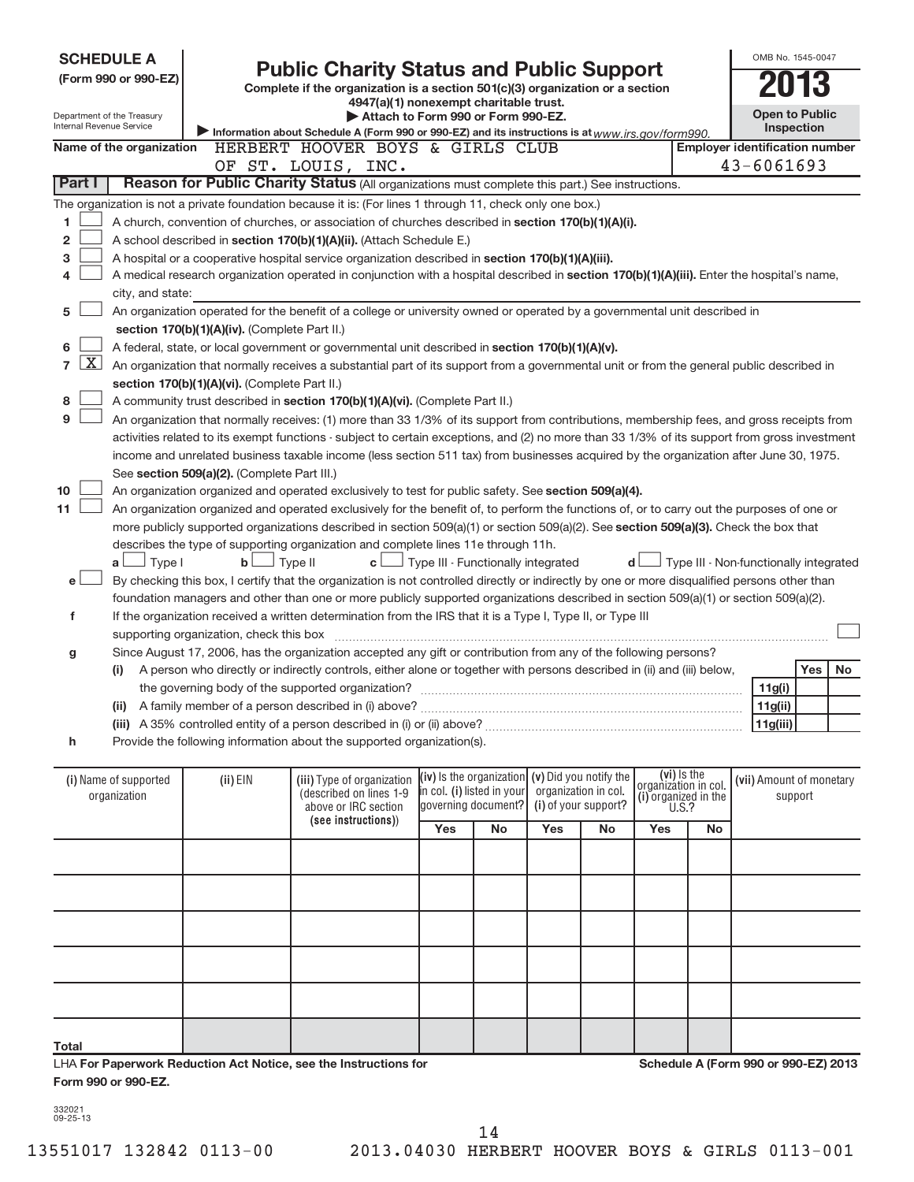| Internal Revenue Service       | <b>SCHEDULE A</b><br>(Form 990 or 990-EZ)<br>Department of the Treasury                                                                       |                                               | <b>Public Charity Status and Public Support</b><br>Complete if the organization is a section 501(c)(3) organization or a section<br>4947(a)(1) nonexempt charitable trust.<br>Attach to Form 990 or Form 990-EZ.<br>Information about Schedule A (Form 990 or 990-EZ) and its instructions is at www.irs.gov/form990. |                                                   |                     |                      |                      |                                     |    | OMB No. 1545-0047<br><b>Open to Public</b> | <b>Inspection</b> |     |
|--------------------------------|-----------------------------------------------------------------------------------------------------------------------------------------------|-----------------------------------------------|-----------------------------------------------------------------------------------------------------------------------------------------------------------------------------------------------------------------------------------------------------------------------------------------------------------------------|---------------------------------------------------|---------------------|----------------------|----------------------|-------------------------------------|----|--------------------------------------------|-------------------|-----|
|                                | Name of the organization                                                                                                                      |                                               | HERBERT HOOVER BOYS & GIRLS CLUB                                                                                                                                                                                                                                                                                      |                                                   |                     |                      |                      |                                     |    | <b>Employer identification number</b>      |                   |     |
|                                |                                                                                                                                               |                                               | OF ST. LOUIS, INC.                                                                                                                                                                                                                                                                                                    |                                                   |                     |                      |                      |                                     |    | $43 - 6061693$                             |                   |     |
| Part I                         |                                                                                                                                               |                                               | Reason for Public Charity Status (All organizations must complete this part.) See instructions.                                                                                                                                                                                                                       |                                                   |                     |                      |                      |                                     |    |                                            |                   |     |
|                                |                                                                                                                                               |                                               | The organization is not a private foundation because it is: (For lines 1 through 11, check only one box.)                                                                                                                                                                                                             |                                                   |                     |                      |                      |                                     |    |                                            |                   |     |
| 1                              |                                                                                                                                               |                                               | A church, convention of churches, or association of churches described in section 170(b)(1)(A)(i).                                                                                                                                                                                                                    |                                                   |                     |                      |                      |                                     |    |                                            |                   |     |
| 2                              |                                                                                                                                               |                                               | A school described in section 170(b)(1)(A)(ii). (Attach Schedule E.)                                                                                                                                                                                                                                                  |                                                   |                     |                      |                      |                                     |    |                                            |                   |     |
| 3                              |                                                                                                                                               |                                               | A hospital or a cooperative hospital service organization described in section 170(b)(1)(A)(iii).                                                                                                                                                                                                                     |                                                   |                     |                      |                      |                                     |    |                                            |                   |     |
| 4                              |                                                                                                                                               |                                               | A medical research organization operated in conjunction with a hospital described in section 170(b)(1)(A)(iii). Enter the hospital's name,                                                                                                                                                                            |                                                   |                     |                      |                      |                                     |    |                                            |                   |     |
|                                | city, and state:                                                                                                                              |                                               |                                                                                                                                                                                                                                                                                                                       |                                                   |                     |                      |                      |                                     |    |                                            |                   |     |
| 5                              |                                                                                                                                               |                                               | An organization operated for the benefit of a college or university owned or operated by a governmental unit described in                                                                                                                                                                                             |                                                   |                     |                      |                      |                                     |    |                                            |                   |     |
|                                |                                                                                                                                               | section 170(b)(1)(A)(iv). (Complete Part II.) |                                                                                                                                                                                                                                                                                                                       |                                                   |                     |                      |                      |                                     |    |                                            |                   |     |
| 6                              |                                                                                                                                               |                                               | A federal, state, or local government or governmental unit described in section 170(b)(1)(A)(v).                                                                                                                                                                                                                      |                                                   |                     |                      |                      |                                     |    |                                            |                   |     |
| $\mathbf{X}$<br>$\overline{7}$ |                                                                                                                                               |                                               | An organization that normally receives a substantial part of its support from a governmental unit or from the general public described in                                                                                                                                                                             |                                                   |                     |                      |                      |                                     |    |                                            |                   |     |
|                                |                                                                                                                                               | section 170(b)(1)(A)(vi). (Complete Part II.) |                                                                                                                                                                                                                                                                                                                       |                                                   |                     |                      |                      |                                     |    |                                            |                   |     |
| 8                              | A community trust described in section 170(b)(1)(A)(vi). (Complete Part II.)                                                                  |                                               |                                                                                                                                                                                                                                                                                                                       |                                                   |                     |                      |                      |                                     |    |                                            |                   |     |
| 9                              | An organization that normally receives: (1) more than 33 1/3% of its support from contributions, membership fees, and gross receipts from     |                                               |                                                                                                                                                                                                                                                                                                                       |                                                   |                     |                      |                      |                                     |    |                                            |                   |     |
|                                | activities related to its exempt functions - subject to certain exceptions, and (2) no more than 33 1/3% of its support from gross investment |                                               |                                                                                                                                                                                                                                                                                                                       |                                                   |                     |                      |                      |                                     |    |                                            |                   |     |
|                                |                                                                                                                                               |                                               | income and unrelated business taxable income (less section 511 tax) from businesses acquired by the organization after June 30, 1975.                                                                                                                                                                                 |                                                   |                     |                      |                      |                                     |    |                                            |                   |     |
|                                |                                                                                                                                               | See section 509(a)(2). (Complete Part III.)   |                                                                                                                                                                                                                                                                                                                       |                                                   |                     |                      |                      |                                     |    |                                            |                   |     |
| 10                             |                                                                                                                                               |                                               | An organization organized and operated exclusively to test for public safety. See section 509(a)(4).                                                                                                                                                                                                                  |                                                   |                     |                      |                      |                                     |    |                                            |                   |     |
| 11                             |                                                                                                                                               |                                               | An organization organized and operated exclusively for the benefit of, to perform the functions of, or to carry out the purposes of one or                                                                                                                                                                            |                                                   |                     |                      |                      |                                     |    |                                            |                   |     |
|                                |                                                                                                                                               |                                               | more publicly supported organizations described in section 509(a)(1) or section 509(a)(2). See section 509(a)(3). Check the box that                                                                                                                                                                                  |                                                   |                     |                      |                      |                                     |    |                                            |                   |     |
|                                |                                                                                                                                               |                                               | describes the type of supporting organization and complete lines 11e through 11h.                                                                                                                                                                                                                                     |                                                   |                     |                      |                      |                                     |    |                                            |                   |     |
|                                | $a \Box$ Type I                                                                                                                               | $\mathbf{b}$                                  | Type II<br>c <sub>1</sub>                                                                                                                                                                                                                                                                                             | Type III - Functionally integrated                |                     |                      |                      | d l                                 |    | Type III - Non-functionally integrated     |                   |     |
| e l                            |                                                                                                                                               |                                               | By checking this box, I certify that the organization is not controlled directly or indirectly by one or more disqualified persons other than                                                                                                                                                                         |                                                   |                     |                      |                      |                                     |    |                                            |                   |     |
|                                |                                                                                                                                               |                                               | foundation managers and other than one or more publicly supported organizations described in section 509(a)(1) or section 509(a)(2).                                                                                                                                                                                  |                                                   |                     |                      |                      |                                     |    |                                            |                   |     |
| f                              |                                                                                                                                               |                                               | If the organization received a written determination from the IRS that it is a Type I, Type II, or Type III                                                                                                                                                                                                           |                                                   |                     |                      |                      |                                     |    |                                            |                   |     |
|                                |                                                                                                                                               | supporting organization, check this box       |                                                                                                                                                                                                                                                                                                                       |                                                   |                     |                      |                      |                                     |    |                                            |                   |     |
| g                              |                                                                                                                                               |                                               | Since August 17, 2006, has the organization accepted any gift or contribution from any of the following persons?                                                                                                                                                                                                      |                                                   |                     |                      |                      |                                     |    |                                            |                   |     |
|                                | (i)                                                                                                                                           |                                               | A person who directly or indirectly controls, either alone or together with persons described in (ii) and (iii) below,                                                                                                                                                                                                |                                                   |                     |                      |                      |                                     |    |                                            | Yes               | No. |
|                                |                                                                                                                                               |                                               | the governing body of the supported organization?                                                                                                                                                                                                                                                                     |                                                   |                     |                      |                      |                                     |    | 11g(i)                                     |                   |     |
|                                |                                                                                                                                               |                                               | (ii) A family member of a person described in (i) above?                                                                                                                                                                                                                                                              |                                                   |                     |                      |                      |                                     |    | 11g(ii)                                    |                   |     |
|                                |                                                                                                                                               |                                               |                                                                                                                                                                                                                                                                                                                       |                                                   |                     |                      |                      |                                     |    | 11g(iii)                                   |                   |     |
| h                              |                                                                                                                                               |                                               | Provide the following information about the supported organization(s).                                                                                                                                                                                                                                                |                                                   |                     |                      |                      |                                     |    |                                            |                   |     |
|                                |                                                                                                                                               |                                               |                                                                                                                                                                                                                                                                                                                       |                                                   |                     |                      |                      |                                     |    |                                            |                   |     |
|                                | (i) Name of supported                                                                                                                         | (ii) EIN                                      | (iii) Type of organization                                                                                                                                                                                                                                                                                            | (iv) Is the organization $(v)$ Did you notify the |                     |                      |                      | (vi) is the<br>organizátion in col. |    | (vii) Amount of monetary                   |                   |     |
|                                | organization                                                                                                                                  |                                               | (described on lines 1-9                                                                                                                                                                                                                                                                                               | in col. (i) listed in your                        |                     | organization in col. |                      | (i) organized in the $U.S.$ ?       |    |                                            | support           |     |
|                                |                                                                                                                                               |                                               | above or IRC section<br>(see instructions))                                                                                                                                                                                                                                                                           |                                                   | governing document? |                      | (i) of your support? |                                     |    |                                            |                   |     |
|                                |                                                                                                                                               |                                               |                                                                                                                                                                                                                                                                                                                       | Yes                                               | <b>No</b>           | Yes                  | No                   | Yes                                 | No |                                            |                   |     |
|                                |                                                                                                                                               |                                               |                                                                                                                                                                                                                                                                                                                       |                                                   |                     |                      |                      |                                     |    |                                            |                   |     |
|                                |                                                                                                                                               |                                               |                                                                                                                                                                                                                                                                                                                       |                                                   |                     |                      |                      |                                     |    |                                            |                   |     |
|                                |                                                                                                                                               |                                               |                                                                                                                                                                                                                                                                                                                       |                                                   |                     |                      |                      |                                     |    |                                            |                   |     |
|                                |                                                                                                                                               |                                               |                                                                                                                                                                                                                                                                                                                       |                                                   |                     |                      |                      |                                     |    |                                            |                   |     |
|                                |                                                                                                                                               |                                               |                                                                                                                                                                                                                                                                                                                       |                                                   |                     |                      |                      |                                     |    |                                            |                   |     |
|                                |                                                                                                                                               |                                               |                                                                                                                                                                                                                                                                                                                       |                                                   |                     |                      |                      |                                     |    |                                            |                   |     |
|                                |                                                                                                                                               |                                               |                                                                                                                                                                                                                                                                                                                       |                                                   |                     |                      |                      |                                     |    |                                            |                   |     |

| -- | - - | . . |
|----|-----|-----|
|    |     |     |

**For Paperwork Reduction Act Notice, see the Instructions for** LHA **Form 990 or 990-EZ.**

**Schedule A (Form 990 or 990-EZ) 2013**

332021 09-25-13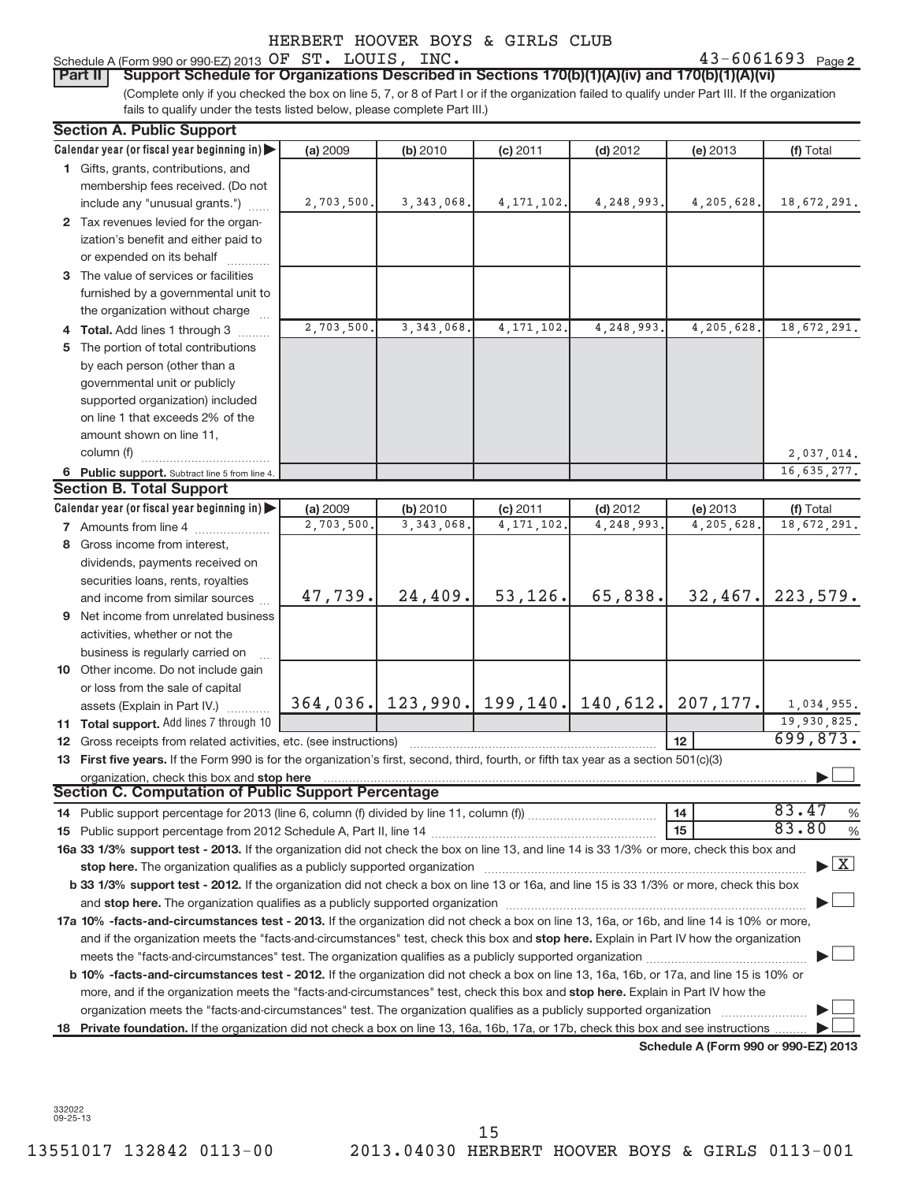## or expended on its behalf ..........

**3**The value of services or facilities furnished by a governmental unit to the organization without charge

**2** Tax revenues levied for the organ-

ization's benefit and either paid to

**Calendar year (or fiscal year beginning in)** |

membership fees received. (Do not  $include$  any "unusual grants.")  $\ldots$ 

**1**Gifts, grants, contributions, and

**Section A. Public Support**

- **4 Total.** Add lines 1 through 3  $\ldots$ ...
- **5** The portion of total contributions by each person (other than a governmental unit or publicly supported organization) included on line 1 that exceeds 2% of the amount shown on line 11, column (f) ~~~~~~~~~~~~

#### 6 Public support. Subtract line 5 from line 4. **6Section B. Total Support**

|   | oconon D. Total oapport                                                                                                                                                                                                        |            |              |              |            |                                     |                        |  |  |
|---|--------------------------------------------------------------------------------------------------------------------------------------------------------------------------------------------------------------------------------|------------|--------------|--------------|------------|-------------------------------------|------------------------|--|--|
|   | Calendar year (or fiscal year beginning in) $\blacktriangleright$                                                                                                                                                              | (a) 2009   | (b) 2010     | $(c)$ 2011   | $(d)$ 2012 | (e) 2013                            | (f) Total              |  |  |
|   | 7 Amounts from line 4                                                                                                                                                                                                          | 2,703,500. | 3, 343, 068. | 4, 171, 102. | 4,248,993. | 4, 205, 628.                        | 18,672,291.            |  |  |
| 8 | Gross income from interest,                                                                                                                                                                                                    |            |              |              |            |                                     |                        |  |  |
|   | dividends, payments received on                                                                                                                                                                                                |            |              |              |            |                                     |                        |  |  |
|   | securities loans, rents, royalties                                                                                                                                                                                             |            |              |              |            |                                     |                        |  |  |
|   | and income from similar sources                                                                                                                                                                                                | 47,739.    | 24, 409.     | 53, 126.     | 65,838.    | 32,467.                             | 223,579.               |  |  |
| 9 | Net income from unrelated business                                                                                                                                                                                             |            |              |              |            |                                     |                        |  |  |
|   | activities, whether or not the                                                                                                                                                                                                 |            |              |              |            |                                     |                        |  |  |
|   | business is regularly carried on                                                                                                                                                                                               |            |              |              |            |                                     |                        |  |  |
|   | <b>10</b> Other income. Do not include gain                                                                                                                                                                                    |            |              |              |            |                                     |                        |  |  |
|   | or loss from the sale of capital                                                                                                                                                                                               |            |              |              |            |                                     |                        |  |  |
|   | assets (Explain in Part IV.)                                                                                                                                                                                                   | 364,036.   |              |              |            | 123,990. 199,140. 140,612. 207,177. | 1,034,955.             |  |  |
|   | <b>11 Total support.</b> Add lines 7 through 10                                                                                                                                                                                |            |              |              |            |                                     | 19,930,825.            |  |  |
|   | <b>12</b> Gross receipts from related activities, etc. (see instructions)                                                                                                                                                      |            |              |              |            | 12                                  | 699,873.               |  |  |
|   | 13 First five years. If the Form 990 is for the organization's first, second, third, fourth, or fifth tax year as a section 501(c)(3)                                                                                          |            |              |              |            |                                     |                        |  |  |
|   | organization, check this box and stop here                                                                                                                                                                                     |            |              |              |            |                                     |                        |  |  |
|   | <b>Section C. Computation of Public Support Percentage</b>                                                                                                                                                                     |            |              |              |            |                                     |                        |  |  |
|   |                                                                                                                                                                                                                                |            |              |              |            | 14                                  | 83.47<br>$\frac{0}{0}$ |  |  |
|   |                                                                                                                                                                                                                                |            |              |              |            | 15                                  | 83.80<br>$\frac{0}{0}$ |  |  |
|   | 16a 33 1/3% support test - 2013. If the organization did not check the box on line 13, and line 14 is 33 1/3% or more, check this box and                                                                                      |            |              |              |            |                                     |                        |  |  |
|   | $\blacktriangleright$ $\boxed{\text{X}}$<br>stop here. The organization qualifies as a publicly supported organization                                                                                                         |            |              |              |            |                                     |                        |  |  |
|   | <b>b 33 1/3% support test - 2012.</b> If the organization did not check a box on line 13 or 16a, and line 15 is 33 1/3% or more, check this box                                                                                |            |              |              |            |                                     |                        |  |  |
|   | and stop here. The organization qualifies as a publicly supported organization [11] manuscription [11] and stop here. The organization [11] and stop here. The organization [11] and stop here. The organization [11] and stop |            |              |              |            |                                     |                        |  |  |
|   | 17a 10% -facts-and-circumstances test - 2013. If the organization did not check a box on line 13, 16a, or 16b, and line 14 is 10% or more,                                                                                     |            |              |              |            |                                     |                        |  |  |
|   |                                                                                                                                                                                                                                |            |              |              |            |                                     |                        |  |  |

**b 10% -facts-and-circumstances test - 2012.** If the organization did not check a box on line 13, 16a, 16b, or 17a, and line 15 is 10% or more, and if the organization meets the "facts-and-circumstances" test, check this box and **stop here.** Explain in Part IV how the meets the "facts-and-circumstances" test. The organization qualifies as a publicly supported organization ~~~~~~~~~~~~~~~ | organization meets the "facts-and-circumstances" test. The organization qualifies as a publicly supported organization  $\ldots$ 

and if the organization meets the "facts-and-circumstances" test, check this box and **stop here.** Explain in Part IV how the organization

18 Private foundation. If the organization did not check a box on line 13, 16a, 16b, 17a, or 17b, check this box and see instructions .........

**Schedule A (Form 990 or 990-EZ) 2013**

. <u>| </u>

2,037,014. 16,635,277.

> . <u>| </u> . <u>| </u>

332022 09-25-13

Schedule A (Form 990 or 990-EZ) 2013  $OFST. LOUIS, INC.$ **Part II** Support Schedule for Organizations Described in Sections 170(b)(1)(A)(iv) and 170(b)(1)(A)(vi)

(Complete only if you checked the box on line 5, 7, or 8 of Part I or if the organization failed to qualify under Part III. If the organization fails to qualify under the tests listed below, please complete Part III.)

**(a)** 2009 **| (b)** 2010 **| (c)** 2011 **| (d)** 2012 **| (e)** 2013 **| (f)** 

2009 **| (b)** 2010 **| (c)** 2011 **| (d)** 2012 **| (e)** 2013 **| (f)** Total

2,703,500. 3,343,068. 4,171,102. 4,248,993. 4,205,628. 18,672,291.

2,703,500. 3,343,068. 4,171,102. 4,248,993. 4,205,628. 18,672,291.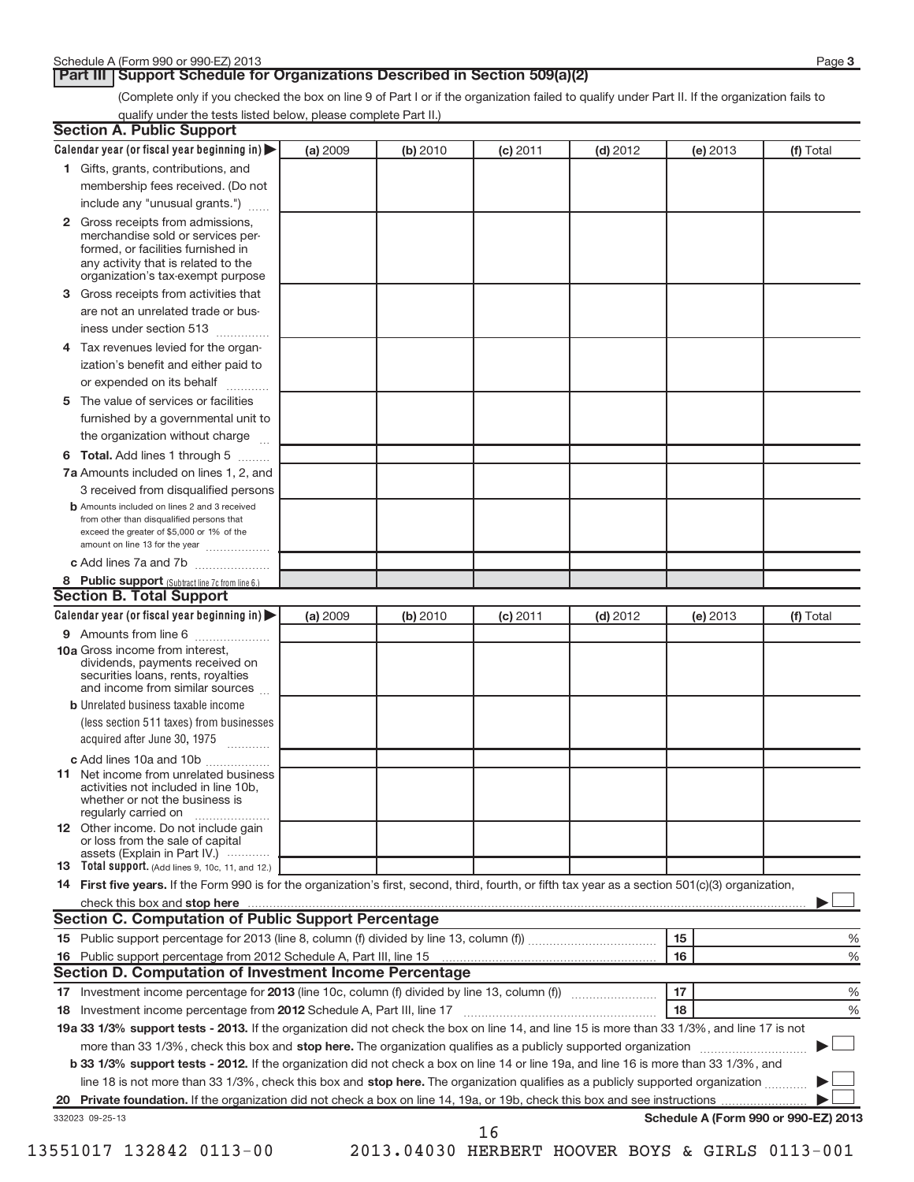**Part III | Support Schedule for Organizations Described in Section 509(a)(2)** 

(Complete only if you checked the box on line 9 of Part I or if the organization failed to qualify under Part II. If the organization fails to qualify under the tests listed below, please complete Part II.)

| <b>Section A. Public Support</b>                                                                                                                                                         |          |          |            |            |          |                                      |
|------------------------------------------------------------------------------------------------------------------------------------------------------------------------------------------|----------|----------|------------|------------|----------|--------------------------------------|
| Calendar year (or fiscal year beginning in)                                                                                                                                              | (a) 2009 | (b) 2010 | $(c)$ 2011 | $(d)$ 2012 | (e) 2013 | (f) Total                            |
| 1 Gifts, grants, contributions, and                                                                                                                                                      |          |          |            |            |          |                                      |
| membership fees received. (Do not                                                                                                                                                        |          |          |            |            |          |                                      |
| include any "unusual grants.")                                                                                                                                                           |          |          |            |            |          |                                      |
| 2 Gross receipts from admissions,<br>merchandise sold or services per-<br>formed, or facilities furnished in<br>any activity that is related to the<br>organization's tax-exempt purpose |          |          |            |            |          |                                      |
| <b>3</b> Gross receipts from activities that                                                                                                                                             |          |          |            |            |          |                                      |
| are not an unrelated trade or bus-                                                                                                                                                       |          |          |            |            |          |                                      |
| iness under section 513                                                                                                                                                                  |          |          |            |            |          |                                      |
| 4 Tax revenues levied for the organ-                                                                                                                                                     |          |          |            |            |          |                                      |
| ization's benefit and either paid to<br>or expended on its behalf<br>.                                                                                                                   |          |          |            |            |          |                                      |
| 5 The value of services or facilities                                                                                                                                                    |          |          |            |            |          |                                      |
| furnished by a governmental unit to                                                                                                                                                      |          |          |            |            |          |                                      |
| the organization without charge                                                                                                                                                          |          |          |            |            |          |                                      |
| 6 Total. Add lines 1 through 5                                                                                                                                                           |          |          |            |            |          |                                      |
| 7a Amounts included on lines 1, 2, and                                                                                                                                                   |          |          |            |            |          |                                      |
| 3 received from disqualified persons                                                                                                                                                     |          |          |            |            |          |                                      |
| <b>b</b> Amounts included on lines 2 and 3 received<br>from other than disqualified persons that<br>exceed the greater of \$5,000 or 1% of the<br>amount on line 13 for the year         |          |          |            |            |          |                                      |
| c Add lines 7a and 7b                                                                                                                                                                    |          |          |            |            |          |                                      |
| 8 Public support (Subtract line 7c from line 6.)                                                                                                                                         |          |          |            |            |          |                                      |
| <b>Section B. Total Support</b>                                                                                                                                                          |          |          |            |            |          |                                      |
| Calendar year (or fiscal year beginning in)                                                                                                                                              | (a) 2009 | (b) 2010 | $(c)$ 2011 | $(d)$ 2012 | (e) 2013 | (f) Total                            |
| 9 Amounts from line 6                                                                                                                                                                    |          |          |            |            |          |                                      |
| 10a Gross income from interest,<br>dividends, payments received on<br>securities loans, rents, royalties<br>and income from similar sources                                              |          |          |            |            |          |                                      |
| <b>b</b> Unrelated business taxable income                                                                                                                                               |          |          |            |            |          |                                      |
| (less section 511 taxes) from businesses                                                                                                                                                 |          |          |            |            |          |                                      |
| acquired after June 30, 1975                                                                                                                                                             |          |          |            |            |          |                                      |
| c Add lines 10a and 10b                                                                                                                                                                  |          |          |            |            |          |                                      |
| <b>11</b> Net income from unrelated business<br>activities not included in line 10b,<br>whether or not the business is<br>regularly carried on                                           |          |          |            |            |          |                                      |
| 12 Other income. Do not include gain<br>or loss from the sale of capital                                                                                                                 |          |          |            |            |          |                                      |
| assets (Explain in Part IV.) $\cdots$<br><b>13</b> Total support. (Add lines 9, 10c, 11, and 12.)                                                                                        |          |          |            |            |          |                                      |
| 14 First five years. If the Form 990 is for the organization's first, second, third, fourth, or fifth tax year as a section 501(c)(3) organization,                                      |          |          |            |            |          |                                      |
| check this box and stop here                                                                                                                                                             |          |          |            |            |          |                                      |
| <b>Section C. Computation of Public Support Percentage</b>                                                                                                                               |          |          |            |            |          |                                      |
|                                                                                                                                                                                          |          |          |            |            | 15       | %                                    |
| 16 Public support percentage from 2012 Schedule A, Part III, line 15                                                                                                                     |          |          |            |            | 16       | %                                    |
| Section D. Computation of Investment Income Percentage                                                                                                                                   |          |          |            |            |          |                                      |
|                                                                                                                                                                                          |          |          |            |            | 17       | %                                    |
| 18 Investment income percentage from 2012 Schedule A, Part III, line 17                                                                                                                  |          |          |            |            | 18       | %                                    |
| 19a 33 1/3% support tests - 2013. If the organization did not check the box on line 14, and line 15 is more than 33 1/3%, and line 17 is not                                             |          |          |            |            |          |                                      |
| more than 33 1/3%, check this box and stop here. The organization qualifies as a publicly supported organization                                                                         |          |          |            |            |          |                                      |
| <b>b 33 1/3% support tests - 2012.</b> If the organization did not check a box on line 14 or line 19a, and line 16 is more than 33 1/3%, and                                             |          |          |            |            |          |                                      |
| line 18 is not more than 33 1/3%, check this box and stop here. The organization qualifies as a publicly supported organization                                                          |          |          |            |            |          |                                      |
|                                                                                                                                                                                          |          |          |            |            |          |                                      |
| 332023 09-25-13                                                                                                                                                                          |          |          |            |            |          | Schedule A (Form 990 or 990-EZ) 2013 |
|                                                                                                                                                                                          |          |          | 16         |            |          |                                      |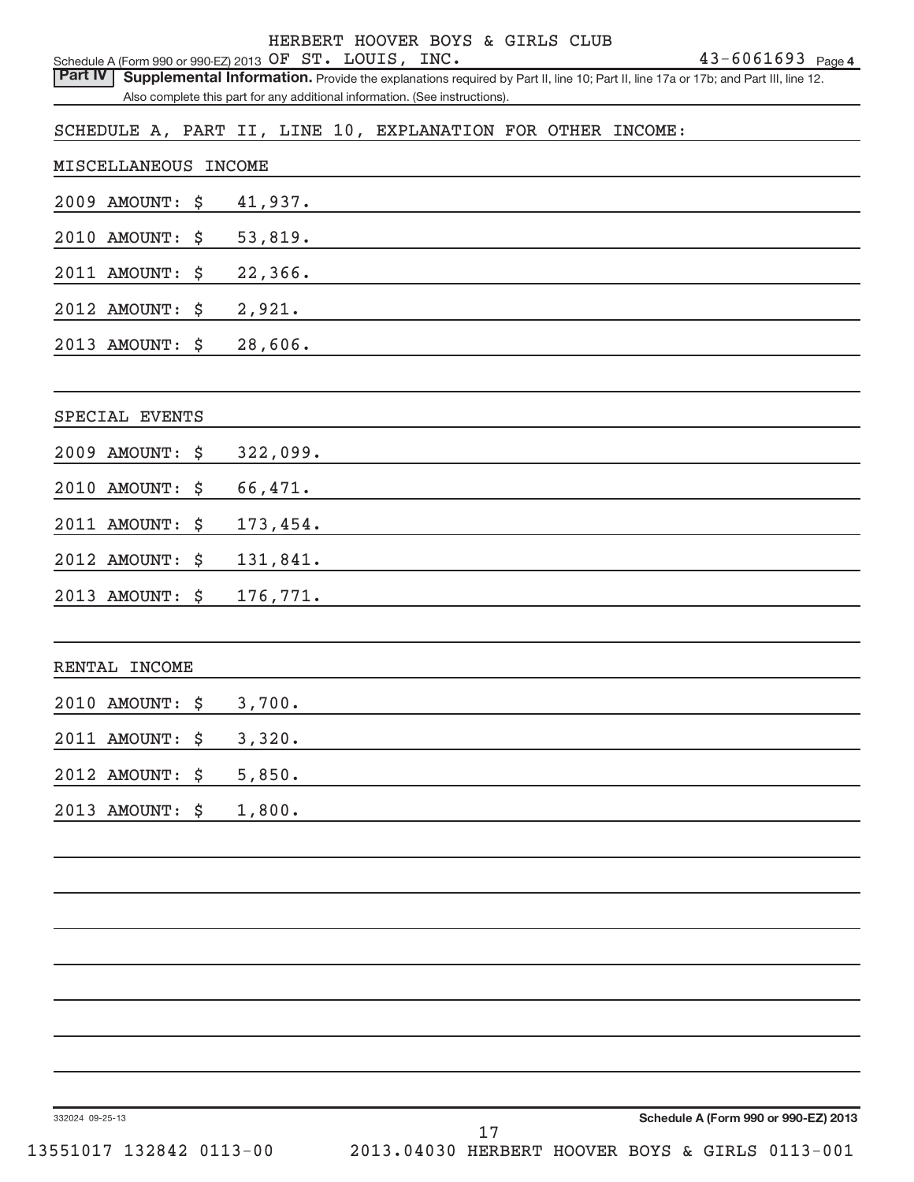|                                                                           |                                                                             | HERBERT HOOVER BOYS & GIRLS CLUB |  |  |                                                                                                                                                            |
|---------------------------------------------------------------------------|-----------------------------------------------------------------------------|----------------------------------|--|--|------------------------------------------------------------------------------------------------------------------------------------------------------------|
| Schedule A (Form 990 or 990-EZ) 2013 OF ST. LOUIS, INC.<br><b>Part IV</b> |                                                                             |                                  |  |  | $43 - 6061693$ Page 4<br>Supplemental Information. Provide the explanations required by Part II, line 10; Part II, line 17a or 17b; and Part III, line 12. |
|                                                                           | Also complete this part for any additional information. (See instructions). |                                  |  |  |                                                                                                                                                            |
| SCHEDULE A, PART II, LINE 10, EXPLANATION FOR OTHER INCOME:               |                                                                             |                                  |  |  |                                                                                                                                                            |
|                                                                           |                                                                             |                                  |  |  |                                                                                                                                                            |
| MISCELLANEOUS INCOME                                                      |                                                                             |                                  |  |  |                                                                                                                                                            |
| 2009 AMOUNT:<br>\$                                                        | 41,937.                                                                     |                                  |  |  |                                                                                                                                                            |
| 2010 AMOUNT:<br>\$                                                        | 53,819.                                                                     |                                  |  |  |                                                                                                                                                            |
| 2011 AMOUNT:<br>\$                                                        | 22,366.                                                                     |                                  |  |  |                                                                                                                                                            |
| 2012 AMOUNT:<br>\$                                                        | 2,921.                                                                      |                                  |  |  |                                                                                                                                                            |
| 2013 AMOUNT:<br>\$                                                        | 28,606.                                                                     |                                  |  |  |                                                                                                                                                            |
| SPECIAL EVENTS                                                            |                                                                             |                                  |  |  |                                                                                                                                                            |
| 2009 AMOUNT:<br>\$                                                        | 322,099.                                                                    |                                  |  |  |                                                                                                                                                            |
| 2010 AMOUNT:<br>\$                                                        | 66,471.                                                                     |                                  |  |  |                                                                                                                                                            |
| 2011 AMOUNT:<br>\$                                                        | 173,454.                                                                    |                                  |  |  |                                                                                                                                                            |
| 2012 AMOUNT:<br>\$                                                        | 131,841.                                                                    |                                  |  |  |                                                                                                                                                            |
| 2013 AMOUNT: \$                                                           | 176,771.                                                                    |                                  |  |  |                                                                                                                                                            |
| RENTAL INCOME                                                             |                                                                             |                                  |  |  |                                                                                                                                                            |
|                                                                           |                                                                             |                                  |  |  |                                                                                                                                                            |
| 2010 AMOUNT: \$                                                           | 3,700.                                                                      |                                  |  |  |                                                                                                                                                            |
| 2011 AMOUNT:<br>\$                                                        | 3,320.                                                                      |                                  |  |  |                                                                                                                                                            |
| 2012 AMOUNT:<br>\$                                                        | 5,850.                                                                      |                                  |  |  |                                                                                                                                                            |
| 2013 AMOUNT: \$                                                           | 1,800.                                                                      |                                  |  |  |                                                                                                                                                            |
|                                                                           |                                                                             |                                  |  |  |                                                                                                                                                            |
|                                                                           |                                                                             |                                  |  |  |                                                                                                                                                            |
|                                                                           |                                                                             |                                  |  |  |                                                                                                                                                            |
|                                                                           |                                                                             |                                  |  |  |                                                                                                                                                            |
|                                                                           |                                                                             |                                  |  |  |                                                                                                                                                            |
|                                                                           |                                                                             |                                  |  |  |                                                                                                                                                            |
|                                                                           |                                                                             |                                  |  |  |                                                                                                                                                            |
| 332024 09-25-13                                                           |                                                                             |                                  |  |  | Schedule A (Form 990 or 990-EZ) 2013                                                                                                                       |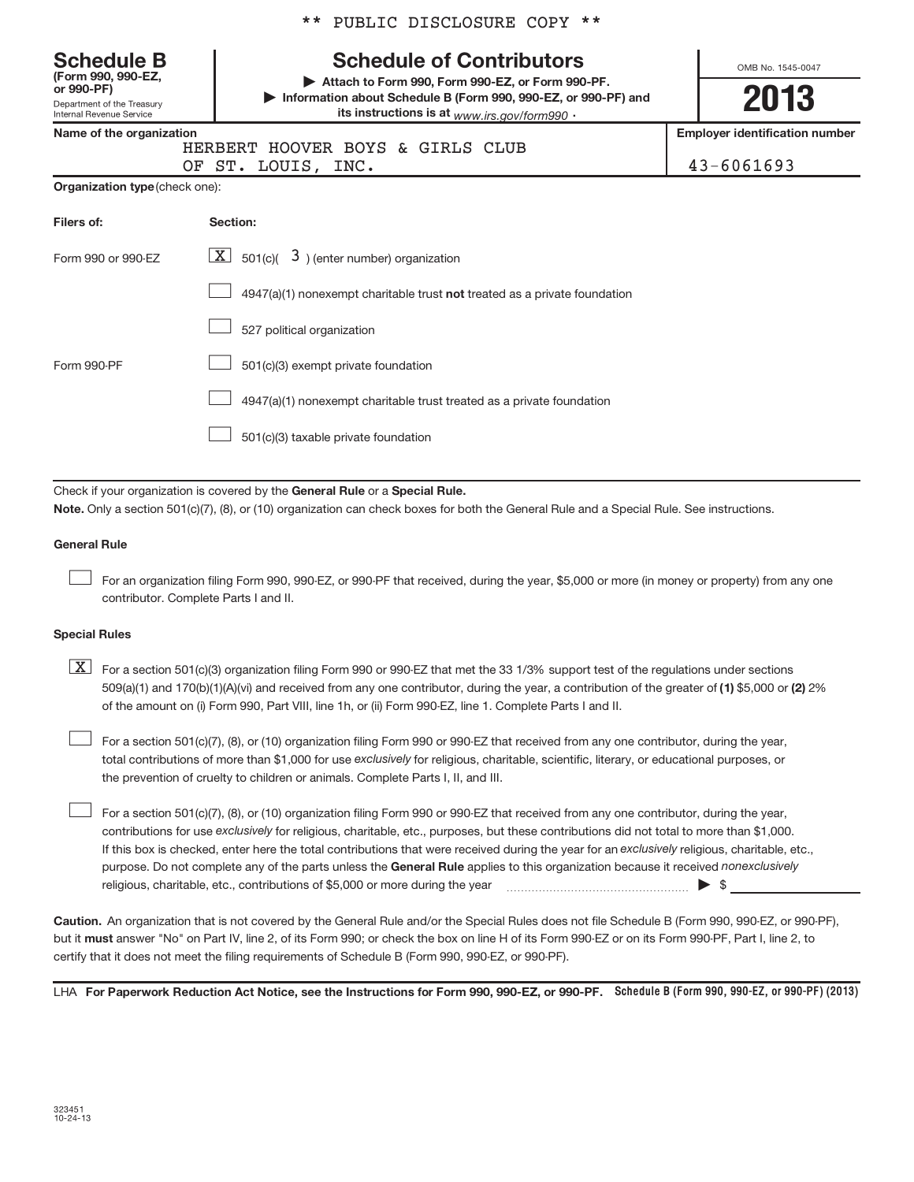|  |  | ** PUBLIC DISCLOSURE COPY ** |  |  |  |
|--|--|------------------------------|--|--|--|
|--|--|------------------------------|--|--|--|

| <b>Schedule B</b><br>(Form 990, 990-EZ,<br>or 990-PF)<br>Department of the Treasury<br>Internal Revenue Service | <b>Schedule of Contributors</b><br>Attach to Form 990, Form 990-EZ, or Form 990-PF.<br>Information about Schedule B (Form 990, 990-EZ, or 990-PF) and<br>its instructions is at www.irs.gov/form990 . | OMB No. 1545-0047<br>2013                           |  |  |  |  |  |  |  |
|-----------------------------------------------------------------------------------------------------------------|-------------------------------------------------------------------------------------------------------------------------------------------------------------------------------------------------------|-----------------------------------------------------|--|--|--|--|--|--|--|
| Name of the organization                                                                                        | HERBERT HOOVER BOYS & GIRLS CLUB<br>OF ST. LOUIS, INC.                                                                                                                                                | <b>Employer identification number</b><br>43-6061693 |  |  |  |  |  |  |  |
| <b>Organization type (check one):</b>                                                                           |                                                                                                                                                                                                       |                                                     |  |  |  |  |  |  |  |
| Filers of:                                                                                                      | Section:                                                                                                                                                                                              |                                                     |  |  |  |  |  |  |  |
| Form 990 or 990-EZ                                                                                              | $ \mathbf{X} $ 501(c)( 3) (enter number) organization                                                                                                                                                 |                                                     |  |  |  |  |  |  |  |
|                                                                                                                 | $4947(a)(1)$ nonexempt charitable trust <b>not</b> treated as a private foundation                                                                                                                    |                                                     |  |  |  |  |  |  |  |
|                                                                                                                 | 527 political organization                                                                                                                                                                            |                                                     |  |  |  |  |  |  |  |
| Form 990-PF                                                                                                     | 501(c)(3) exempt private foundation                                                                                                                                                                   |                                                     |  |  |  |  |  |  |  |
|                                                                                                                 | 4947(a)(1) nonexempt charitable trust treated as a private foundation                                                                                                                                 |                                                     |  |  |  |  |  |  |  |
|                                                                                                                 | 501(c)(3) taxable private foundation                                                                                                                                                                  |                                                     |  |  |  |  |  |  |  |
|                                                                                                                 | Check if your organization is covered by the General Rule or a Special Rule.                                                                                                                          |                                                     |  |  |  |  |  |  |  |

**Note.**  Only a section 501(c)(7), (8), or (10) organization can check boxes for both the General Rule and a Special Rule. See instructions.

#### **General Rule**

-

For an organization filing Form 990, 990-EZ, or 990-PF that received, during the year, \$5,000 or more (in money or property) from any one contributor. Complete Parts I and II.

#### **Special Rules**

509(a)(1) and 170(b)(1)(A)(vi) and received from any one contributor, during the year, a contribution of the greater of **(1)** \$5,000 or **(2)** 2%  $\boxed{\textbf{X}}$  For a section 501(c)(3) organization filing Form 990 or 990-EZ that met the 33 1/3% support test of the regulations under sections of the amount on (i) Form 990, Part VIII, line 1h, or (ii) Form 990-EZ, line 1. Complete Parts I and II.

total contributions of more than \$1,000 for use ex*clusively* for religious, charitable, scientific, literary, or educational purposes, or For a section 501(c)(7), (8), or (10) organization filing Form 990 or 990-EZ that received from any one contributor, during the year, the prevention of cruelty to children or animals. Complete Parts I, II, and III.

purpose. Do not complete any of the parts unless the **General Rule** applies to this organization because it received *nonexclusively* contributions for use exclusively for religious, charitable, etc., purposes, but these contributions did not total to more than \$1,000. If this box is checked, enter here the total contributions that were received during the year for an exclusively religious, charitable, etc., For a section 501(c)(7), (8), or (10) organization filing Form 990 or 990-EZ that received from any one contributor, during the year, religious, charitable, etc., contributions of \$5,000 or more during the year  $\longrightarrow$  \$ -

**Caution.**An organization that is not covered by the General Rule and/or the Special Rules does not file Schedule B (Form 990, 990-EZ, or 990-PF), but it **must** answer "No" on Part IV, line 2, of its Form 990; or check the box on line H of its Form 990-EZ or on its Form 990-PF, Part I, line 2, to certify that it does not meet the filing requirements of Schedule B (Form 990, 990-EZ, or 990-PF).

LHA For Paperwork Reduction Act Notice, see the Instructions for Form 990, 990-EZ, or 990-PF. Schedule B (Form 990, 990-EZ, or 990-PF) (2013)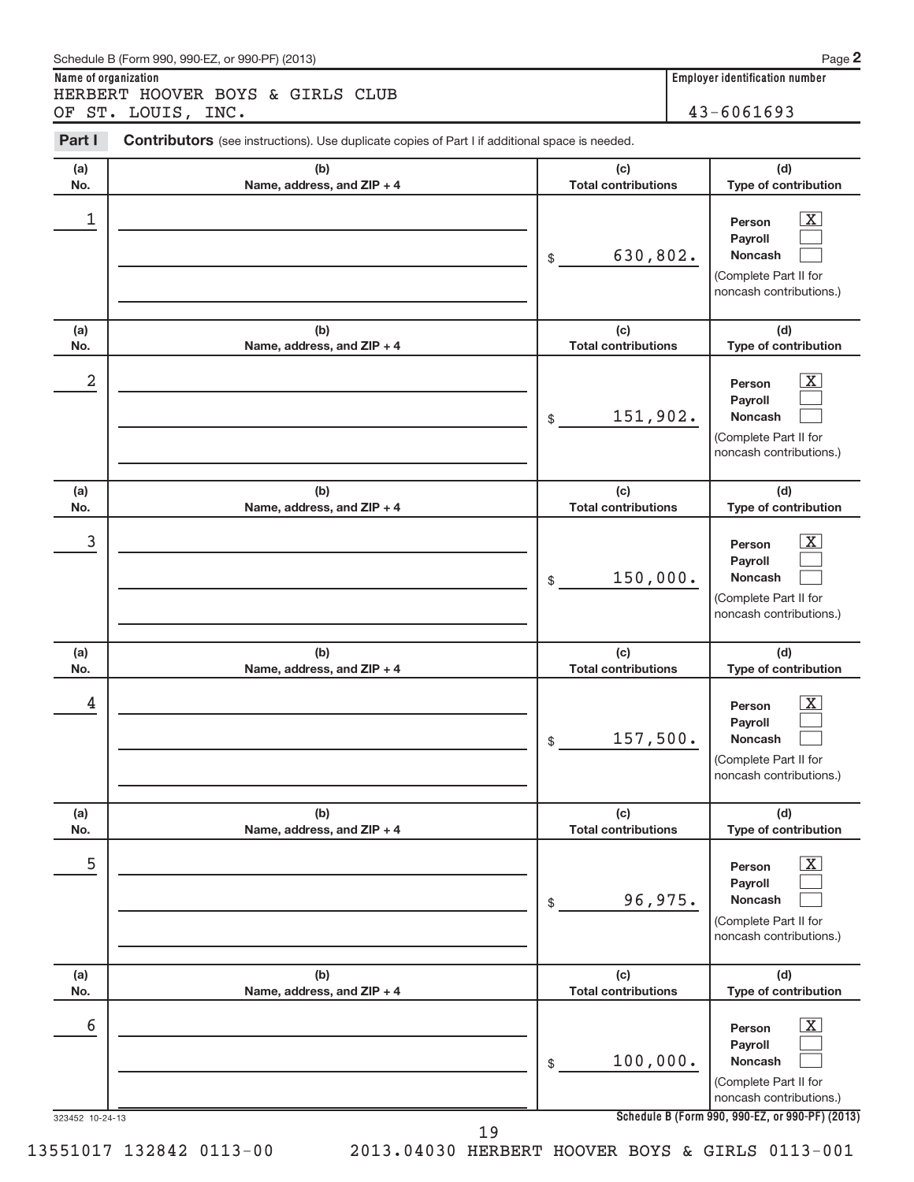| Schedule B (Form 990, 990-EZ, or 990-PF) (2013)                                                                 | Pao                                   |
|-----------------------------------------------------------------------------------------------------------------|---------------------------------------|
| Name of organization                                                                                            | <b>Employer identification number</b> |
| HERBERT HOOVER BOYS & GIRLS CLUB                                                                                |                                       |
| OF ST. LOUIS, INC.                                                                                              | $43 - 6061693$                        |
| Part I<br><b>Contributors</b> (see instructions). Use duplicate copies of Part I if additional space is needed. |                                       |

**2**

| (a)<br>No.           | (b)<br>Name, address, and ZIP + 4 | (c)<br><b>Total contributions</b> | (d)<br>Type of contribution                                                                                                                                    |
|----------------------|-----------------------------------|-----------------------------------|----------------------------------------------------------------------------------------------------------------------------------------------------------------|
| 1                    |                                   | 630,802.<br>\$                    | $\overline{\mathbf{X}}$<br>Person<br>Payroll<br><b>Noncash</b><br>(Complete Part II for<br>noncash contributions.)                                             |
| (a)<br>No.           | (b)<br>Name, address, and ZIP + 4 | (c)<br><b>Total contributions</b> | (d)<br>Type of contribution                                                                                                                                    |
| 2                    |                                   | 151,902.<br>\$                    | $\overline{\mathbf{X}}$<br>Person<br>Payroll<br><b>Noncash</b><br>(Complete Part II for<br>noncash contributions.)                                             |
| (a)<br>No.           | (b)<br>Name, address, and ZIP + 4 | (c)<br><b>Total contributions</b> | (d)<br>Type of contribution                                                                                                                                    |
| 3                    |                                   | 150,000.<br>\$                    | $\overline{\mathbf{X}}$<br>Person<br>Payroll<br><b>Noncash</b><br>(Complete Part II for<br>noncash contributions.)                                             |
| (a)<br>No.           | (b)<br>Name, address, and ZIP + 4 | (c)<br><b>Total contributions</b> | (d)<br>Type of contribution                                                                                                                                    |
| 4                    |                                   | 157,500.<br>\$                    | $\overline{\text{X}}$<br>Person<br>Payroll<br><b>Noncash</b><br>(Complete Part II for<br>noncash contributions.)                                               |
| (a)<br>No.           | (b)<br>Name, address, and ZIP + 4 | (c)<br><b>Total contributions</b> | (d)<br>Type of contribution                                                                                                                                    |
| 5                    |                                   | 96,975.<br>$\$$                   | $\overline{\mathbf{X}}$<br>Person<br>Payroll<br>Noncash<br>(Complete Part II for<br>noncash contributions.)                                                    |
| (a)<br>No.           | (b)<br>Name, address, and ZIP + 4 | (c)<br><b>Total contributions</b> | (d)<br>Type of contribution                                                                                                                                    |
| 6<br>323452 10-24-13 |                                   | 100,000.<br>\$                    | $\overline{\mathbf{X}}$<br>Person<br>Payroll<br>Noncash<br>(Complete Part II for<br>noncash contributions.)<br>Schedule B (Form 990, 990-EZ, or 990-PF) (2013) |
|                      | 19                                |                                   |                                                                                                                                                                |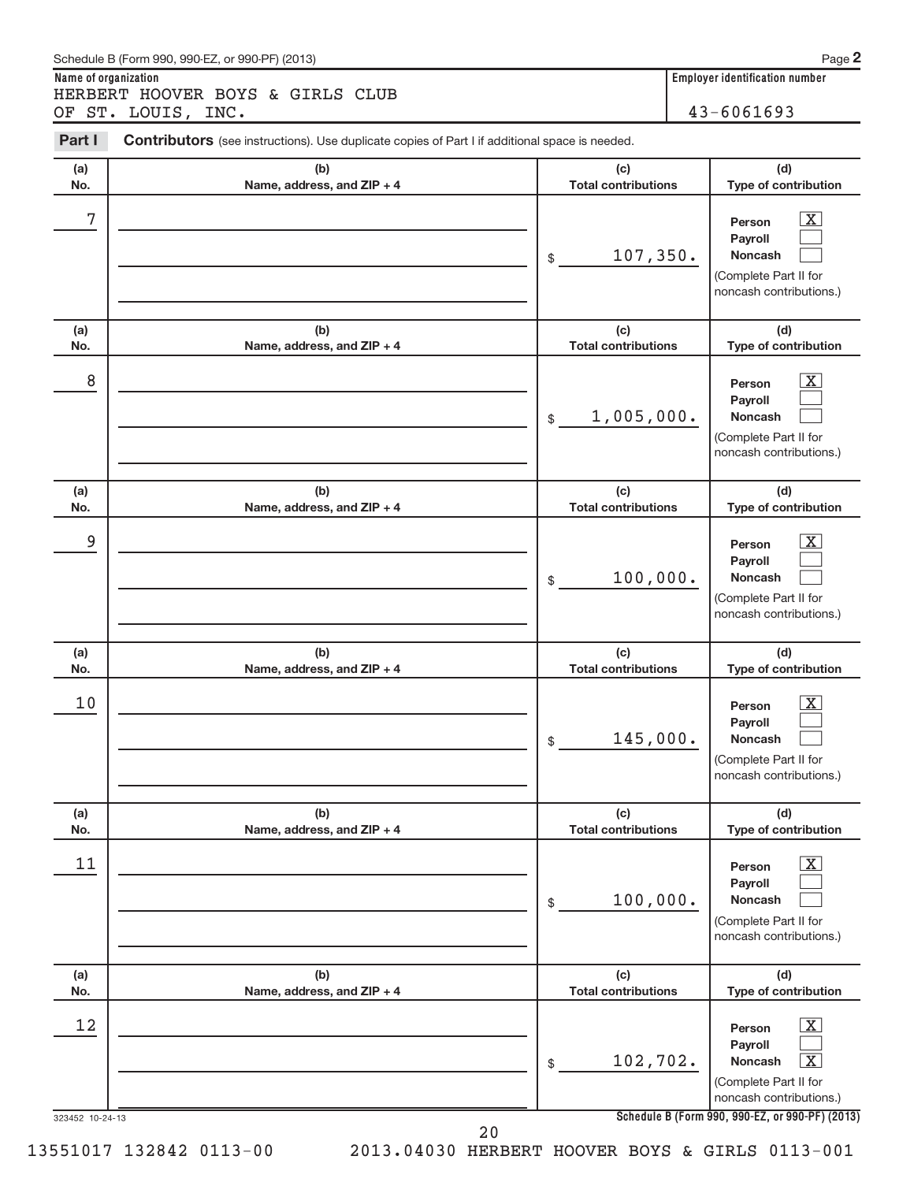| Schedule B (Form 990, 990-EZ, or 990-PF) (2013)                                                                 | Pa                                    |
|-----------------------------------------------------------------------------------------------------------------|---------------------------------------|
| Name of organization                                                                                            | <b>Employer identification number</b> |
| HERBERT HOOVER BOYS & GIRLS CLUB                                                                                |                                       |
| OF ST. LOUIS, INC.                                                                                              | $43 - 6061693$                        |
| Part I<br><b>Contributors</b> (see instructions). Use duplicate copies of Part I if additional space is needed. |                                       |

**2**

| (a)<br>No.                   | (b)<br>Name, address, and ZIP + 4 | (c)<br><b>Total contributions</b>            | (d)<br>Type of contribution                                                                                                                                                                                   |
|------------------------------|-----------------------------------|----------------------------------------------|---------------------------------------------------------------------------------------------------------------------------------------------------------------------------------------------------------------|
| 7                            |                                   | 107, 350.<br>\$                              | $\overline{\mathbf{X}}$<br>Person<br>Payroll<br><b>Noncash</b><br>(Complete Part II for<br>noncash contributions.)                                                                                            |
| (a)<br>No.                   | (b)<br>Name, address, and ZIP + 4 | (c)<br><b>Total contributions</b>            | (d)<br>Type of contribution                                                                                                                                                                                   |
| 8                            |                                   | 1,005,000.<br>\$                             | $\overline{\mathbf{X}}$<br>Person<br>Payroll<br><b>Noncash</b><br>(Complete Part II for<br>noncash contributions.)                                                                                            |
| (a)<br>No.                   | (b)<br>Name, address, and ZIP + 4 | (c)<br><b>Total contributions</b>            | (d)<br>Type of contribution                                                                                                                                                                                   |
| 9                            |                                   | 100,000.<br>\$                               | $\overline{\mathbf{X}}$<br>Person<br>Payroll<br><b>Noncash</b><br>(Complete Part II for<br>noncash contributions.)                                                                                            |
| (a)<br>No.                   | (b)<br>Name, address, and ZIP + 4 | (c)<br><b>Total contributions</b>            | (d)<br>Type of contribution                                                                                                                                                                                   |
| 10                           |                                   | 145,000.<br>\$                               | $\overline{\mathbf{X}}$<br>Person<br>Payroll<br><b>Noncash</b><br>(Complete Part II for<br>noncash contributions.)                                                                                            |
| (a)<br>No.                   | (b)<br>Name, address, and ZIP + 4 | (c)<br><b>Total contributions</b>            | (d)<br>Type of contribution                                                                                                                                                                                   |
| 11                           |                                   | 100,000.<br>\$                               | $\overline{\text{X}}$<br>Person<br>Payroll<br><b>Noncash</b><br>(Complete Part II for<br>noncash contributions.)                                                                                              |
| (a)                          | (b)                               | (c)                                          | (d)                                                                                                                                                                                                           |
| No.<br>12<br>323452 10-24-13 | Name, address, and ZIP + 4        | <b>Total contributions</b><br>102,702.<br>\$ | Type of contribution<br>$\overline{\text{X}}$<br>Person<br>Payroll<br>$\overline{\text{X}}$<br>Noncash<br>(Complete Part II for<br>noncash contributions.)<br>Schedule B (Form 990, 990-EZ, or 990-PF) (2013) |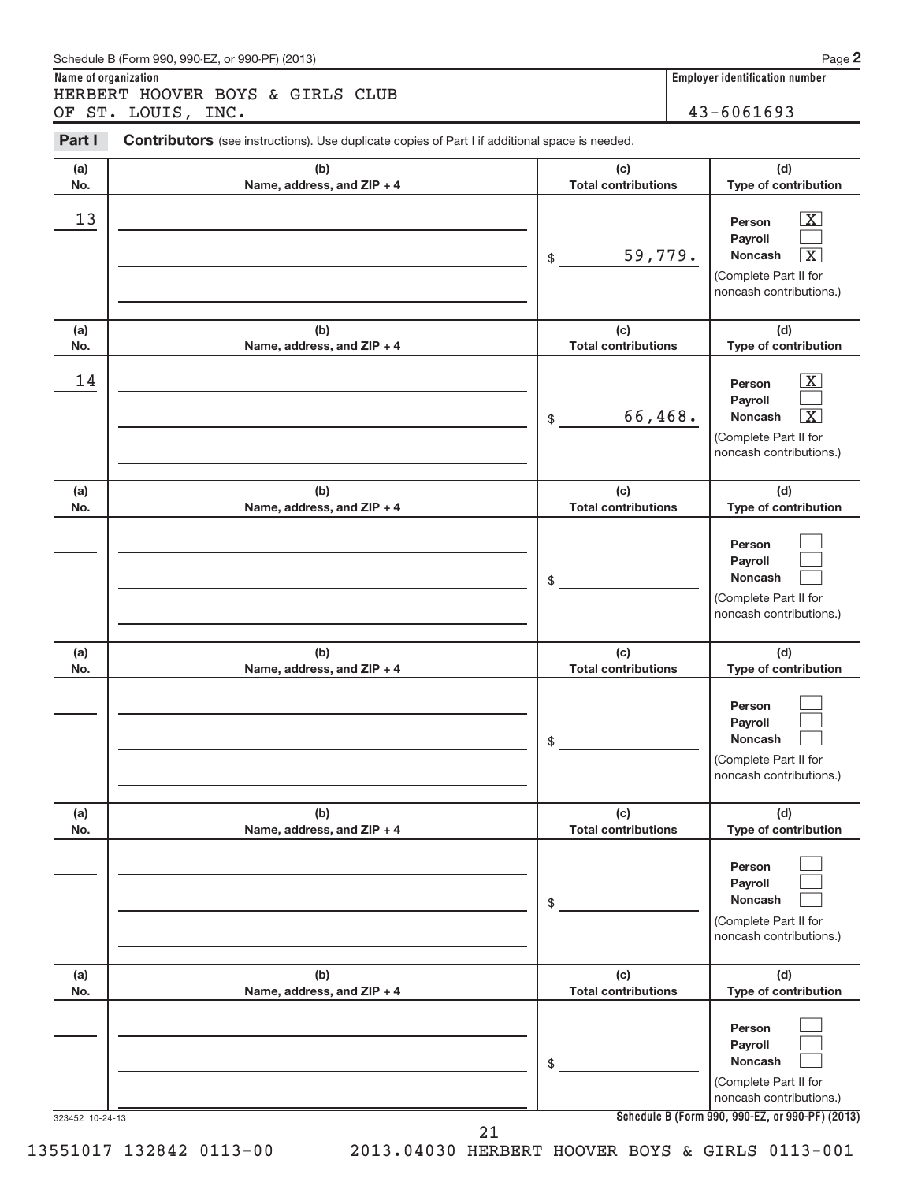| Schedule B (Form 990, 990-EZ, or 990-PF) (2013)                                                                 | Pac                            |
|-----------------------------------------------------------------------------------------------------------------|--------------------------------|
| Name of organization                                                                                            | Employer identification number |
| HERBERT HOOVER BOYS & GIRLS CLUB                                                                                |                                |
| OF ST. LOUIS, INC.                                                                                              | $43 - 6061693$                 |
| Part I<br><b>Contributors</b> (see instructions). Use duplicate copies of Part I if additional space is needed. |                                |

**2**

| (a)<br>No.      | (b)<br>Name, address, and ZIP + 4 | (c)<br><b>Total contributions</b> | (d)<br>Type of contribution                                                                                                                 |
|-----------------|-----------------------------------|-----------------------------------|---------------------------------------------------------------------------------------------------------------------------------------------|
| 13              |                                   | 59,779.<br>$$\mathbb{S}$$         | $\overline{\mathbf{x}}$<br>Person<br>Payroll<br>$\overline{\text{X}}$<br>Noncash<br>(Complete Part II for<br>noncash contributions.)        |
| (a)<br>No.      | (b)<br>Name, address, and ZIP + 4 | (c)<br><b>Total contributions</b> | (d)<br>Type of contribution                                                                                                                 |
| 14              |                                   | 66,468.<br>\$                     | $\overline{\mathbf{x}}$<br>Person<br>Payroll<br>$\overline{\text{X}}$<br><b>Noncash</b><br>(Complete Part II for<br>noncash contributions.) |
| (a)<br>No.      | (b)<br>Name, address, and ZIP + 4 | (c)<br><b>Total contributions</b> | (d)<br>Type of contribution                                                                                                                 |
|                 |                                   | \$                                | Person<br>Payroll<br><b>Noncash</b><br>(Complete Part II for<br>noncash contributions.)                                                     |
| (a)<br>No.      | (b)<br>Name, address, and ZIP + 4 | (c)<br><b>Total contributions</b> | (d)<br>Type of contribution                                                                                                                 |
|                 |                                   | \$                                | Person<br>Payroll<br><b>Noncash</b><br>(Complete Part II for<br>noncash contributions.)                                                     |
| (a)<br>No.      | (b)<br>Name, address, and ZIP + 4 | (c)<br><b>Total contributions</b> | (d)<br>Type of contribution                                                                                                                 |
|                 |                                   | \$                                | Person<br>Payroll<br><b>Noncash</b><br>(Complete Part II for<br>noncash contributions.)                                                     |
| (a)<br>No.      | (b)<br>Name, address, and ZIP + 4 | (c)<br><b>Total contributions</b> | (d)<br>Type of contribution                                                                                                                 |
| 323452 10-24-13 |                                   | \$                                | Person<br>Payroll<br><b>Noncash</b><br>(Complete Part II for<br>noncash contributions.)<br>Schedule B (Form 990, 990-EZ, or 990-PF) (2013)  |
|                 | 21                                |                                   |                                                                                                                                             |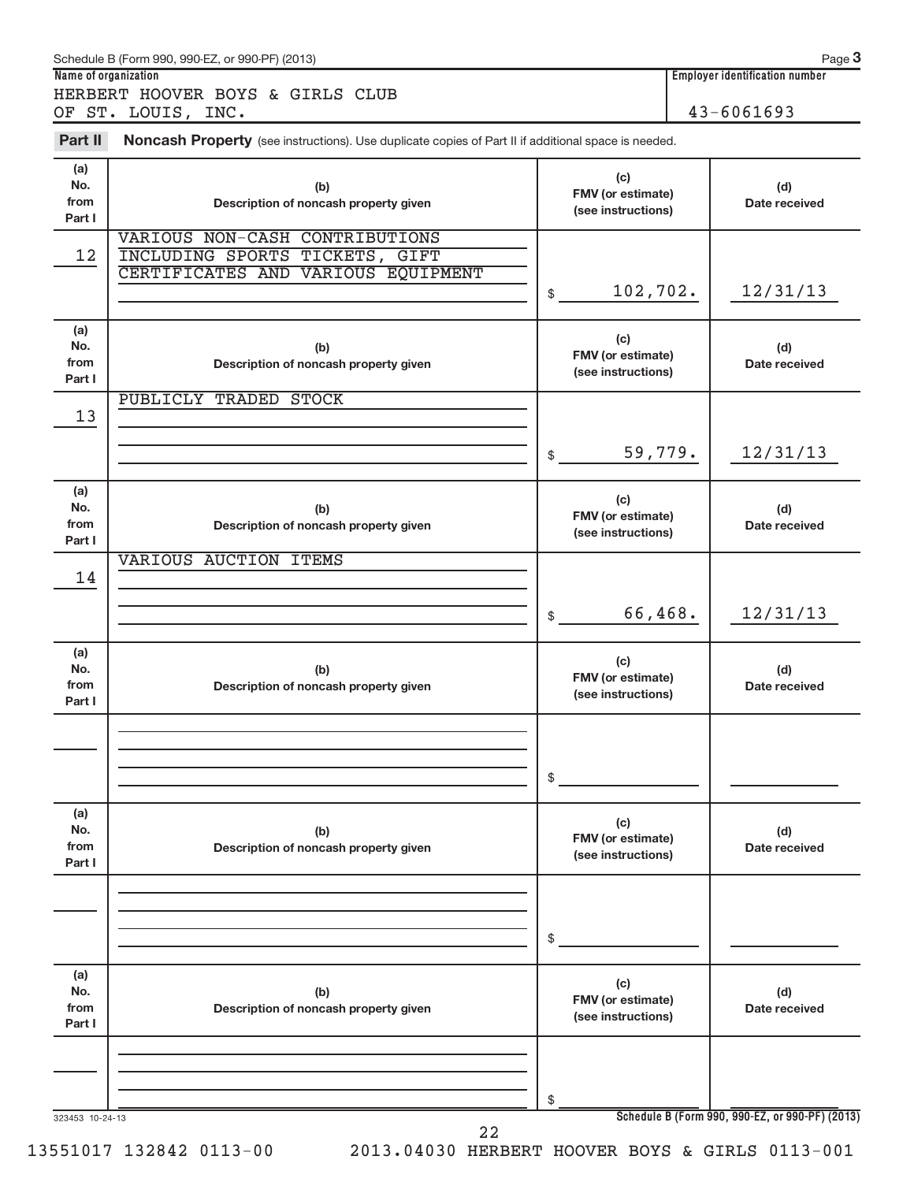| Name of organization         | Schedule B (Form 990, 990-EZ, or 990-PF) (2013)                                                        |                                                |                                         | Page 3<br><b>Employer identification number</b> |
|------------------------------|--------------------------------------------------------------------------------------------------------|------------------------------------------------|-----------------------------------------|-------------------------------------------------|
|                              | HERBERT HOOVER BOYS & GIRLS CLUB                                                                       |                                                |                                         |                                                 |
|                              | OF ST. LOUIS, INC.                                                                                     |                                                | $43 - 6061693$                          |                                                 |
| Part II                      | Noncash Property (see instructions). Use duplicate copies of Part II if additional space is needed.    |                                                |                                         |                                                 |
| (a)<br>No.<br>from<br>Part I | (b)<br>Description of noncash property given                                                           | (c)                                            | FMV (or estimate)<br>(see instructions) |                                                 |
| 12                           | VARIOUS NON-CASH CONTRIBUTIONS<br>INCLUDING SPORTS TICKETS, GIFT<br>CERTIFICATES AND VARIOUS EQUIPMENT | 102,702.<br>\$                                 |                                         | 12/31/13                                        |
| (a)<br>No.<br>from<br>Part I | (b)<br>Description of noncash property given                                                           | (c)<br>FMV (or estimate)<br>(see instructions) |                                         | (d)<br>Date received                            |
| 13                           | <b>PUBLICLY TRADED STOCK</b>                                                                           |                                                |                                         |                                                 |
|                              |                                                                                                        | 59,779.<br>\$                                  |                                         | 12/31/13                                        |
| (a)<br>No.<br>from<br>Part I | (b)<br>Description of noncash property given                                                           | (c)<br>FMV (or estimate)<br>(see instructions) |                                         | (d)<br>Date received                            |
| 14                           | VARIOUS AUCTION ITEMS                                                                                  |                                                |                                         |                                                 |
|                              |                                                                                                        | 66,468.<br>\$                                  |                                         | 12/31/13                                        |
| (a)<br>No.<br>from<br>Part I | (b)<br>Description of noncash property given                                                           | (c)<br>FMV (or estimate)<br>(see instructions) |                                         | (d)<br>Date received                            |
|                              |                                                                                                        | \$                                             |                                         |                                                 |
|                              |                                                                                                        |                                                |                                         |                                                 |
| (a)<br>No.<br>from<br>Part I | (b)<br>Description of noncash property given                                                           | (c)<br>FMV (or estimate)<br>(see instructions) |                                         | (d)<br>Date received                            |
|                              |                                                                                                        | \$                                             |                                         |                                                 |
| (a)<br>No.<br>from<br>Part I | (b)<br>Description of noncash property given                                                           | (c)<br>FMV (or estimate)<br>(see instructions) |                                         | (d)<br>Date received                            |
| 323453 10-24-13              |                                                                                                        | \$                                             |                                         | Schedule B (Form 990, 990-EZ, or 990-PF) (2013) |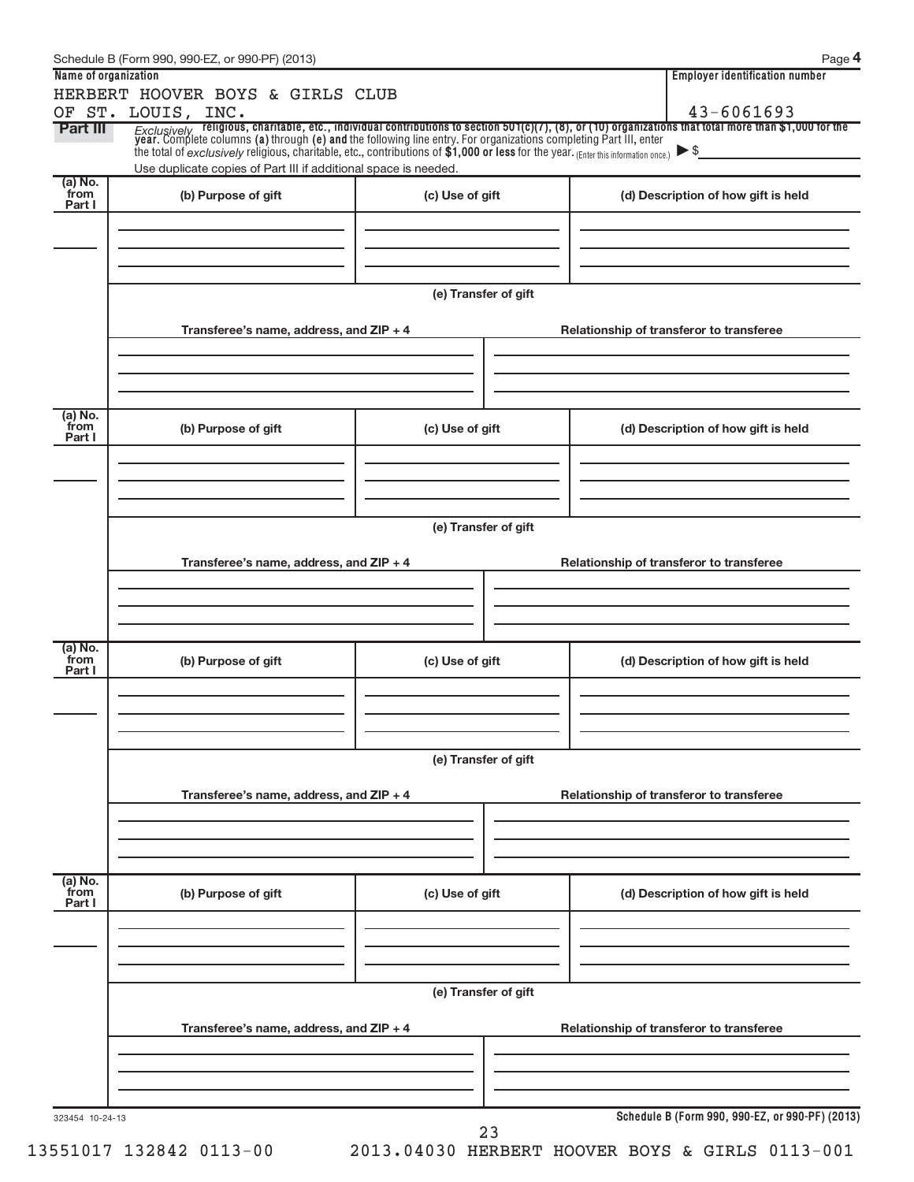|                           | Schedule B (Form 990, 990-EZ, or 990-PF) (2013)                                                                                                         |                      | Page 4                                                                                                                                                                                                                              |
|---------------------------|---------------------------------------------------------------------------------------------------------------------------------------------------------|----------------------|-------------------------------------------------------------------------------------------------------------------------------------------------------------------------------------------------------------------------------------|
| Name of organization      |                                                                                                                                                         |                      | <b>Employer identification number</b>                                                                                                                                                                                               |
|                           | HERBERT HOOVER BOYS & GIRLS CLUB<br>OF ST. LOUIS, INC.                                                                                                  |                      | 43-6061693                                                                                                                                                                                                                          |
| <b>Part III</b>           | the total of exclusively religious, charitable, etc., contributions of \$1,000 or less for the year. (Enter this information once.) $\triangleright$ \$ |                      | <i>Exclusively</i> religious, charitable, etc., individual contributions to section 501(c)(7), (8), or (10) organizations that total more than \$1,000 for the year. Complete columns (a) through (e) and the following line entry. |
| (a) No.                   | Use duplicate copies of Part III if additional space is needed.                                                                                         |                      |                                                                                                                                                                                                                                     |
| from<br>Part I            | (b) Purpose of gift                                                                                                                                     | (c) Use of gift      | (d) Description of how gift is held                                                                                                                                                                                                 |
|                           |                                                                                                                                                         | (e) Transfer of gift |                                                                                                                                                                                                                                     |
|                           | Transferee's name, address, and ZIP + 4                                                                                                                 |                      | Relationship of transferor to transferee                                                                                                                                                                                            |
| (a) No.<br>from           | (b) Purpose of gift                                                                                                                                     |                      |                                                                                                                                                                                                                                     |
| Part I                    |                                                                                                                                                         | (c) Use of gift      | (d) Description of how gift is held                                                                                                                                                                                                 |
|                           |                                                                                                                                                         | (e) Transfer of gift |                                                                                                                                                                                                                                     |
|                           | Transferee's name, address, and ZIP + 4                                                                                                                 |                      | Relationship of transferor to transferee                                                                                                                                                                                            |
| (a) No.<br>from<br>Part I | (b) Purpose of gift                                                                                                                                     | (c) Use of gift      | (d) Description of how gift is held                                                                                                                                                                                                 |
|                           |                                                                                                                                                         |                      |                                                                                                                                                                                                                                     |
|                           | Transferee's name, address, and ZIP + 4                                                                                                                 | (e) Transfer of gift | Relationship of transferor to transferee                                                                                                                                                                                            |
|                           |                                                                                                                                                         |                      |                                                                                                                                                                                                                                     |
| (a) No.<br>from<br>Part I | (b) Purpose of gift                                                                                                                                     | (c) Use of gift      | (d) Description of how gift is held                                                                                                                                                                                                 |
|                           |                                                                                                                                                         |                      |                                                                                                                                                                                                                                     |
|                           | Transferee's name, address, and ZIP + 4                                                                                                                 | (e) Transfer of gift | Relationship of transferor to transferee                                                                                                                                                                                            |
|                           |                                                                                                                                                         |                      |                                                                                                                                                                                                                                     |
| 323454 10-24-13           |                                                                                                                                                         | 23                   | Schedule B (Form 990, 990-EZ, or 990-PF) (2013)                                                                                                                                                                                     |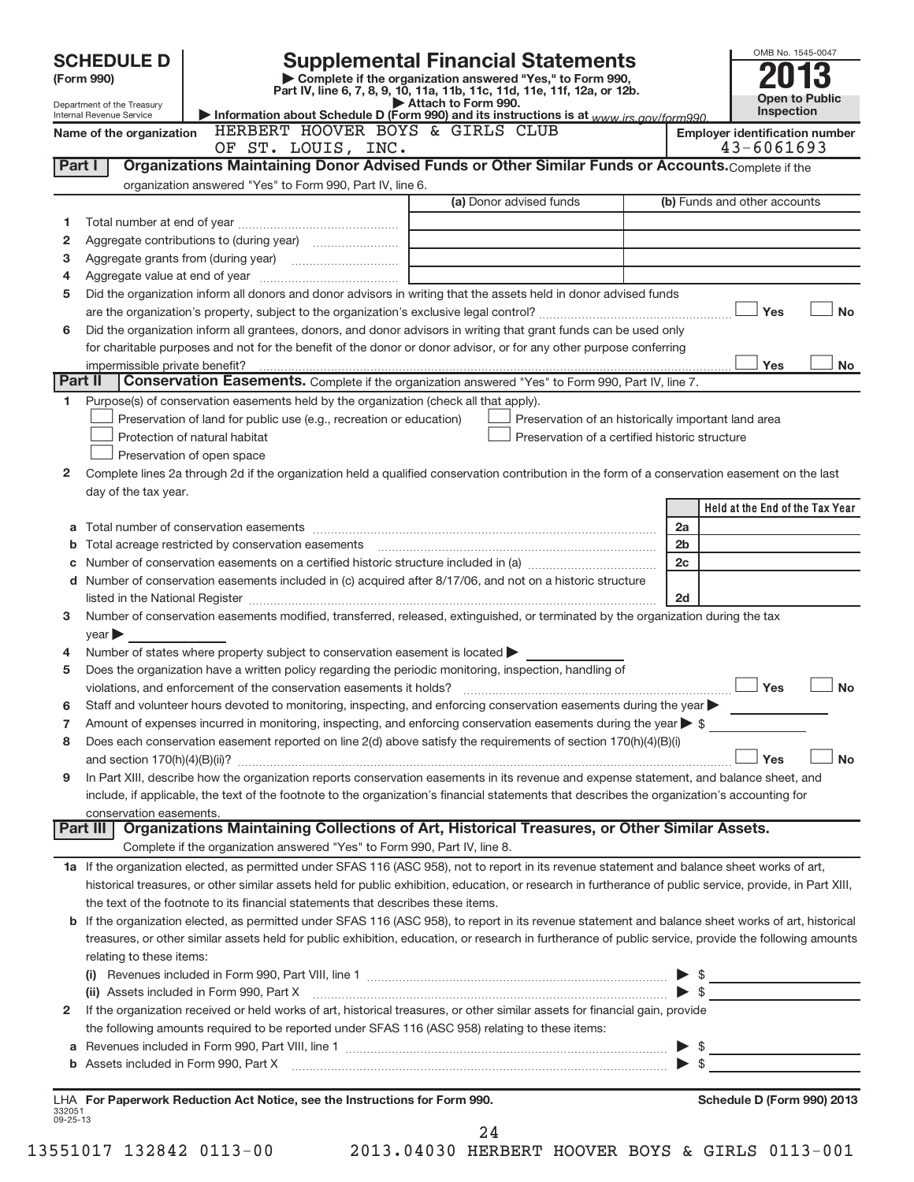|                    | <b>Supplemental Financial Statements</b><br><b>SCHEDULE D</b><br>Complete if the organization answered "Yes," to Form 990,<br>(Form 990)<br>Part IV, line 6, 7, 8, 9, 10, 11a, 11b, 11c, 11d, 11e, 11f, 12a, or 12b. |                                                                                                                                                                                                                                                      |                |                                                         |  |  |
|--------------------|----------------------------------------------------------------------------------------------------------------------------------------------------------------------------------------------------------------------|------------------------------------------------------------------------------------------------------------------------------------------------------------------------------------------------------------------------------------------------------|----------------|---------------------------------------------------------|--|--|
|                    | Attach to Form 990.<br>Department of the Treasury                                                                                                                                                                    |                                                                                                                                                                                                                                                      |                |                                                         |  |  |
|                    | Information about Schedule D (Form 990) and its instructions is at www.irs.gov/form990.<br>Internal Revenue Service<br>HERBERT HOOVER BOYS & GIRLS CLUB<br>Name of the organization                                  |                                                                                                                                                                                                                                                      |                |                                                         |  |  |
|                    |                                                                                                                                                                                                                      | OF ST. LOUIS, INC.                                                                                                                                                                                                                                   |                | <b>Employer identification number</b><br>$43 - 6061693$ |  |  |
|                    | Part I                                                                                                                                                                                                               | Organizations Maintaining Donor Advised Funds or Other Similar Funds or Accounts. Complete if the                                                                                                                                                    |                |                                                         |  |  |
|                    |                                                                                                                                                                                                                      | organization answered "Yes" to Form 990, Part IV, line 6.                                                                                                                                                                                            |                |                                                         |  |  |
|                    |                                                                                                                                                                                                                      | (a) Donor advised funds                                                                                                                                                                                                                              |                | (b) Funds and other accounts                            |  |  |
| 1                  |                                                                                                                                                                                                                      |                                                                                                                                                                                                                                                      |                |                                                         |  |  |
| 2                  |                                                                                                                                                                                                                      |                                                                                                                                                                                                                                                      |                |                                                         |  |  |
| З<br>4             |                                                                                                                                                                                                                      |                                                                                                                                                                                                                                                      |                |                                                         |  |  |
| 5                  |                                                                                                                                                                                                                      | Did the organization inform all donors and donor advisors in writing that the assets held in donor advised funds                                                                                                                                     |                |                                                         |  |  |
|                    |                                                                                                                                                                                                                      |                                                                                                                                                                                                                                                      |                | Yes<br><b>No</b>                                        |  |  |
| 6                  |                                                                                                                                                                                                                      | Did the organization inform all grantees, donors, and donor advisors in writing that grant funds can be used only                                                                                                                                    |                |                                                         |  |  |
|                    |                                                                                                                                                                                                                      | for charitable purposes and not for the benefit of the donor or donor advisor, or for any other purpose conferring                                                                                                                                   |                |                                                         |  |  |
|                    |                                                                                                                                                                                                                      |                                                                                                                                                                                                                                                      |                | Yes<br>No                                               |  |  |
|                    | Part II                                                                                                                                                                                                              | Conservation Easements. Complete if the organization answered "Yes" to Form 990, Part IV, line 7.                                                                                                                                                    |                |                                                         |  |  |
| 1.                 |                                                                                                                                                                                                                      | Purpose(s) of conservation easements held by the organization (check all that apply).                                                                                                                                                                |                |                                                         |  |  |
|                    |                                                                                                                                                                                                                      | Preservation of land for public use (e.g., recreation or education)<br>Preservation of an historically important land area                                                                                                                           |                |                                                         |  |  |
|                    |                                                                                                                                                                                                                      | Protection of natural habitat<br>Preservation of a certified historic structure                                                                                                                                                                      |                |                                                         |  |  |
|                    |                                                                                                                                                                                                                      | Preservation of open space                                                                                                                                                                                                                           |                |                                                         |  |  |
| 2                  |                                                                                                                                                                                                                      | Complete lines 2a through 2d if the organization held a qualified conservation contribution in the form of a conservation easement on the last                                                                                                       |                |                                                         |  |  |
|                    | day of the tax year.                                                                                                                                                                                                 |                                                                                                                                                                                                                                                      |                | Held at the End of the Tax Year                         |  |  |
| a                  |                                                                                                                                                                                                                      |                                                                                                                                                                                                                                                      | 2a             |                                                         |  |  |
| b                  |                                                                                                                                                                                                                      | Total acreage restricted by conservation easements                                                                                                                                                                                                   | 2 <sub>b</sub> |                                                         |  |  |
| c                  |                                                                                                                                                                                                                      |                                                                                                                                                                                                                                                      | 2c             |                                                         |  |  |
|                    |                                                                                                                                                                                                                      | d Number of conservation easements included in (c) acquired after 8/17/06, and not on a historic structure                                                                                                                                           |                |                                                         |  |  |
|                    |                                                                                                                                                                                                                      | listed in the National Register [111] Marshall Register [11] Marshall Register [11] Marshall Register [11] Marshall Register [11] Marshall Register [11] Marshall Register [11] Marshall Register [11] Marshall Register [11]                        | 2d             |                                                         |  |  |
| 3                  |                                                                                                                                                                                                                      | Number of conservation easements modified, transferred, released, extinguished, or terminated by the organization during the tax                                                                                                                     |                |                                                         |  |  |
|                    | $\sqrt{2}$ year $\blacktriangleright$                                                                                                                                                                                |                                                                                                                                                                                                                                                      |                |                                                         |  |  |
| 4                  |                                                                                                                                                                                                                      | Number of states where property subject to conservation easement is located >                                                                                                                                                                        |                |                                                         |  |  |
| 5                  |                                                                                                                                                                                                                      | Does the organization have a written policy regarding the periodic monitoring, inspection, handling of                                                                                                                                               |                |                                                         |  |  |
|                    |                                                                                                                                                                                                                      | violations, and enforcement of the conservation easements it holds?                                                                                                                                                                                  |                | Yes<br><b>No</b>                                        |  |  |
| 6                  |                                                                                                                                                                                                                      | Staff and volunteer hours devoted to monitoring, inspecting, and enforcing conservation easements during the year<br>Amount of expenses incurred in monitoring, inspecting, and enforcing conservation easements during the year $\triangleright$ \$ |                |                                                         |  |  |
| 7<br>8             |                                                                                                                                                                                                                      | Does each conservation easement reported on line 2(d) above satisfy the requirements of section 170(h)(4)(B)(i)                                                                                                                                      |                |                                                         |  |  |
|                    |                                                                                                                                                                                                                      |                                                                                                                                                                                                                                                      |                | Yes<br><b>No</b>                                        |  |  |
| 9                  |                                                                                                                                                                                                                      | In Part XIII, describe how the organization reports conservation easements in its revenue and expense statement, and balance sheet, and                                                                                                              |                |                                                         |  |  |
|                    |                                                                                                                                                                                                                      | include, if applicable, the text of the footnote to the organization's financial statements that describes the organization's accounting for                                                                                                         |                |                                                         |  |  |
|                    | conservation easements.                                                                                                                                                                                              |                                                                                                                                                                                                                                                      |                |                                                         |  |  |
|                    |                                                                                                                                                                                                                      | Part III   Organizations Maintaining Collections of Art, Historical Treasures, or Other Similar Assets.                                                                                                                                              |                |                                                         |  |  |
|                    |                                                                                                                                                                                                                      | Complete if the organization answered "Yes" to Form 990, Part IV, line 8.                                                                                                                                                                            |                |                                                         |  |  |
|                    |                                                                                                                                                                                                                      | 1a If the organization elected, as permitted under SFAS 116 (ASC 958), not to report in its revenue statement and balance sheet works of art,                                                                                                        |                |                                                         |  |  |
|                    |                                                                                                                                                                                                                      | historical treasures, or other similar assets held for public exhibition, education, or research in furtherance of public service, provide, in Part XIII,                                                                                            |                |                                                         |  |  |
|                    |                                                                                                                                                                                                                      | the text of the footnote to its financial statements that describes these items.                                                                                                                                                                     |                |                                                         |  |  |
|                    |                                                                                                                                                                                                                      | b If the organization elected, as permitted under SFAS 116 (ASC 958), to report in its revenue statement and balance sheet works of art, historical                                                                                                  |                |                                                         |  |  |
|                    | relating to these items:                                                                                                                                                                                             | treasures, or other similar assets held for public exhibition, education, or research in furtherance of public service, provide the following amounts                                                                                                |                |                                                         |  |  |
|                    |                                                                                                                                                                                                                      |                                                                                                                                                                                                                                                      |                |                                                         |  |  |
|                    |                                                                                                                                                                                                                      | (ii) Assets included in Form 990, Part X [11] Marson Marson Marson Marson Marson Marson Marson Marson Marson M                                                                                                                                       |                | $\frac{1}{2}$                                           |  |  |
| 2                  |                                                                                                                                                                                                                      | If the organization received or held works of art, historical treasures, or other similar assets for financial gain, provide                                                                                                                         |                |                                                         |  |  |
|                    |                                                                                                                                                                                                                      | the following amounts required to be reported under SFAS 116 (ASC 958) relating to these items:                                                                                                                                                      |                |                                                         |  |  |
|                    |                                                                                                                                                                                                                      |                                                                                                                                                                                                                                                      |                | $\triangleright$ \$                                     |  |  |
|                    |                                                                                                                                                                                                                      | <b>b</b> Assets included in Form 990, Part X $\ldots$ $\ldots$ $\ldots$ $\ldots$ $\ldots$ $\ldots$ $\ldots$ $\ldots$ $\ldots$ $\ldots$ $\ldots$ $\ldots$                                                                                             |                |                                                         |  |  |
|                    |                                                                                                                                                                                                                      |                                                                                                                                                                                                                                                      |                |                                                         |  |  |
|                    |                                                                                                                                                                                                                      | LHA For Paperwork Reduction Act Notice, see the Instructions for Form 990.                                                                                                                                                                           |                | Schedule D (Form 990) 2013                              |  |  |
| 332051<br>09-25-13 |                                                                                                                                                                                                                      |                                                                                                                                                                                                                                                      |                |                                                         |  |  |
|                    |                                                                                                                                                                                                                      | 24                                                                                                                                                                                                                                                   |                |                                                         |  |  |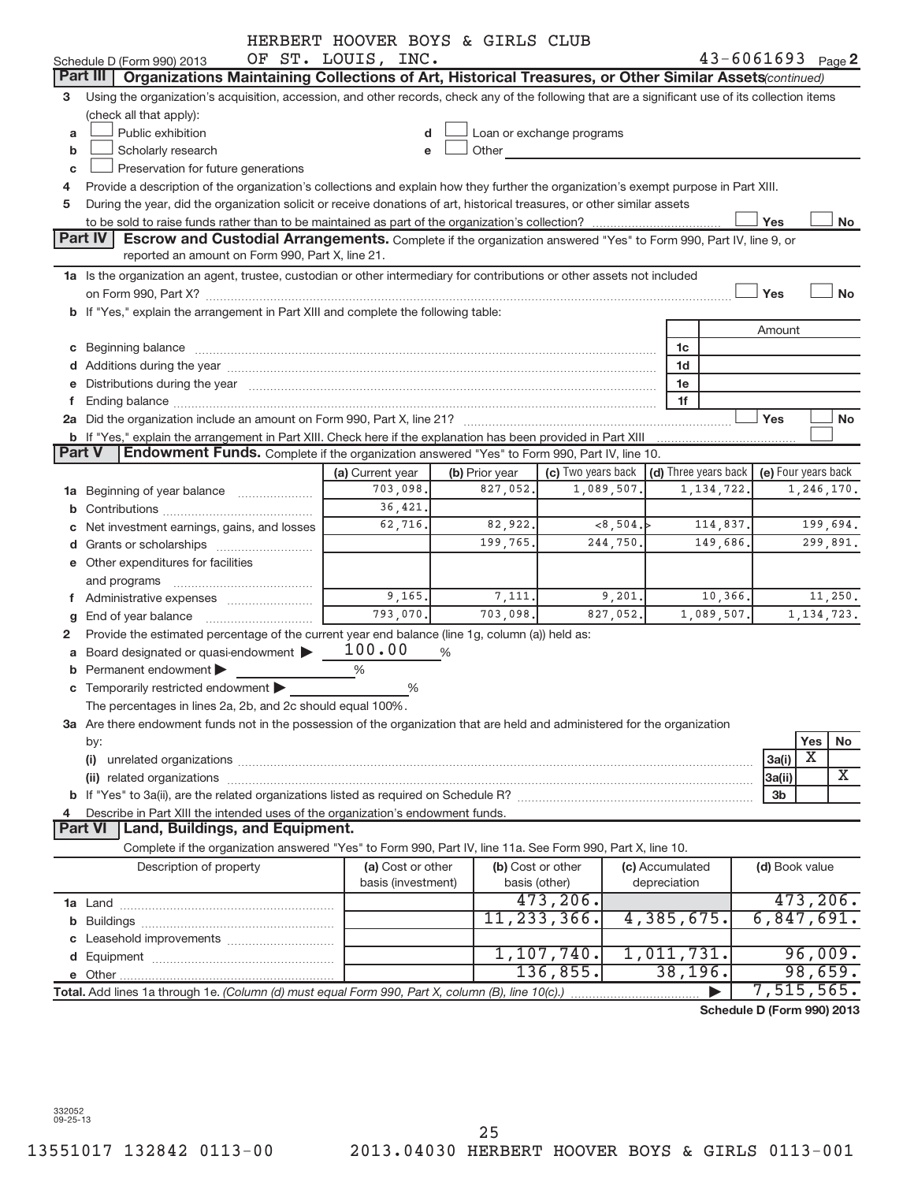|               |                                                                                                                                                                                                                               | HERBERT HOOVER BOYS & GIRLS CLUB |                   |                                                                                                                                                                                                                                |                 |                            |                     |     |              |
|---------------|-------------------------------------------------------------------------------------------------------------------------------------------------------------------------------------------------------------------------------|----------------------------------|-------------------|--------------------------------------------------------------------------------------------------------------------------------------------------------------------------------------------------------------------------------|-----------------|----------------------------|---------------------|-----|--------------|
|               | Schedule D (Form 990) 2013                                                                                                                                                                                                    | OF ST. LOUIS, INC.               |                   |                                                                                                                                                                                                                                |                 | $43 - 6061693$ Page 2      |                     |     |              |
|               | Part III   Organizations Maintaining Collections of Art, Historical Treasures, or Other Similar Assets(continued)                                                                                                             |                                  |                   |                                                                                                                                                                                                                                |                 |                            |                     |     |              |
| 3             | Using the organization's acquisition, accession, and other records, check any of the following that are a significant use of its collection items<br>(check all that apply):                                                  |                                  |                   |                                                                                                                                                                                                                                |                 |                            |                     |     |              |
| a             | Public exhibition                                                                                                                                                                                                             | d                                |                   | Loan or exchange programs                                                                                                                                                                                                      |                 |                            |                     |     |              |
| b             | Scholarly research                                                                                                                                                                                                            |                                  |                   | Other the contract of the contract of the contract of the contract of the contract of the contract of the contract of the contract of the contract of the contract of the contract of the contract of the contract of the cont |                 |                            |                     |     |              |
| c             | Preservation for future generations                                                                                                                                                                                           |                                  |                   |                                                                                                                                                                                                                                |                 |                            |                     |     |              |
|               | Provide a description of the organization's collections and explain how they further the organization's exempt purpose in Part XIII.                                                                                          |                                  |                   |                                                                                                                                                                                                                                |                 |                            |                     |     |              |
| 5             | During the year, did the organization solicit or receive donations of art, historical treasures, or other similar assets                                                                                                      |                                  |                   |                                                                                                                                                                                                                                |                 |                            |                     |     |              |
|               |                                                                                                                                                                                                                               |                                  |                   |                                                                                                                                                                                                                                |                 |                            | Yes                 |     | No           |
|               | <b>Part IV</b><br><b>Escrow and Custodial Arrangements.</b> Complete if the organization answered "Yes" to Form 990, Part IV, line 9, or                                                                                      |                                  |                   |                                                                                                                                                                                                                                |                 |                            |                     |     |              |
|               | reported an amount on Form 990, Part X, line 21.                                                                                                                                                                              |                                  |                   |                                                                                                                                                                                                                                |                 |                            |                     |     |              |
|               | 1a Is the organization an agent, trustee, custodian or other intermediary for contributions or other assets not included                                                                                                      |                                  |                   |                                                                                                                                                                                                                                |                 |                            |                     |     |              |
|               |                                                                                                                                                                                                                               |                                  |                   |                                                                                                                                                                                                                                |                 |                            | Yes                 |     | <b>No</b>    |
|               | b If "Yes," explain the arrangement in Part XIII and complete the following table:                                                                                                                                            |                                  |                   |                                                                                                                                                                                                                                |                 |                            |                     |     |              |
|               |                                                                                                                                                                                                                               |                                  |                   |                                                                                                                                                                                                                                |                 |                            |                     |     |              |
|               |                                                                                                                                                                                                                               |                                  |                   |                                                                                                                                                                                                                                |                 |                            | Amount              |     |              |
|               |                                                                                                                                                                                                                               |                                  |                   |                                                                                                                                                                                                                                | 1c              |                            |                     |     |              |
|               |                                                                                                                                                                                                                               |                                  |                   |                                                                                                                                                                                                                                | 1d              |                            |                     |     |              |
|               | e Distributions during the year manufactured and continuum control of the control of the control of the state of the control of the control of the control of the control of the control of the control of the control of the |                                  |                   |                                                                                                                                                                                                                                | 1e              |                            |                     |     |              |
|               |                                                                                                                                                                                                                               |                                  |                   |                                                                                                                                                                                                                                | 1f              |                            |                     |     |              |
|               | 2a Did the organization include an amount on Form 990, Part X, line 21? [11] manu-content content content content of the organization include an amount on Form 990, Part X, line 21?                                         |                                  |                   |                                                                                                                                                                                                                                |                 |                            | Yes                 |     | No           |
|               | b If "Yes," explain the arrangement in Part XIII. Check here if the explanation has been provided in Part XIII                                                                                                                |                                  |                   |                                                                                                                                                                                                                                |                 |                            |                     |     |              |
| <b>Part V</b> | Endowment Funds. Complete if the organization answered "Yes" to Form 990, Part IV, line 10.                                                                                                                                   |                                  |                   |                                                                                                                                                                                                                                |                 |                            |                     |     |              |
|               |                                                                                                                                                                                                                               | (a) Current year                 | (b) Prior year    | (c) Two years back $\vert$ (d) Three years back $\vert$                                                                                                                                                                        |                 |                            | (e) Four years back |     |              |
|               | 1a Beginning of year balance                                                                                                                                                                                                  | 703,098.                         | 827,052.          | 1,089,507.                                                                                                                                                                                                                     |                 | 1,134,722                  |                     |     | 1,246,170.   |
|               |                                                                                                                                                                                                                               | 36,421.                          |                   |                                                                                                                                                                                                                                |                 |                            |                     |     |              |
|               | c Net investment earnings, gains, and losses                                                                                                                                                                                  | 62,716.                          | 82,922.           | <8,504.                                                                                                                                                                                                                        |                 | 114,837.                   |                     |     | 199,694.     |
|               |                                                                                                                                                                                                                               |                                  | 199,765.          | 244,750.                                                                                                                                                                                                                       |                 | 149,686.                   |                     |     | 299,891.     |
|               | e Other expenditures for facilities                                                                                                                                                                                           |                                  |                   |                                                                                                                                                                                                                                |                 |                            |                     |     |              |
|               | and programs                                                                                                                                                                                                                  |                                  |                   |                                                                                                                                                                                                                                |                 |                            |                     |     |              |
|               | f Administrative expenses <i></i>                                                                                                                                                                                             | 9,165.                           | 7,111.            | 9,201.                                                                                                                                                                                                                         |                 | 10,366.                    |                     |     | 11,250.      |
|               | <b>g</b> End of year balance $\ldots$                                                                                                                                                                                         | 793,070.                         | 703,098.          | 827,052.                                                                                                                                                                                                                       |                 | 1,089,507.                 |                     |     | 1, 134, 723. |
| 2             | Provide the estimated percentage of the current year end balance (line 1g, column (a)) held as:                                                                                                                               |                                  |                   |                                                                                                                                                                                                                                |                 |                            |                     |     |              |
|               | a Board designated or quasi-endowment >                                                                                                                                                                                       | 100.00                           | %                 |                                                                                                                                                                                                                                |                 |                            |                     |     |              |
|               | <b>b</b> Permanent endowment $\blacktriangleright$                                                                                                                                                                            | $\frac{0}{0}$                    |                   |                                                                                                                                                                                                                                |                 |                            |                     |     |              |
|               | c Temporarily restricted endowment                                                                                                                                                                                            | $\%$                             |                   |                                                                                                                                                                                                                                |                 |                            |                     |     |              |
|               | The percentages in lines 2a, 2b, and 2c should equal 100%.                                                                                                                                                                    |                                  |                   |                                                                                                                                                                                                                                |                 |                            |                     |     |              |
|               | 3a Are there endowment funds not in the possession of the organization that are held and administered for the organization                                                                                                    |                                  |                   |                                                                                                                                                                                                                                |                 |                            |                     |     |              |
|               |                                                                                                                                                                                                                               |                                  |                   |                                                                                                                                                                                                                                |                 |                            |                     | Yes | No           |
|               | by:                                                                                                                                                                                                                           |                                  |                   |                                                                                                                                                                                                                                |                 |                            | 3a(i)               | X   |              |
|               |                                                                                                                                                                                                                               |                                  |                   |                                                                                                                                                                                                                                |                 |                            |                     |     | X            |
|               |                                                                                                                                                                                                                               |                                  |                   |                                                                                                                                                                                                                                |                 |                            | 3a(ii)              |     |              |
|               |                                                                                                                                                                                                                               |                                  |                   |                                                                                                                                                                                                                                |                 |                            | 3b                  |     |              |
|               | Describe in Part XIII the intended uses of the organization's endowment funds.                                                                                                                                                |                                  |                   |                                                                                                                                                                                                                                |                 |                            |                     |     |              |
|               | <b>Land, Buildings, and Equipment.</b><br><b>Part VI</b>                                                                                                                                                                      |                                  |                   |                                                                                                                                                                                                                                |                 |                            |                     |     |              |
|               | Complete if the organization answered "Yes" to Form 990, Part IV, line 11a. See Form 990, Part X, line 10.                                                                                                                    |                                  |                   |                                                                                                                                                                                                                                |                 |                            |                     |     |              |
|               | Description of property                                                                                                                                                                                                       | (a) Cost or other                | (b) Cost or other |                                                                                                                                                                                                                                | (c) Accumulated |                            | (d) Book value      |     |              |
|               |                                                                                                                                                                                                                               | basis (investment)               | basis (other)     |                                                                                                                                                                                                                                | depreciation    |                            |                     |     |              |
|               |                                                                                                                                                                                                                               |                                  |                   | 473, 206.                                                                                                                                                                                                                      |                 |                            |                     |     | 473, 206.    |
|               |                                                                                                                                                                                                                               |                                  |                   | 11, 233, 366.                                                                                                                                                                                                                  | 4,385,675.      |                            | 6,847,691.          |     |              |
|               |                                                                                                                                                                                                                               |                                  |                   |                                                                                                                                                                                                                                |                 |                            |                     |     |              |
|               |                                                                                                                                                                                                                               |                                  |                   | 1,107,740.                                                                                                                                                                                                                     | 1,011,731.      |                            |                     |     | 96,009.      |
|               |                                                                                                                                                                                                                               |                                  |                   | 136,855.                                                                                                                                                                                                                       | 38, 196.        |                            |                     |     | 98,659.      |
|               | Total. Add lines 1a through 1e. (Column (d) must equal Form 990, Part X, column (B), line 10(c).)                                                                                                                             |                                  |                   |                                                                                                                                                                                                                                |                 |                            | 7,515,565.          |     |              |
|               |                                                                                                                                                                                                                               |                                  |                   |                                                                                                                                                                                                                                |                 | Schedule D (Form 990) 2013 |                     |     |              |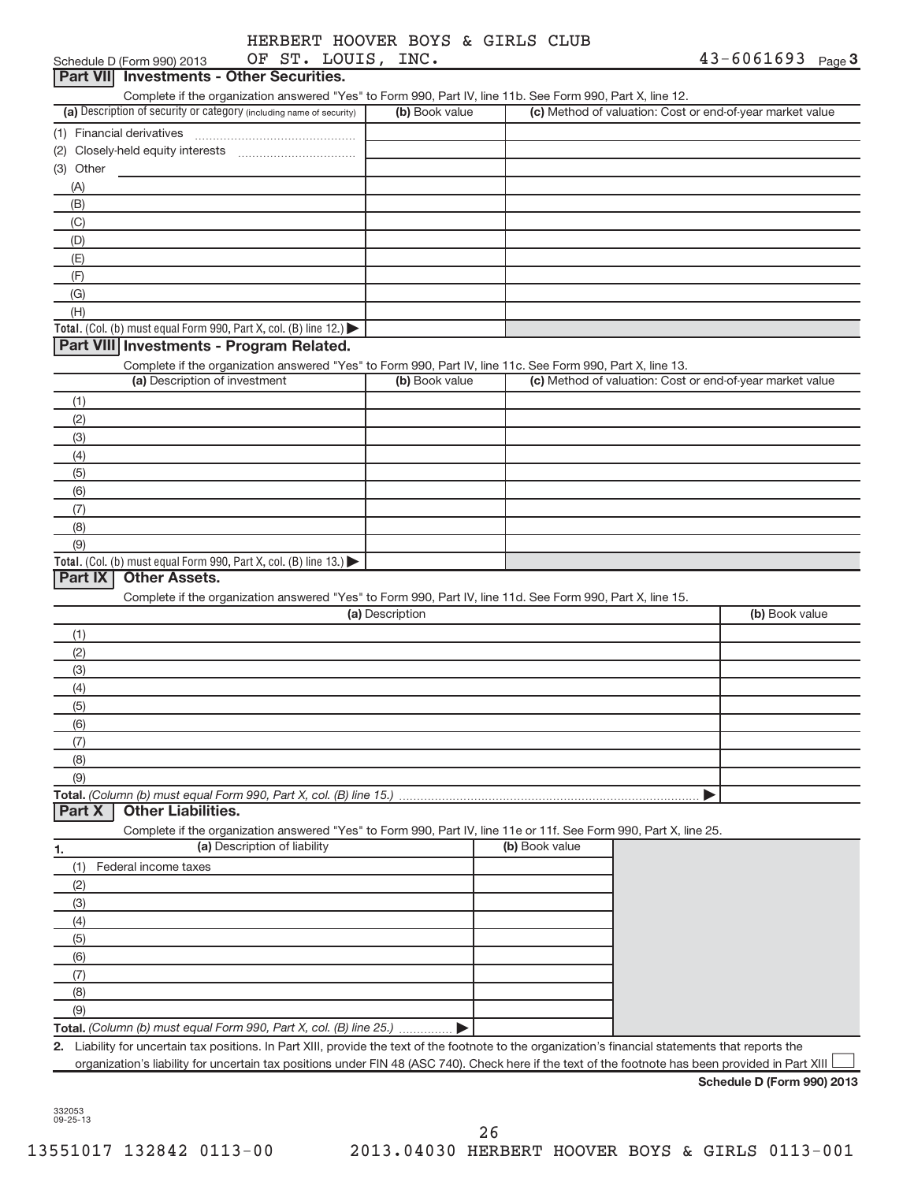|  | HERBERT HOOVER BOYS & GIRLS CLUB |  |  |
|--|----------------------------------|--|--|
|  | OF ST LOUTS TNO                  |  |  |

| OF ST. LOUIS, INC.<br>Schedule D (Form 990) 2013                                                                                                  |                 |                                                           | $43 - 6061693$ Page 3 |
|---------------------------------------------------------------------------------------------------------------------------------------------------|-----------------|-----------------------------------------------------------|-----------------------|
| <b>Part VII</b> Investments - Other Securities.                                                                                                   |                 |                                                           |                       |
| Complete if the organization answered "Yes" to Form 990, Part IV, line 11b. See Form 990, Part X, line 12.                                        |                 |                                                           |                       |
| (a) Description of security or category (including name of security)                                                                              | (b) Book value  | (c) Method of valuation: Cost or end-of-year market value |                       |
| (1) Financial derivatives                                                                                                                         |                 |                                                           |                       |
|                                                                                                                                                   |                 |                                                           |                       |
| (3) Other                                                                                                                                         |                 |                                                           |                       |
| (A)                                                                                                                                               |                 |                                                           |                       |
| (B)                                                                                                                                               |                 |                                                           |                       |
| (C)                                                                                                                                               |                 |                                                           |                       |
| (D)                                                                                                                                               |                 |                                                           |                       |
| (E)                                                                                                                                               |                 |                                                           |                       |
| (F)                                                                                                                                               |                 |                                                           |                       |
| (G)                                                                                                                                               |                 |                                                           |                       |
| (H)                                                                                                                                               |                 |                                                           |                       |
| Total. (Col. (b) must equal Form 990, Part X, col. (B) line 12.)<br>Part VIII Investments - Program Related.                                      |                 |                                                           |                       |
|                                                                                                                                                   |                 |                                                           |                       |
| Complete if the organization answered "Yes" to Form 990, Part IV, line 11c. See Form 990, Part X, line 13.<br>(a) Description of investment       | (b) Book value  | (c) Method of valuation: Cost or end-of-year market value |                       |
| (1)                                                                                                                                               |                 |                                                           |                       |
| (2)                                                                                                                                               |                 |                                                           |                       |
| (3)                                                                                                                                               |                 |                                                           |                       |
| (4)                                                                                                                                               |                 |                                                           |                       |
| (5)                                                                                                                                               |                 |                                                           |                       |
| (6)                                                                                                                                               |                 |                                                           |                       |
| (7)                                                                                                                                               |                 |                                                           |                       |
| (8)                                                                                                                                               |                 |                                                           |                       |
| (9)                                                                                                                                               |                 |                                                           |                       |
| Total. (Col. (b) must equal Form 990, Part X, col. (B) line 13.)                                                                                  |                 |                                                           |                       |
| <b>Part IX</b><br><b>Other Assets.</b>                                                                                                            |                 |                                                           |                       |
| Complete if the organization answered "Yes" to Form 990, Part IV, line 11d. See Form 990, Part X, line 15.                                        |                 |                                                           |                       |
|                                                                                                                                                   | (a) Description |                                                           | (b) Book value        |
| (1)                                                                                                                                               |                 |                                                           |                       |
| (2)                                                                                                                                               |                 |                                                           |                       |
| (3)                                                                                                                                               |                 |                                                           |                       |
| (4)                                                                                                                                               |                 |                                                           |                       |
| (5)                                                                                                                                               |                 |                                                           |                       |
| (6)                                                                                                                                               |                 |                                                           |                       |
| (7)                                                                                                                                               |                 |                                                           |                       |
| (8)                                                                                                                                               |                 |                                                           |                       |
| (9)                                                                                                                                               |                 |                                                           |                       |
| Total. (Column (b) must equal Form 990, Part X, col. (B) line 15.).<br><b>Other Liabilities.</b><br><b>Part X</b>                                 |                 |                                                           |                       |
|                                                                                                                                                   |                 |                                                           |                       |
| Complete if the organization answered "Yes" to Form 990, Part IV, line 11e or 11f. See Form 990, Part X, line 25.<br>(a) Description of liability |                 | (b) Book value                                            |                       |
| 1.                                                                                                                                                |                 |                                                           |                       |
| Federal income taxes<br>(1)<br>(2)                                                                                                                |                 |                                                           |                       |
| (3)                                                                                                                                               |                 |                                                           |                       |
| (4)                                                                                                                                               |                 |                                                           |                       |
| (5)                                                                                                                                               |                 |                                                           |                       |
| (6)                                                                                                                                               |                 |                                                           |                       |
| (7)                                                                                                                                               |                 |                                                           |                       |
| (8)                                                                                                                                               |                 |                                                           |                       |
| (9)                                                                                                                                               |                 |                                                           |                       |
|                                                                                                                                                   |                 |                                                           |                       |

**Total.** *(Column (b) must equal Form 990, Part X, col. (B) line 25.)*

**2.** Liability for uncertain tax positions. In Part XIII, provide the text of the footnote to the organization's financial statements that reports the organization's liability for uncertain tax positions under FIN 48 (ASC 740). Check here if the text of the footnote has been provided in Part XIII  $\Box$ 

 $\blacktriangleright$ 

**Schedule D (Form 990) 2013**

**Contract Contract**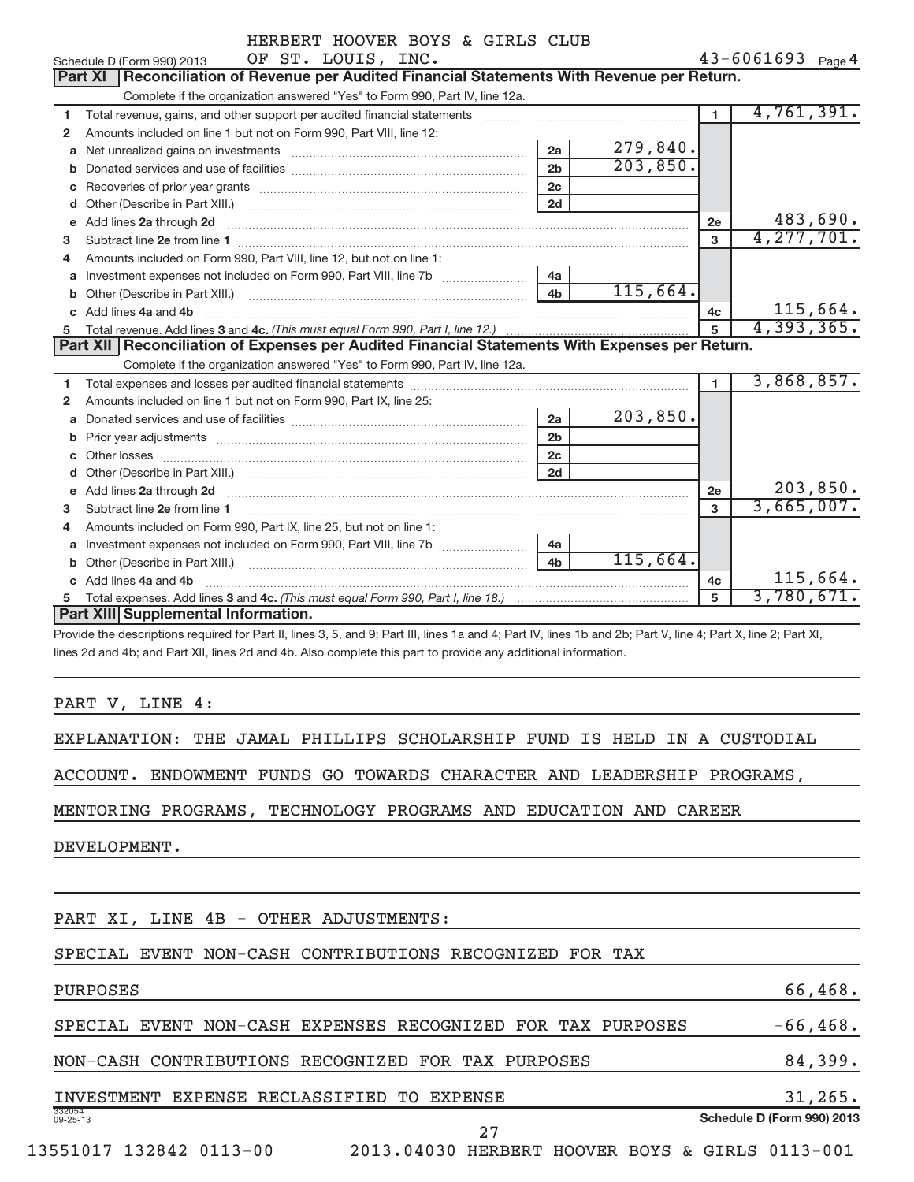|              | MANDANI MOOVAN DOID & GINAD CAOD<br>OF ST. LOUIS, INC.<br>Schedule D (Form 990) 2013                                                                                                                                                |                |          |                | 43-6061693 Page 4 |
|--------------|-------------------------------------------------------------------------------------------------------------------------------------------------------------------------------------------------------------------------------------|----------------|----------|----------------|-------------------|
|              | Reconciliation of Revenue per Audited Financial Statements With Revenue per Return.<br>Part XI                                                                                                                                      |                |          |                |                   |
|              | Complete if the organization answered "Yes" to Form 990, Part IV, line 12a.                                                                                                                                                         |                |          |                |                   |
| 1            | Total revenue, gains, and other support per audited financial statements                                                                                                                                                            |                |          | $\blacksquare$ | 4,761,391.        |
| 2            | Amounts included on line 1 but not on Form 990, Part VIII, line 12:                                                                                                                                                                 |                |          |                |                   |
| a            |                                                                                                                                                                                                                                     | 2a             | 279,840. |                |                   |
|              |                                                                                                                                                                                                                                     | 2 <sub>b</sub> | 203,850. |                |                   |
| С            |                                                                                                                                                                                                                                     | 2 <sub>c</sub> |          |                |                   |
| d            |                                                                                                                                                                                                                                     | 2d             |          |                |                   |
| e            | Add lines 2a through 2d                                                                                                                                                                                                             |                |          | 2e             | 483,690.          |
| з            |                                                                                                                                                                                                                                     |                |          | 3              | 4, 277, 701.      |
| 4            | Amounts included on Form 990, Part VIII, line 12, but not on line 1:                                                                                                                                                                |                |          |                |                   |
| a            | Investment expenses not included on Form 990, Part VIII, line 7b [11,111]                                                                                                                                                           | 4a             |          |                |                   |
|              |                                                                                                                                                                                                                                     | 4 <sub>b</sub> | 115,664. |                |                   |
|              | c Add lines 4a and 4b                                                                                                                                                                                                               |                |          | 4c             | 115,664.          |
| 5.           |                                                                                                                                                                                                                                     |                |          |                | 4,393,365.        |
|              | Part XII   Reconciliation of Expenses per Audited Financial Statements With Expenses per Return.                                                                                                                                    |                |          |                |                   |
|              | Complete if the organization answered "Yes" to Form 990, Part IV, line 12a.                                                                                                                                                         |                |          |                |                   |
| 1            | Total expenses and losses per audited financial statements [111] [12] manuscription and statements [15] Total expenses and losses per audited financial statements [11] manuscription and the statements of the statements of       |                |          | $\blacksquare$ | 3,868,857.        |
| $\mathbf{2}$ | Amounts included on line 1 but not on Form 990, Part IX, line 25:                                                                                                                                                                   |                |          |                |                   |
| a            |                                                                                                                                                                                                                                     | 2a             | 203,850. |                |                   |
| b            |                                                                                                                                                                                                                                     | 2 <sub>b</sub> |          |                |                   |
|              |                                                                                                                                                                                                                                     | 2c             |          |                |                   |
|              |                                                                                                                                                                                                                                     | 2d             |          |                |                   |
|              | e Add lines 2a through 2d <b>Martin Martin Community</b> and a filter and a filter and a filter and a filter and a filter and a filter and a filter and a filter and a filter and a filter and a filter and a filter and a filter a |                |          | 2e             | 203,850.          |
| З.           |                                                                                                                                                                                                                                     |                |          | 3              | 3,665,007.        |
| 4            | Amounts included on Form 990, Part IX, line 25, but not on line 1:                                                                                                                                                                  |                |          |                |                   |
|              | Investment expenses not included on Form 990, Part VIII, line 7b [100] [100] [100] [100] [100] [100] [100] [10                                                                                                                      | 4a             |          |                |                   |
| b.           |                                                                                                                                                                                                                                     | 4 <sub>b</sub> | 115,664. |                |                   |
|              | Add lines 4a and 4b                                                                                                                                                                                                                 |                |          | 4c             | 115,664.          |
|              |                                                                                                                                                                                                                                     |                |          | 5              | 3,780,671.        |
|              | Part XIII Supplemental Information.                                                                                                                                                                                                 |                |          |                |                   |

Provide the descriptions required for Part II, lines 3, 5, and 9; Part III, lines 1a and 4; Part IV, lines 1b and 2b; Part V, line 4; Part X, line 2; Part XI, lines 2d and 4b; and Part XII, lines 2d and 4b. Also complete this part to provide any additional information.

PART V, LINE 4:

EXPLANATION: THE JAMAL PHILLIPS SCHOLARSHIP FUND IS HELD IN A CUSTODIAL

ACCOUNT. ENDOWMENT FUNDS GO TOWARDS CHARACTER AND LEADERSHIP PROGRAMS,

MENTORING PROGRAMS, TECHNOLOGY PROGRAMS AND EDUCATION AND CAREER

DEVELOPMENT.

PART XI, LINE 4B - OTHER ADJUSTMENTS:

#### SPECIAL EVENT NON-CASH CONTRIBUTIONS RECOGNIZED FOR TAX

PURPOSES 66,468.

SPECIAL EVENT NON-CASH EXPENSES RECOGNIZED FOR TAX PURPOSES -66,468.

NON-CASH CONTRIBUTIONS RECOGNIZED FOR TAX PURPOSES 84,399.

|                          |  | INVESTMENT EXPENSE RECLASSIFIED TO EXPENSE |  |                                                 |  |  | $31,265$ .                 |  |
|--------------------------|--|--------------------------------------------|--|-------------------------------------------------|--|--|----------------------------|--|
| 332054<br>$09 - 25 - 13$ |  |                                            |  |                                                 |  |  | Schedule D (Form 990) 2013 |  |
|                          |  |                                            |  |                                                 |  |  |                            |  |
| 13551017 132842 0113-00  |  |                                            |  | 2013.04030 HERBERT HOOVER BOYS & GIRLS 0113-001 |  |  |                            |  |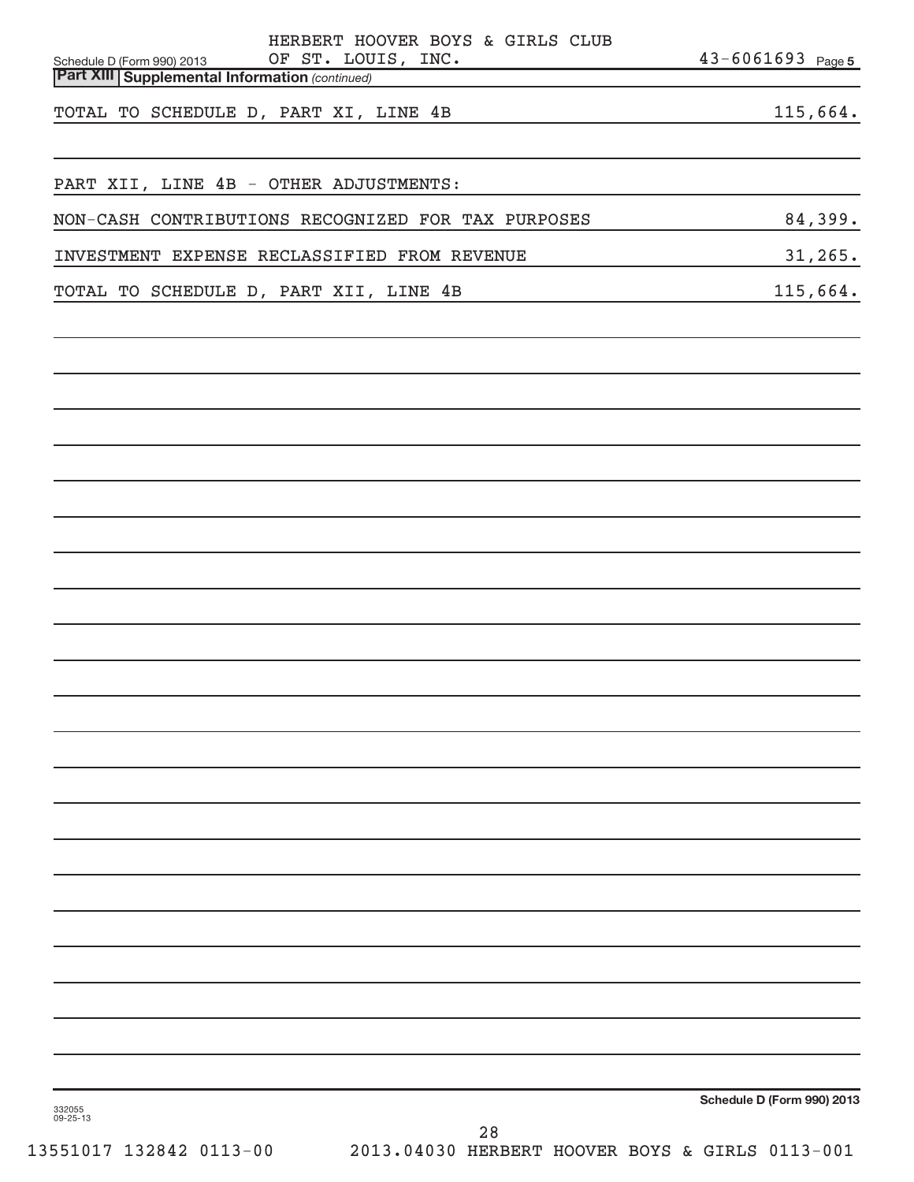| HERBERT HOOVER BOYS & GIRLS CLUB<br>OF ST. LOUIS, INC.<br>$\begin{array}{c} \begin{array}{c} \begin{array}{c} \begin{array}{c} \end{array} \\ \begin{array}{c} \end{array} \end{array} \end{array} \end{array} \end{array} \end{array} \end{array} \begin{array}{c} \begin{array}{c} \begin{array}{c} \end{array} \\ \begin{array}{c} \end{array} \end{array} \end{array} \begin{array}{c} \begin{array}{c} \end{array} \end{array} \end{array} \begin{array}{c} \begin{array}{c} \end{array} \end{array} \end{array} \begin{array}{c} \begin{array}{c} \end{array} \end{array} \end{array} \begin{array}{c} \$<br>Schedule D (Form 990) 2013 | $43 - 6061693$ Page 5      |
|-----------------------------------------------------------------------------------------------------------------------------------------------------------------------------------------------------------------------------------------------------------------------------------------------------------------------------------------------------------------------------------------------------------------------------------------------------------------------------------------------------------------------------------------------------------------------------------------------------------------------------------------------|----------------------------|
| <b>Part XIII Supplemental Information (continued)</b>                                                                                                                                                                                                                                                                                                                                                                                                                                                                                                                                                                                         |                            |
| TOTAL TO SCHEDULE D, PART XI, LINE 4B<br><u> 1989 - Johann Barn, mars ann an t-Amhain Aonaich an t-Aonaich an t-Aonaich ann an t-Aonaich ann an t-Aonaich</u>                                                                                                                                                                                                                                                                                                                                                                                                                                                                                 | 115,664.                   |
|                                                                                                                                                                                                                                                                                                                                                                                                                                                                                                                                                                                                                                               |                            |
| PART XII, LINE 4B - OTHER ADJUSTMENTS:                                                                                                                                                                                                                                                                                                                                                                                                                                                                                                                                                                                                        |                            |
| NON-CASH CONTRIBUTIONS RECOGNIZED FOR TAX PURPOSES                                                                                                                                                                                                                                                                                                                                                                                                                                                                                                                                                                                            | 84,399.                    |
| INVESTMENT EXPENSE RECLASSIFIED FROM REVENUE                                                                                                                                                                                                                                                                                                                                                                                                                                                                                                                                                                                                  | 31,265.                    |
| TOTAL TO SCHEDULE D, PART XII, LINE 4B<br><u> 1989 - Johann Barn, mars ann an t-Amhair an t-Amhair an t-Amhair an t-Amhair an t-Amhair an t-Amhair an t-Amh</u>                                                                                                                                                                                                                                                                                                                                                                                                                                                                               | 115,664.                   |
|                                                                                                                                                                                                                                                                                                                                                                                                                                                                                                                                                                                                                                               |                            |
|                                                                                                                                                                                                                                                                                                                                                                                                                                                                                                                                                                                                                                               |                            |
|                                                                                                                                                                                                                                                                                                                                                                                                                                                                                                                                                                                                                                               |                            |
|                                                                                                                                                                                                                                                                                                                                                                                                                                                                                                                                                                                                                                               |                            |
|                                                                                                                                                                                                                                                                                                                                                                                                                                                                                                                                                                                                                                               |                            |
|                                                                                                                                                                                                                                                                                                                                                                                                                                                                                                                                                                                                                                               |                            |
|                                                                                                                                                                                                                                                                                                                                                                                                                                                                                                                                                                                                                                               |                            |
|                                                                                                                                                                                                                                                                                                                                                                                                                                                                                                                                                                                                                                               |                            |
|                                                                                                                                                                                                                                                                                                                                                                                                                                                                                                                                                                                                                                               |                            |
|                                                                                                                                                                                                                                                                                                                                                                                                                                                                                                                                                                                                                                               |                            |
|                                                                                                                                                                                                                                                                                                                                                                                                                                                                                                                                                                                                                                               |                            |
|                                                                                                                                                                                                                                                                                                                                                                                                                                                                                                                                                                                                                                               |                            |
|                                                                                                                                                                                                                                                                                                                                                                                                                                                                                                                                                                                                                                               |                            |
|                                                                                                                                                                                                                                                                                                                                                                                                                                                                                                                                                                                                                                               |                            |
|                                                                                                                                                                                                                                                                                                                                                                                                                                                                                                                                                                                                                                               |                            |
|                                                                                                                                                                                                                                                                                                                                                                                                                                                                                                                                                                                                                                               |                            |
|                                                                                                                                                                                                                                                                                                                                                                                                                                                                                                                                                                                                                                               |                            |
|                                                                                                                                                                                                                                                                                                                                                                                                                                                                                                                                                                                                                                               |                            |
|                                                                                                                                                                                                                                                                                                                                                                                                                                                                                                                                                                                                                                               |                            |
|                                                                                                                                                                                                                                                                                                                                                                                                                                                                                                                                                                                                                                               |                            |
|                                                                                                                                                                                                                                                                                                                                                                                                                                                                                                                                                                                                                                               |                            |
|                                                                                                                                                                                                                                                                                                                                                                                                                                                                                                                                                                                                                                               |                            |
| 332055<br>09-25-13<br>28                                                                                                                                                                                                                                                                                                                                                                                                                                                                                                                                                                                                                      | Schedule D (Form 990) 2013 |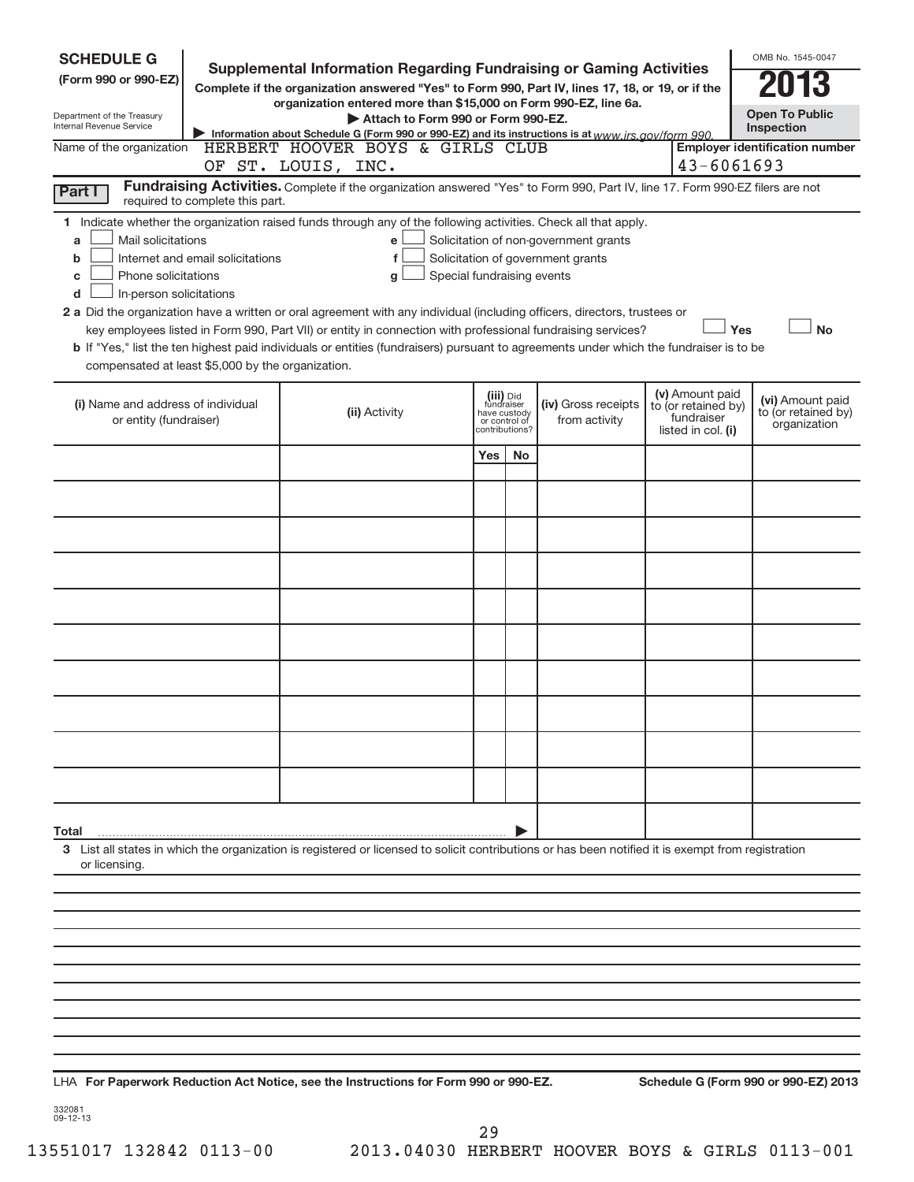| <b>SCHEDULE G</b>                                            |                                  | <b>Supplemental Information Regarding Fundraising or Gaming Activities</b>                                                                         |                                                 |    |                                       |                                                         | OMB No. 1545-0047                     |
|--------------------------------------------------------------|----------------------------------|----------------------------------------------------------------------------------------------------------------------------------------------------|-------------------------------------------------|----|---------------------------------------|---------------------------------------------------------|---------------------------------------|
| (Form 990 or 990-EZ)                                         |                                  | Complete if the organization answered "Yes" to Form 990, Part IV, lines 17, 18, or 19, or if the                                                   |                                                 |    |                                       |                                                         |                                       |
| Department of the Treasury                                   |                                  | organization entered more than \$15,000 on Form 990-EZ, line 6a.                                                                                   |                                                 |    |                                       |                                                         | <b>Open To Public</b>                 |
| Internal Revenue Service                                     |                                  | Attach to Form 990 or Form 990-EZ.<br>Information about Schedule G (Form 990 or 990-EZ) and its instructions is at www.irs.gov/form 990.           |                                                 |    |                                       |                                                         | Inspection                            |
| Name of the organization                                     |                                  | HERBERT HOOVER BOYS & GIRLS CLUB<br>OF ST. LOUIS, INC.                                                                                             |                                                 |    |                                       | 43-6061693                                              | <b>Employer identification number</b> |
| Part I                                                       | required to complete this part.  | Fundraising Activities. Complete if the organization answered "Yes" to Form 990, Part IV, line 17. Form 990-EZ filers are not                      |                                                 |    |                                       |                                                         |                                       |
|                                                              |                                  | 1 Indicate whether the organization raised funds through any of the following activities. Check all that apply.                                    |                                                 |    |                                       |                                                         |                                       |
| Mail solicitations<br>a                                      |                                  | e                                                                                                                                                  |                                                 |    | Solicitation of non-government grants |                                                         |                                       |
| b                                                            | Internet and email solicitations | f                                                                                                                                                  |                                                 |    | Solicitation of government grants     |                                                         |                                       |
| Phone solicitations<br>c                                     |                                  | Special fundraising events<br>g                                                                                                                    |                                                 |    |                                       |                                                         |                                       |
| In-person solicitations<br>d                                 |                                  | 2 a Did the organization have a written or oral agreement with any individual (including officers, directors, trustees or                          |                                                 |    |                                       |                                                         |                                       |
|                                                              |                                  | key employees listed in Form 990, Part VII) or entity in connection with professional fundraising services?                                        |                                                 |    |                                       | Yes                                                     | No                                    |
| compensated at least \$5,000 by the organization.            |                                  | b If "Yes," list the ten highest paid individuals or entities (fundraisers) pursuant to agreements under which the fundraiser is to be             |                                                 |    |                                       |                                                         |                                       |
|                                                              |                                  |                                                                                                                                                    | (iii) Did<br>fundraiser                         |    |                                       | (v) Amount paid                                         | (vi) Amount paid                      |
| (i) Name and address of individual<br>or entity (fundraiser) |                                  | (ii) Activity                                                                                                                                      | have custody<br>or control of<br>contributions? |    | (iv) Gross receipts<br>from activity  | to (or retained by)<br>fundraiser<br>listed in col. (i) | to (or retained by)<br>organization   |
|                                                              |                                  |                                                                                                                                                    | Yes                                             | No |                                       |                                                         |                                       |
|                                                              |                                  |                                                                                                                                                    |                                                 |    |                                       |                                                         |                                       |
|                                                              |                                  |                                                                                                                                                    |                                                 |    |                                       |                                                         |                                       |
|                                                              |                                  |                                                                                                                                                    |                                                 |    |                                       |                                                         |                                       |
|                                                              |                                  |                                                                                                                                                    |                                                 |    |                                       |                                                         |                                       |
|                                                              |                                  |                                                                                                                                                    |                                                 |    |                                       |                                                         |                                       |
|                                                              |                                  |                                                                                                                                                    |                                                 |    |                                       |                                                         |                                       |
|                                                              |                                  |                                                                                                                                                    |                                                 |    |                                       |                                                         |                                       |
|                                                              |                                  |                                                                                                                                                    |                                                 |    |                                       |                                                         |                                       |
|                                                              |                                  |                                                                                                                                                    |                                                 |    |                                       |                                                         |                                       |
|                                                              |                                  |                                                                                                                                                    |                                                 |    |                                       |                                                         |                                       |
| Total                                                        |                                  |                                                                                                                                                    |                                                 |    |                                       |                                                         |                                       |
| or licensing.                                                |                                  | 3 List all states in which the organization is registered or licensed to solicit contributions or has been notified it is exempt from registration |                                                 |    |                                       |                                                         |                                       |
|                                                              |                                  |                                                                                                                                                    |                                                 |    |                                       |                                                         |                                       |
|                                                              |                                  |                                                                                                                                                    |                                                 |    |                                       |                                                         |                                       |
|                                                              |                                  |                                                                                                                                                    |                                                 |    |                                       |                                                         |                                       |
|                                                              |                                  |                                                                                                                                                    |                                                 |    |                                       |                                                         |                                       |
|                                                              |                                  |                                                                                                                                                    |                                                 |    |                                       |                                                         |                                       |
|                                                              |                                  |                                                                                                                                                    |                                                 |    |                                       |                                                         |                                       |
|                                                              |                                  |                                                                                                                                                    |                                                 |    |                                       |                                                         |                                       |
|                                                              |                                  |                                                                                                                                                    |                                                 |    |                                       |                                                         |                                       |
|                                                              |                                  | LHA For Paperwork Reduction Act Notice, see the Instructions for Form 990 or 990-EZ.                                                               |                                                 |    |                                       |                                                         | Schedule G (Form 990 or 990-EZ) 2013  |

332081 09-12-13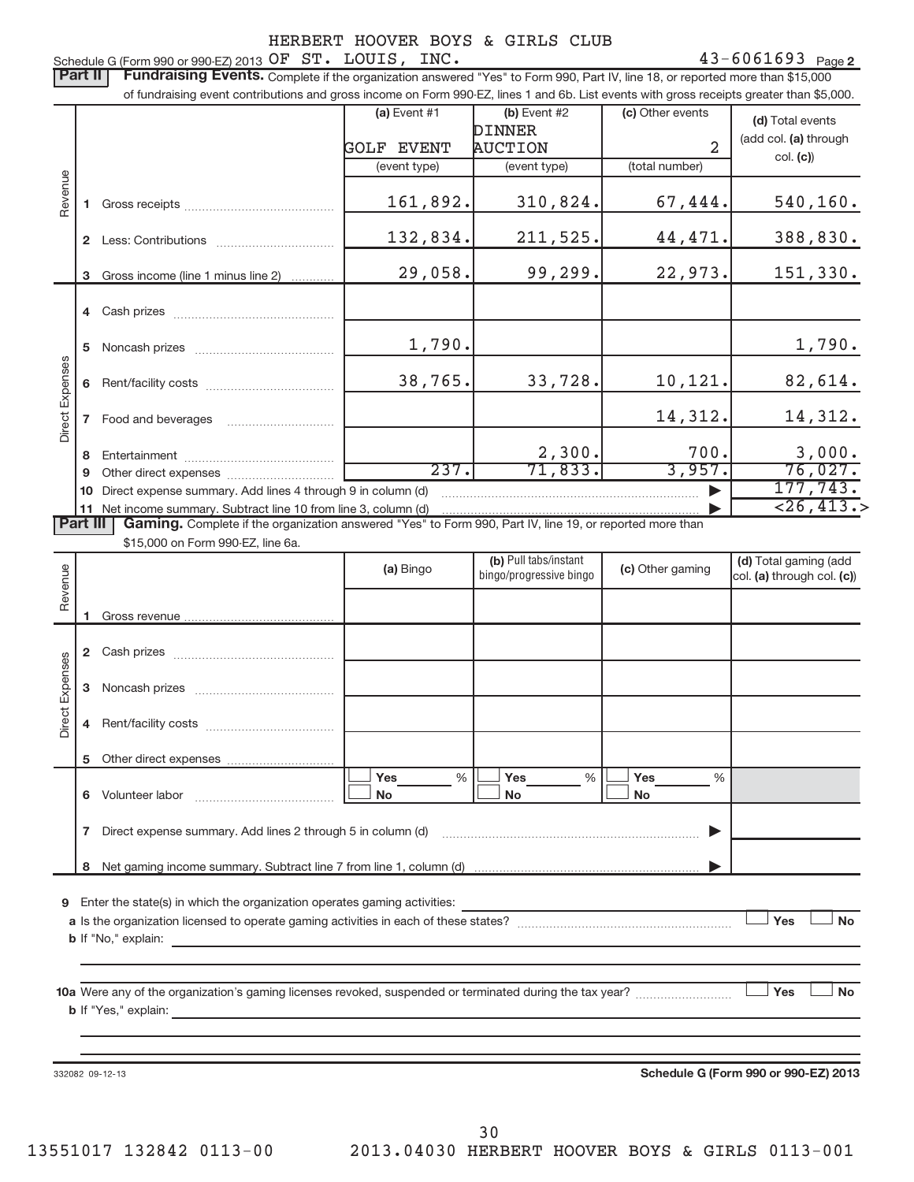Schedule G (Form 990 or 990-EZ) 2013  $OFST. LOUIS, INC.$ Part II | Fundraising Events. Complete if the organization answered "Yes" to Form 990, Part IV, line 18, or reported more than \$15,000 of fundraising event contributions and gross income on Form 990-EZ, lines 1 and 6b. List events with gross receipts greater than \$5,000.  $(a)$  Event #1  $(b)$  Event #2 (c) Other events **(d)** Total events DINNER (add col. (a) through AUCTION 2 GOLF EVENT col. **(c)**) (event type) (event type) (total number) Revenue 161,892. 310,824. 67,444. 540,160. **1** Gross receipts ~~~~~~~~~~~~~~ 132,834. 211,525. 44,471. 388,830. **2** Less: Contributions ................................... 29,058. 99,299. 22,973. 151,330. Gross income (line 1 minus line 2) **3**. . . . . . . . . . . **4** Cash prizes ~~~~~~~~~~~~~~~ 1,790. 1,790. **5** Noncash prizes ~~~~~~~~~~~~~ Direct Expenses Expenses 38,765. 33,728. 10,121. 82,614. **6** Rent/facility costs ~~~~~~~~~~~~ Direct 14,312. 14,312. **7** Food and beverages ……………………………… 2,300. 700. 3,000. **8** Entertainment ~~~~~~~~~~~~~~ 237. 71,833. 3,957. 76,027. **9** Other direct expenses  $\ldots$  **..........................** 177,743. **10** Direct expense summary. Add lines 4 through 9 in column (d) ~~~~~~~~~~~~~~~~~~~~~~~~ |  $<$ 26,413.> **11** Net income summary. Subtract line 10 from line 3, column (d) | Part III | Gaming. Complete if the organization answered "Yes" to Form 990, Part IV, line 19, or reported more than \$15,000 on Form 990-EZ, line 6a. (b) Pull tabs/instant (d) Total gaming (add **(a) (b) (c) (d)**  Revenue bingo/progressive bingocol. (a) through col. (c)) Gross revenue **12** Cash prizes ~~~~~~~~~~~~~~~ Expenses Direct Expenses **3** Noncash prizes ~~~~~~~~~~~~~ Direct **4** Rent/facility costs ~~~~~~~~~~~~ **5**Other direct expenses ---Yes % |└──<sup>|</sup> Yes % |└──<sup>|</sup> Yes %%% **6** Volunteer labor ---No |└──No |└──No volute er labor albor albor albor albor albor albor albor albor albor albor albor albor albor albor albor albo **7**Direct expense summary. Add lines 2 through 5 in column (d) ———————————————————————<del>→</del> Net gaming income summary. Subtract line 7 from line 1, column (d) **8** | **9**Enter the state(s) in which the organization operates gaming activities: -**Nes Yes Noa**Is the organization licensed to operate gaming activities in each of these states? ~~~~~~~~~~~~~~~~~~~~ **b** If "No," explain: **No-** -**10 a** Were any of the organization's gaming licenses revoked, suspended or terminated during the tax year? ~~~~~~~~~ **b** If "Yes," explain: **Schedule G (Form 990 or 990-EZ) 2013**332082 09-12-13 30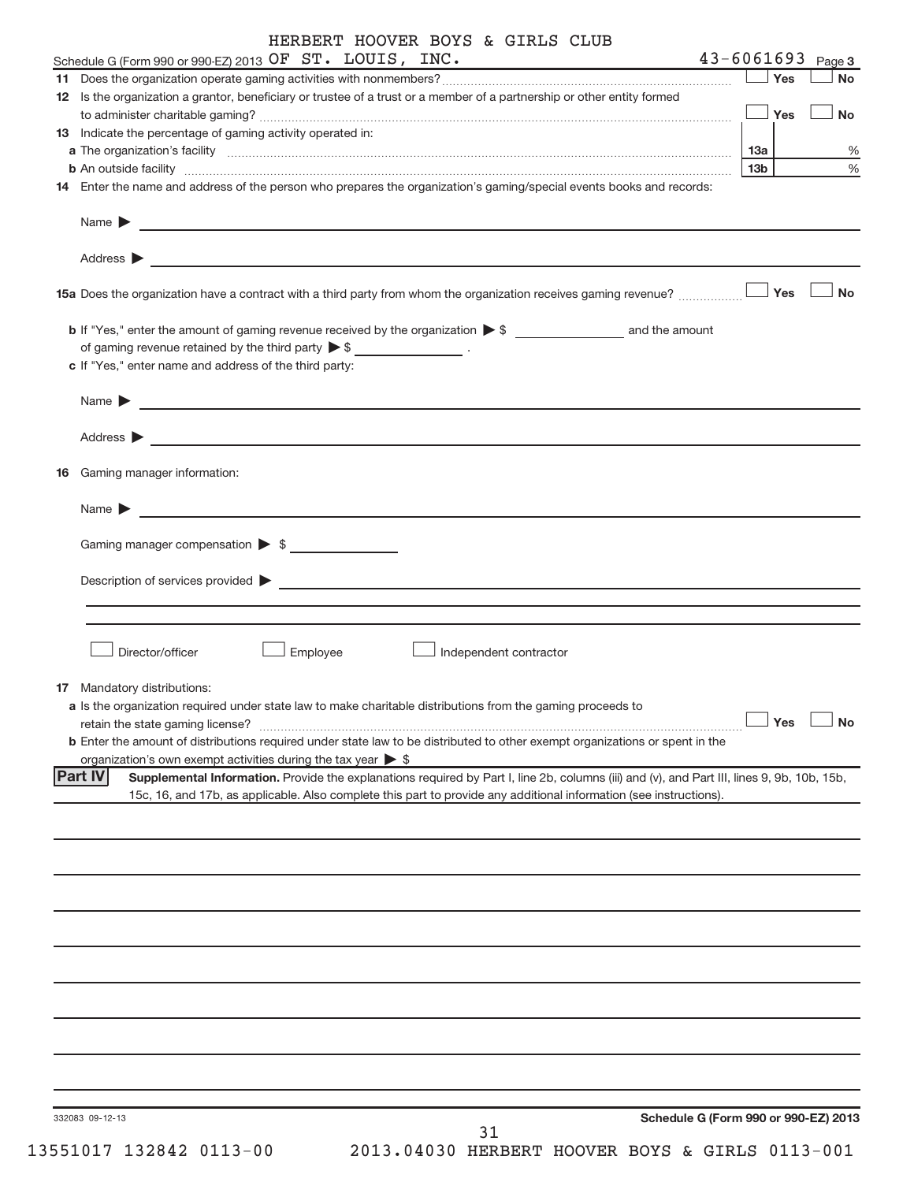#### HERBERT HOOVER BOYS & GIRLS CLUB OF ST. LOUIS, INC. 43-6061693

|    | Schedule G (Form 990 or 990-EZ) 2013 OF ST. LOUIS, INC.                                                                                                                                                                                                                             | $43 - 6061693$  |            | Page 3    |
|----|-------------------------------------------------------------------------------------------------------------------------------------------------------------------------------------------------------------------------------------------------------------------------------------|-----------------|------------|-----------|
|    |                                                                                                                                                                                                                                                                                     |                 | Yes        | <b>No</b> |
|    | 12 Is the organization a grantor, beneficiary or trustee of a trust or a member of a partnership or other entity formed                                                                                                                                                             |                 |            |           |
|    |                                                                                                                                                                                                                                                                                     |                 | Yes        | <b>No</b> |
|    | 13 Indicate the percentage of gaming activity operated in:                                                                                                                                                                                                                          |                 |            |           |
|    |                                                                                                                                                                                                                                                                                     | 13а             |            | %         |
|    | b An outside facility www.commutation.com/commutation.com/commutation.com/commutation.com/commutation.com/commu                                                                                                                                                                     | 13 <sub>b</sub> |            | %         |
|    | 14 Enter the name and address of the person who prepares the organization's gaming/special events books and records:                                                                                                                                                                |                 |            |           |
|    | Name $\blacktriangleright$<br>and the control of the control of the control of the control of the control of the control of the control of the                                                                                                                                      |                 |            |           |
|    | Address >                                                                                                                                                                                                                                                                           |                 |            |           |
|    | 15a Does the organization have a contract with a third party from whom the organization receives gaming revenue?                                                                                                                                                                    |                 | <b>Yes</b> | <b>No</b> |
|    |                                                                                                                                                                                                                                                                                     |                 |            |           |
|    | of gaming revenue retained by the third party $\triangleright$ \$ _________________.                                                                                                                                                                                                |                 |            |           |
|    | c If "Yes," enter name and address of the third party:                                                                                                                                                                                                                              |                 |            |           |
|    | Name $\blacktriangleright$<br><u> 1989 - Johann Barbara, martxa alemaniar arg</u>                                                                                                                                                                                                   |                 |            |           |
|    | Address >                                                                                                                                                                                                                                                                           |                 |            |           |
| 16 | Gaming manager information:                                                                                                                                                                                                                                                         |                 |            |           |
|    | Name $\blacktriangleright$                                                                                                                                                                                                                                                          |                 |            |           |
|    | Gaming manager compensation > \$                                                                                                                                                                                                                                                    |                 |            |           |
|    | Description of services provided ><br><u> 1989 - Johann Harry Harry Harry Harry Harry Harry Harry Harry Harry Harry Harry Harry Harry Harry Harry Harry</u>                                                                                                                         |                 |            |           |
|    |                                                                                                                                                                                                                                                                                     |                 |            |           |
|    | Director/officer<br>Employee<br>Independent contractor                                                                                                                                                                                                                              |                 |            |           |
|    | <b>17</b> Mandatory distributions:                                                                                                                                                                                                                                                  |                 |            |           |
|    | a Is the organization required under state law to make charitable distributions from the gaming proceeds to                                                                                                                                                                         |                 |            |           |
|    | retain the state gaming license?                                                                                                                                                                                                                                                    |                 | Yes        | No        |
|    | b Enter the amount of distributions required under state law to be distributed to other exempt organizations or spent in the                                                                                                                                                        |                 |            |           |
|    | organization's own exempt activities during the tax year $\triangleright$ \$                                                                                                                                                                                                        |                 |            |           |
|    | <b>Part IV</b><br>Supplemental Information. Provide the explanations required by Part I, line 2b, columns (iii) and (v), and Part III, lines 9, 9b, 10b, 15b,<br>15c, 16, and 17b, as applicable. Also complete this part to provide any additional information (see instructions). |                 |            |           |
|    |                                                                                                                                                                                                                                                                                     |                 |            |           |
|    |                                                                                                                                                                                                                                                                                     |                 |            |           |
|    |                                                                                                                                                                                                                                                                                     |                 |            |           |
|    |                                                                                                                                                                                                                                                                                     |                 |            |           |
|    |                                                                                                                                                                                                                                                                                     |                 |            |           |
|    |                                                                                                                                                                                                                                                                                     |                 |            |           |
|    |                                                                                                                                                                                                                                                                                     |                 |            |           |
|    |                                                                                                                                                                                                                                                                                     |                 |            |           |
|    |                                                                                                                                                                                                                                                                                     |                 |            |           |
|    |                                                                                                                                                                                                                                                                                     |                 |            |           |

332083 09-12-13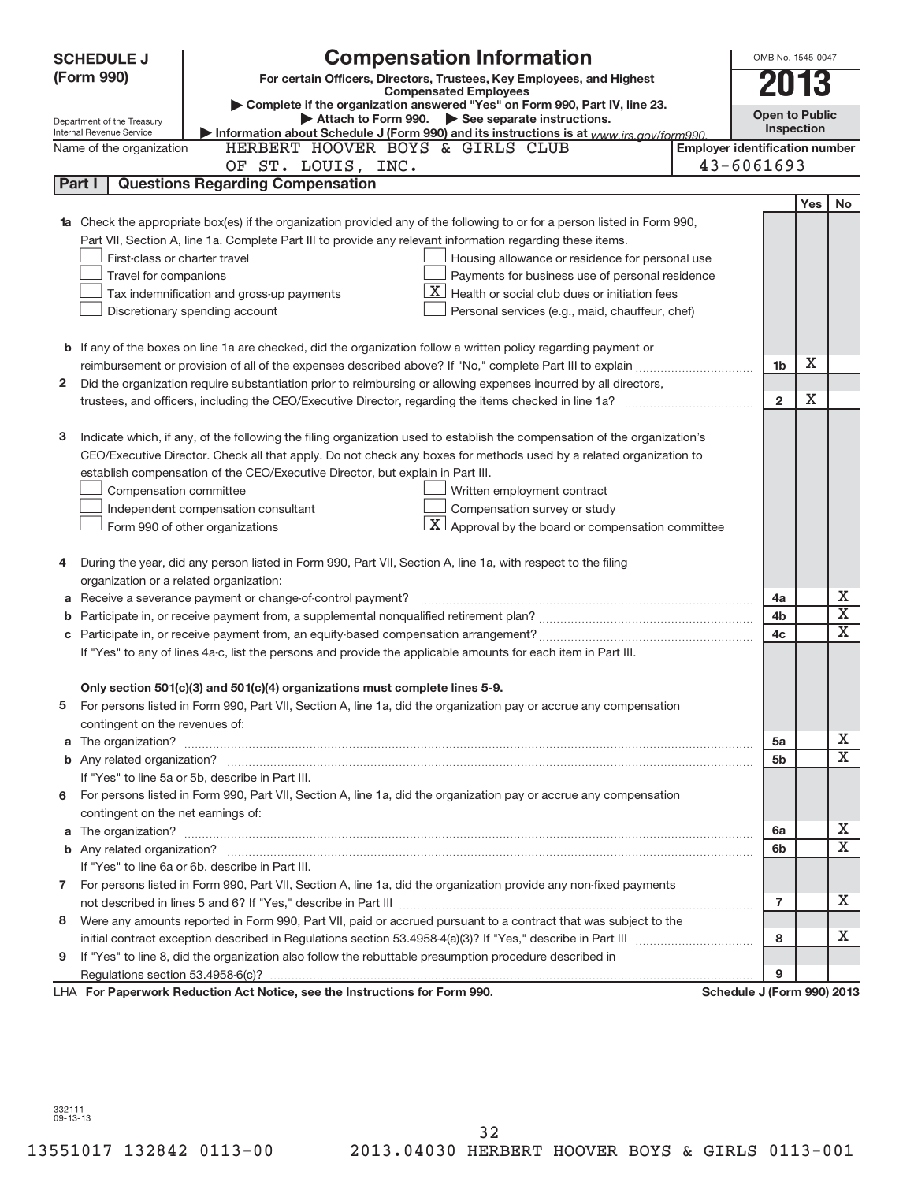|              | <b>SCHEDULE J</b>                                      | <b>Compensation Information</b>                                                                                                                                                                                                     |                                       | OMB No. 1545-0047          |     |                         |
|--------------|--------------------------------------------------------|-------------------------------------------------------------------------------------------------------------------------------------------------------------------------------------------------------------------------------------|---------------------------------------|----------------------------|-----|-------------------------|
|              | (Form 990)                                             | For certain Officers, Directors, Trustees, Key Employees, and Highest                                                                                                                                                               |                                       |                            |     |                         |
|              |                                                        | <b>Compensated Employees</b>                                                                                                                                                                                                        |                                       | 2013                       |     |                         |
|              |                                                        | Complete if the organization answered "Yes" on Form 990, Part IV, line 23.<br>Attach to Form 990. See separate instructions.                                                                                                        |                                       | <b>Open to Public</b>      |     |                         |
|              | Department of the Treasury<br>Internal Revenue Service | Information about Schedule J (Form 990) and its instructions is at www.irs.gov/form990.                                                                                                                                             |                                       | Inspection                 |     |                         |
|              | Name of the organization                               | HERBERT HOOVER BOYS & GIRLS CLUB                                                                                                                                                                                                    | <b>Employer identification number</b> |                            |     |                         |
|              |                                                        | OF ST. LOUIS, INC.                                                                                                                                                                                                                  |                                       | $43 - 6061693$             |     |                         |
|              | Part I                                                 | <b>Questions Regarding Compensation</b>                                                                                                                                                                                             |                                       |                            |     |                         |
|              |                                                        |                                                                                                                                                                                                                                     |                                       |                            | Yes | <b>No</b>               |
|              |                                                        | Check the appropriate box(es) if the organization provided any of the following to or for a person listed in Form 990,                                                                                                              |                                       |                            |     |                         |
|              |                                                        | Part VII, Section A, line 1a. Complete Part III to provide any relevant information regarding these items.                                                                                                                          |                                       |                            |     |                         |
|              | First-class or charter travel                          | Housing allowance or residence for personal use                                                                                                                                                                                     |                                       |                            |     |                         |
|              | Travel for companions                                  | Payments for business use of personal residence                                                                                                                                                                                     |                                       |                            |     |                         |
|              |                                                        | $\mathbf{X}$ Health or social club dues or initiation fees<br>Tax indemnification and gross-up payments                                                                                                                             |                                       |                            |     |                         |
|              |                                                        | Discretionary spending account<br>Personal services (e.g., maid, chauffeur, chef)                                                                                                                                                   |                                       |                            |     |                         |
|              |                                                        |                                                                                                                                                                                                                                     |                                       |                            |     |                         |
|              |                                                        | <b>b</b> If any of the boxes on line 1a are checked, did the organization follow a written policy regarding payment or                                                                                                              |                                       |                            |     |                         |
|              |                                                        |                                                                                                                                                                                                                                     |                                       | 1b                         | Х   |                         |
| $\mathbf{2}$ |                                                        | Did the organization require substantiation prior to reimbursing or allowing expenses incurred by all directors,                                                                                                                    |                                       |                            |     |                         |
|              |                                                        |                                                                                                                                                                                                                                     |                                       | $\overline{2}$             | Χ   |                         |
|              |                                                        |                                                                                                                                                                                                                                     |                                       |                            |     |                         |
| 3            |                                                        | Indicate which, if any, of the following the filing organization used to establish the compensation of the organization's                                                                                                           |                                       |                            |     |                         |
|              |                                                        | CEO/Executive Director. Check all that apply. Do not check any boxes for methods used by a related organization to                                                                                                                  |                                       |                            |     |                         |
|              |                                                        | establish compensation of the CEO/Executive Director, but explain in Part III.                                                                                                                                                      |                                       |                            |     |                         |
|              | Compensation committee                                 | Written employment contract                                                                                                                                                                                                         |                                       |                            |     |                         |
|              |                                                        | Compensation survey or study<br>Independent compensation consultant                                                                                                                                                                 |                                       |                            |     |                         |
|              |                                                        | $\vert X \vert$ Approval by the board or compensation committee<br>Form 990 of other organizations                                                                                                                                  |                                       |                            |     |                         |
|              |                                                        |                                                                                                                                                                                                                                     |                                       |                            |     |                         |
| 4            |                                                        | During the year, did any person listed in Form 990, Part VII, Section A, line 1a, with respect to the filing                                                                                                                        |                                       |                            |     |                         |
|              | organization or a related organization:                |                                                                                                                                                                                                                                     |                                       |                            |     |                         |
|              |                                                        | Receive a severance payment or change-of-control payment?                                                                                                                                                                           |                                       | 4a                         |     | х                       |
|              |                                                        |                                                                                                                                                                                                                                     |                                       | 4b                         |     | $\overline{\textbf{X}}$ |
|              |                                                        |                                                                                                                                                                                                                                     |                                       | 4c                         |     | $\overline{\mathbf{X}}$ |
|              |                                                        | If "Yes" to any of lines 4a-c, list the persons and provide the applicable amounts for each item in Part III.                                                                                                                       |                                       |                            |     |                         |
|              |                                                        |                                                                                                                                                                                                                                     |                                       |                            |     |                         |
|              |                                                        | Only section 501(c)(3) and 501(c)(4) organizations must complete lines 5-9.                                                                                                                                                         |                                       |                            |     |                         |
|              |                                                        | For persons listed in Form 990, Part VII, Section A, line 1a, did the organization pay or accrue any compensation                                                                                                                   |                                       |                            |     |                         |
|              | contingent on the revenues of:                         |                                                                                                                                                                                                                                     |                                       |                            |     |                         |
| a            |                                                        | The organization? <b>contracts</b> and contracts are contracted and contract and contract and contract and contract and contract and contract and contract and contract and contract and contract and contract and contract and con |                                       | 5a                         |     | х                       |
|              |                                                        |                                                                                                                                                                                                                                     |                                       | 5b                         |     | $\overline{\texttt{x}}$ |
|              |                                                        | If "Yes" to line 5a or 5b, describe in Part III.                                                                                                                                                                                    |                                       |                            |     |                         |
|              |                                                        | 6 For persons listed in Form 990, Part VII, Section A, line 1a, did the organization pay or accrue any compensation                                                                                                                 |                                       |                            |     |                         |
|              | contingent on the net earnings of:                     |                                                                                                                                                                                                                                     |                                       |                            |     |                         |
| a            |                                                        |                                                                                                                                                                                                                                     |                                       | 6a                         |     | х                       |
|              |                                                        |                                                                                                                                                                                                                                     |                                       | 6b                         |     | $\overline{\text{X}}$   |
|              |                                                        | If "Yes" to line 6a or 6b, describe in Part III.                                                                                                                                                                                    |                                       |                            |     |                         |
|              |                                                        | 7 For persons listed in Form 990, Part VII, Section A, line 1a, did the organization provide any non-fixed payments                                                                                                                 |                                       |                            |     |                         |
|              |                                                        |                                                                                                                                                                                                                                     |                                       | $\overline{7}$             |     | x                       |
| 8            |                                                        | Were any amounts reported in Form 990, Part VII, paid or accrued pursuant to a contract that was subject to the                                                                                                                     |                                       |                            |     |                         |
|              |                                                        |                                                                                                                                                                                                                                     |                                       | 8                          |     | x.                      |
| 9            |                                                        | If "Yes" to line 8, did the organization also follow the rebuttable presumption procedure described in                                                                                                                              |                                       |                            |     |                         |
|              |                                                        |                                                                                                                                                                                                                                     |                                       | 9                          |     |                         |
|              |                                                        | LHA For Paperwork Reduction Act Notice, see the Instructions for Form 990.                                                                                                                                                          |                                       | Schedule J (Form 990) 2013 |     |                         |

332111 09-13-13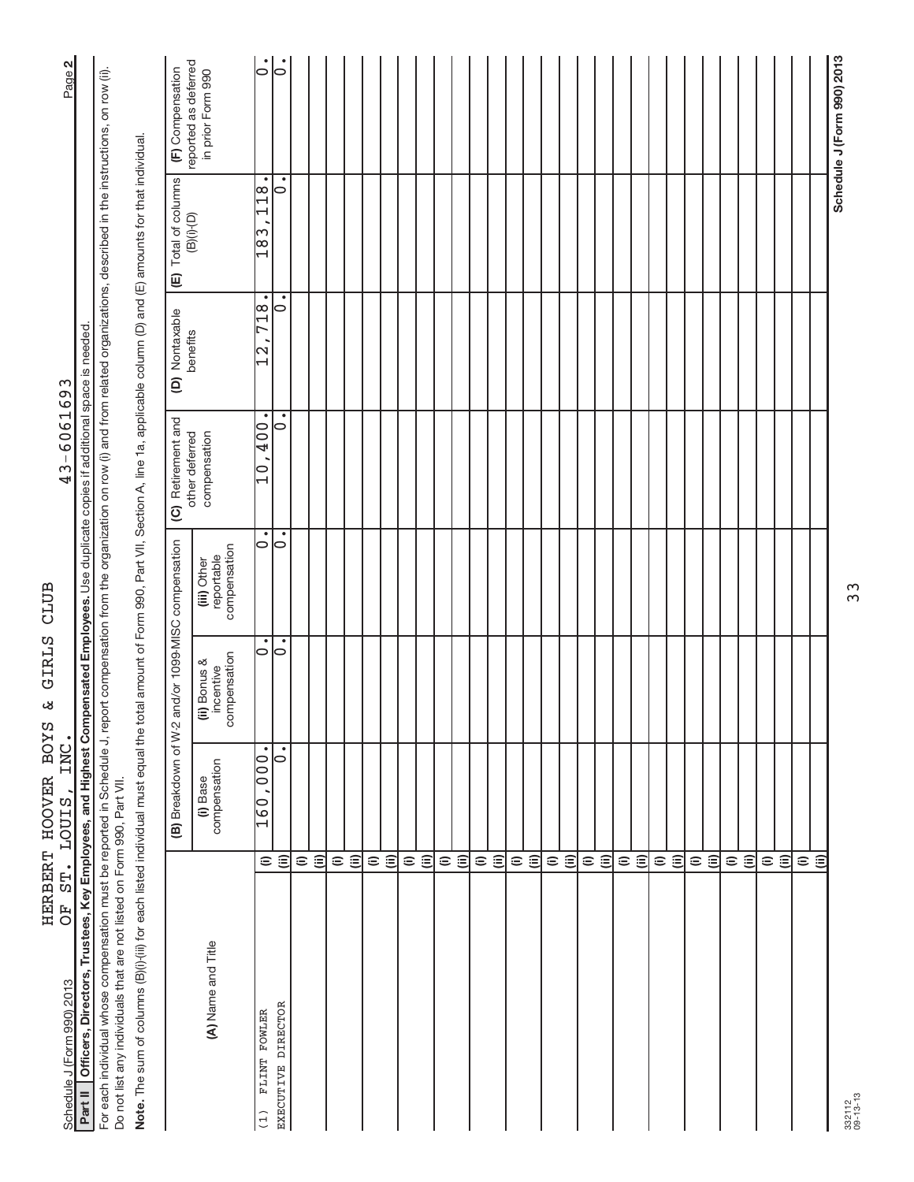| Schedule J (Form 990) 2013                                                                                                                                                                                                                                                       |                          | OF ST. LOUIS, INC.                              |                                           |                                           | 43-6061693                             |                                        |                                                    | Page 2                                    |
|----------------------------------------------------------------------------------------------------------------------------------------------------------------------------------------------------------------------------------------------------------------------------------|--------------------------|-------------------------------------------------|-------------------------------------------|-------------------------------------------|----------------------------------------|----------------------------------------|----------------------------------------------------|-------------------------------------------|
| Part II   Officers, Directors, Trustees, Key Employees, and Highest Compensated Employees. Use duplicate copies if additional space is needed                                                                                                                                    |                          |                                                 |                                           |                                           |                                        |                                        |                                                    |                                           |
| For each individual whose compensation must be reported in Schedule J, report compensation from the organization on row (i) and from related organizations, described in the instructions, on row (ii)<br>Do not list any individuals that are not listed on Form 990, Part VII. |                          |                                                 |                                           |                                           |                                        |                                        |                                                    |                                           |
| Note. The sum of columns (B)(i) (iii) for each listed individual must equal the total amount of Form 990, Part VII, Section A, line 1a, applicable column (D) and (E) amounts for that individual.                                                                               |                          |                                                 |                                           |                                           |                                        |                                        |                                                    |                                           |
|                                                                                                                                                                                                                                                                                  |                          | (B) Breakdown of W-2                            |                                           | and/or 1099-MISC compensation             | (C) Retirement and                     | (D) Nontaxable                         | (E) Total of columns                               | (F) Compensation                          |
| (A) Name and Title                                                                                                                                                                                                                                                               |                          | compensation<br>(i) Base                        | compensation<br>(ii) Bonus &<br>incentive | compensation<br>reportable<br>(iii) Other | other deferred<br>compensation         | benefits                               | $(B)(i)$ - $(D)$                                   | reported as deferred<br>in prior Form 990 |
| FLINT FOWLER<br>(1)                                                                                                                                                                                                                                                              | $\widehat{=}$            | $\bullet$<br>$\frac{00}{00}$<br>$\frac{160}{1}$ | $\circ$                                   | ٠<br>$\circ$                              | ٠<br>$00\overline{b}$<br>$\frac{1}{2}$ | ٠<br>718<br>N<br>$\mathord{\text{--}}$ | $\bullet$<br>$\frac{8}{11}$<br>ω<br>$\frac{8}{18}$ | $\dot{\circ}$                             |
| EXECUTIVE DIRECTOR                                                                                                                                                                                                                                                               | $\widehat{\equiv}$       | $\bullet$<br>0                                  | 0                                         | 0                                         | ∣⇔                                     | ⊝                                      | ٠<br>10                                            | $\circ$                                   |
|                                                                                                                                                                                                                                                                                  | $\widehat{=}$            |                                                 |                                           |                                           |                                        |                                        |                                                    |                                           |
|                                                                                                                                                                                                                                                                                  | $\widehat{(\mathbb{I})}$ |                                                 |                                           |                                           |                                        |                                        |                                                    |                                           |
|                                                                                                                                                                                                                                                                                  | $\widehat{=}$            |                                                 |                                           |                                           |                                        |                                        |                                                    |                                           |
|                                                                                                                                                                                                                                                                                  | $\widehat{\equiv}$       |                                                 |                                           |                                           |                                        |                                        |                                                    |                                           |
|                                                                                                                                                                                                                                                                                  | $\widehat{=}$            |                                                 |                                           |                                           |                                        |                                        |                                                    |                                           |
|                                                                                                                                                                                                                                                                                  | $\widehat{\equiv}$       |                                                 |                                           |                                           |                                        |                                        |                                                    |                                           |
|                                                                                                                                                                                                                                                                                  | $\widehat{=}$            |                                                 |                                           |                                           |                                        |                                        |                                                    |                                           |
|                                                                                                                                                                                                                                                                                  | $\widehat{=}$            |                                                 |                                           |                                           |                                        |                                        |                                                    |                                           |
|                                                                                                                                                                                                                                                                                  | $\widehat{=}$            |                                                 |                                           |                                           |                                        |                                        |                                                    |                                           |
|                                                                                                                                                                                                                                                                                  | $\widehat{\equiv}$       |                                                 |                                           |                                           |                                        |                                        |                                                    |                                           |
|                                                                                                                                                                                                                                                                                  |                          |                                                 |                                           |                                           |                                        |                                        |                                                    |                                           |
|                                                                                                                                                                                                                                                                                  | $\oplus$ $\oplus$        |                                                 |                                           |                                           |                                        |                                        |                                                    |                                           |
|                                                                                                                                                                                                                                                                                  | $\widehat{=}$            |                                                 |                                           |                                           |                                        |                                        |                                                    |                                           |
|                                                                                                                                                                                                                                                                                  | $\widehat{(\mathbb{I})}$ |                                                 |                                           |                                           |                                        |                                        |                                                    |                                           |
|                                                                                                                                                                                                                                                                                  | $\widehat{=}$            |                                                 |                                           |                                           |                                        |                                        |                                                    |                                           |
|                                                                                                                                                                                                                                                                                  | $\widehat{\equiv}$       |                                                 |                                           |                                           |                                        |                                        |                                                    |                                           |
|                                                                                                                                                                                                                                                                                  |                          |                                                 |                                           |                                           |                                        |                                        |                                                    |                                           |
|                                                                                                                                                                                                                                                                                  | $\oplus$ $\oplus$        |                                                 |                                           |                                           |                                        |                                        |                                                    |                                           |
|                                                                                                                                                                                                                                                                                  | $\widehat{=}$            |                                                 |                                           |                                           |                                        |                                        |                                                    |                                           |
|                                                                                                                                                                                                                                                                                  | $\widehat{=}$            |                                                 |                                           |                                           |                                        |                                        |                                                    |                                           |
|                                                                                                                                                                                                                                                                                  | $\widehat{=}$            |                                                 |                                           |                                           |                                        |                                        |                                                    |                                           |
|                                                                                                                                                                                                                                                                                  | $\widehat{\equiv}$       |                                                 |                                           |                                           |                                        |                                        |                                                    |                                           |
|                                                                                                                                                                                                                                                                                  |                          |                                                 |                                           |                                           |                                        |                                        |                                                    |                                           |
|                                                                                                                                                                                                                                                                                  | $\widehat{\Xi}$          |                                                 |                                           |                                           |                                        |                                        |                                                    |                                           |
|                                                                                                                                                                                                                                                                                  | $\mathrel{\widehat{=}}$  |                                                 |                                           |                                           |                                        |                                        |                                                    |                                           |
|                                                                                                                                                                                                                                                                                  | $\ddot{=}$               |                                                 |                                           |                                           |                                        |                                        |                                                    |                                           |
|                                                                                                                                                                                                                                                                                  | $\widehat{=}$            |                                                 |                                           |                                           |                                        |                                        |                                                    |                                           |
|                                                                                                                                                                                                                                                                                  | $\widehat{\equiv}$       |                                                 |                                           |                                           |                                        |                                        |                                                    |                                           |
|                                                                                                                                                                                                                                                                                  | $\widehat{=}$            |                                                 |                                           |                                           |                                        |                                        |                                                    |                                           |
|                                                                                                                                                                                                                                                                                  | $\widehat{=}$            |                                                 |                                           |                                           |                                        |                                        |                                                    |                                           |
|                                                                                                                                                                                                                                                                                  |                          |                                                 |                                           |                                           |                                        |                                        |                                                    | Schedule J (Form 990) 2013                |
| 332112<br>09-13-13                                                                                                                                                                                                                                                               |                          |                                                 |                                           | 33                                        |                                        |                                        |                                                    |                                           |

332112 09-13-13

Schedule J (Form 990) 2013 Page  $43 - 6061693$ OF ST. LOUIS, INC. 43-6061693 HERBERT HOOVER BOYS & GIRLS CLUB<br>OF ST. LOUIS, INC.

HERBERT HOOVER BOYS & GIRLS CLUB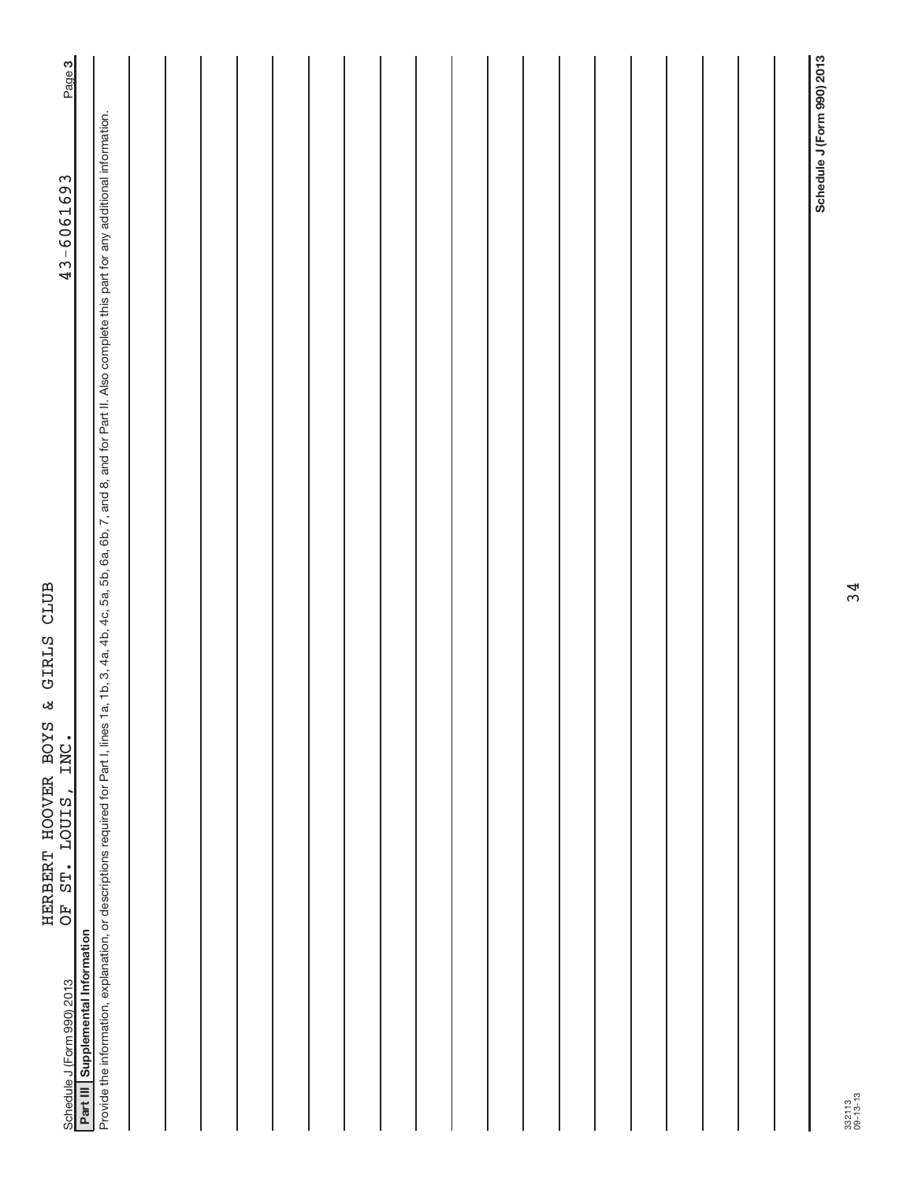| ST. LOUIS, INC.<br>F<br>O<br>Part III Supplemental Information<br>Schedule J (Form 990) 2013                                                                                                               | Page 3<br>43-6061693       |
|------------------------------------------------------------------------------------------------------------------------------------------------------------------------------------------------------------|----------------------------|
| Provide the information, explanation, or descriptions required for Part I, lines 1a, 1b, 3, 4a, 4b, 4c, 5a, 5b, 6a, 6b, 7, and 8, and for Part II. Also complete this part for any additional information. |                            |
|                                                                                                                                                                                                            |                            |
|                                                                                                                                                                                                            |                            |
|                                                                                                                                                                                                            |                            |
|                                                                                                                                                                                                            |                            |
|                                                                                                                                                                                                            |                            |
|                                                                                                                                                                                                            |                            |
|                                                                                                                                                                                                            |                            |
|                                                                                                                                                                                                            |                            |
|                                                                                                                                                                                                            |                            |
|                                                                                                                                                                                                            |                            |
|                                                                                                                                                                                                            |                            |
|                                                                                                                                                                                                            |                            |
|                                                                                                                                                                                                            |                            |
|                                                                                                                                                                                                            |                            |
|                                                                                                                                                                                                            |                            |
|                                                                                                                                                                                                            |                            |
|                                                                                                                                                                                                            |                            |
|                                                                                                                                                                                                            |                            |
|                                                                                                                                                                                                            |                            |
|                                                                                                                                                                                                            | Schedule J (Form 990) 2013 |

HERBERT HOOVER BOYS & GIRLS CLUB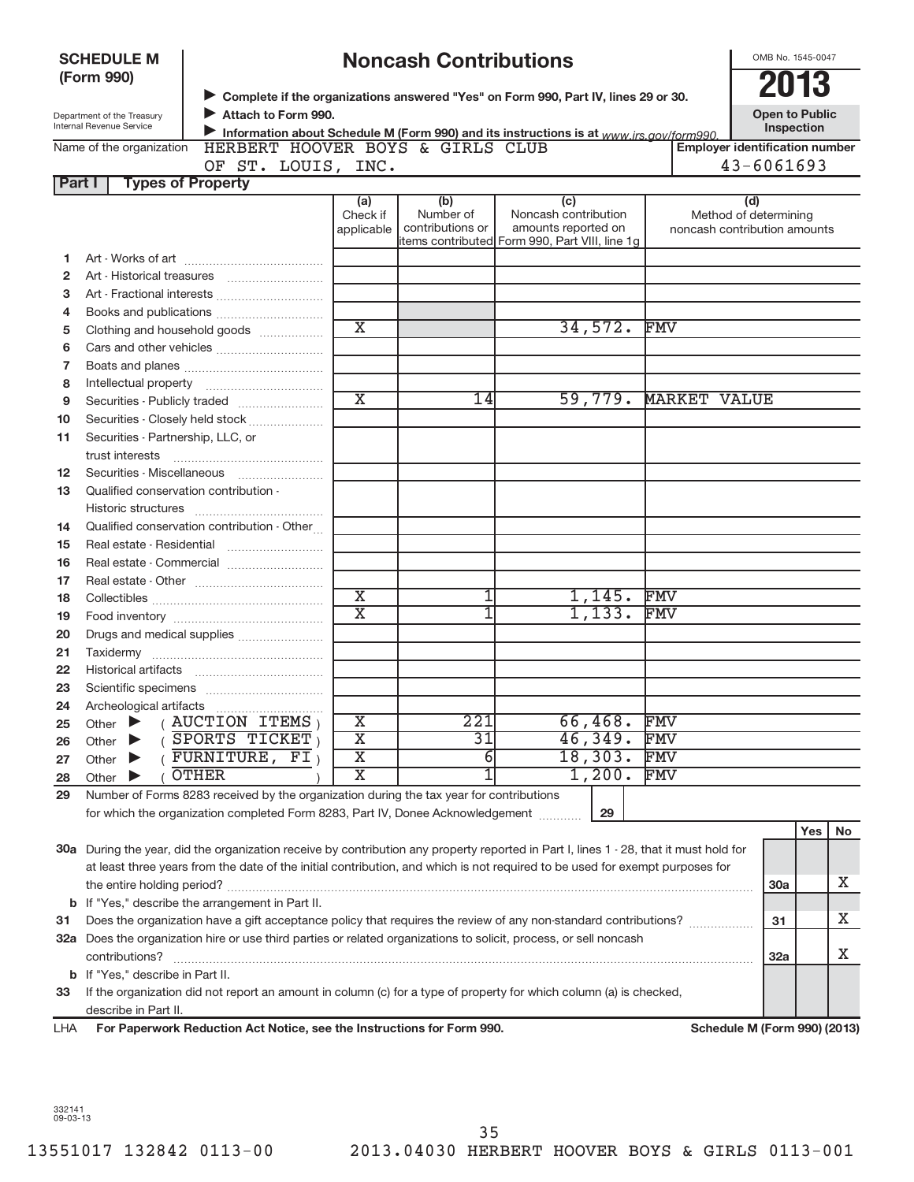|          | <b>SCHEDULE M</b><br>(Form 990)                        |                                                                                                                                        |                         | <b>Noncash Contributions</b>  |                                                                                               |                     | OMB No. 1545-0047<br>2013                             |     |    |
|----------|--------------------------------------------------------|----------------------------------------------------------------------------------------------------------------------------------------|-------------------------|-------------------------------|-----------------------------------------------------------------------------------------------|---------------------|-------------------------------------------------------|-----|----|
|          | Department of the Treasury<br>Internal Revenue Service | Attach to Form 990.                                                                                                                    |                         |                               | > Complete if the organizations answered "Yes" on Form 990, Part IV, lines 29 or 30.          |                     | <b>Open to Public</b><br>Inspection                   |     |    |
|          |                                                        | HERBERT HOOVER BOYS & GIRLS CLUB                                                                                                       |                         |                               | Information about Schedule M (Form 990) and its instructions is at www.irs.gov/form990.       |                     | <b>Employer identification number</b>                 |     |    |
|          | Name of the organization                               |                                                                                                                                        |                         |                               |                                                                                               |                     | $43 - 6061693$                                        |     |    |
| Part I   | <b>Types of Property</b>                               | OF ST. LOUIS, INC.                                                                                                                     |                         |                               |                                                                                               |                     |                                                       |     |    |
|          |                                                        |                                                                                                                                        | (a)                     | (b)                           | (c)                                                                                           |                     | (d)                                                   |     |    |
|          |                                                        |                                                                                                                                        | Check if<br>applicable  | Number of<br>contributions or | Noncash contribution<br>amounts reported on<br>items contributed Form 990, Part VIII, line 1q |                     | Method of determining<br>noncash contribution amounts |     |    |
| 1        |                                                        |                                                                                                                                        |                         |                               |                                                                                               |                     |                                                       |     |    |
| 2        |                                                        |                                                                                                                                        |                         |                               |                                                                                               |                     |                                                       |     |    |
| З        |                                                        | Art - Fractional interests                                                                                                             |                         |                               |                                                                                               |                     |                                                       |     |    |
| 4        |                                                        |                                                                                                                                        |                         |                               |                                                                                               |                     |                                                       |     |    |
| 5        |                                                        | Clothing and household goods                                                                                                           | $\overline{\textbf{x}}$ |                               | 34,572.                                                                                       | FMV                 |                                                       |     |    |
| 6        |                                                        |                                                                                                                                        |                         |                               |                                                                                               |                     |                                                       |     |    |
| 7        |                                                        |                                                                                                                                        |                         |                               |                                                                                               |                     |                                                       |     |    |
| 8        |                                                        |                                                                                                                                        |                         |                               |                                                                                               |                     |                                                       |     |    |
| 9        |                                                        |                                                                                                                                        | $\overline{\text{X}}$   | 14                            | 59,779.                                                                                       | <b>MARKET VALUE</b> |                                                       |     |    |
| 10       |                                                        | Securities - Closely held stock                                                                                                        |                         |                               |                                                                                               |                     |                                                       |     |    |
| 11       | Securities - Partnership, LLC, or                      |                                                                                                                                        |                         |                               |                                                                                               |                     |                                                       |     |    |
|          |                                                        |                                                                                                                                        |                         |                               |                                                                                               |                     |                                                       |     |    |
| 12       | Securities - Miscellaneous                             |                                                                                                                                        |                         |                               |                                                                                               |                     |                                                       |     |    |
| 13       | Qualified conservation contribution -                  |                                                                                                                                        |                         |                               |                                                                                               |                     |                                                       |     |    |
|          |                                                        |                                                                                                                                        |                         |                               |                                                                                               |                     |                                                       |     |    |
| 14       |                                                        | Qualified conservation contribution - Other                                                                                            |                         |                               |                                                                                               |                     |                                                       |     |    |
| 15       |                                                        |                                                                                                                                        |                         |                               |                                                                                               |                     |                                                       |     |    |
| 16       |                                                        |                                                                                                                                        |                         |                               |                                                                                               |                     |                                                       |     |    |
| 17<br>18 |                                                        |                                                                                                                                        | $\overline{\textbf{x}}$ |                               | 1,145.                                                                                        | FMV                 |                                                       |     |    |
| 19       |                                                        |                                                                                                                                        | $\overline{\text{X}}$   |                               | 1,133.                                                                                        | <b>FMV</b>          |                                                       |     |    |
| 20       |                                                        | Drugs and medical supplies                                                                                                             |                         |                               |                                                                                               |                     |                                                       |     |    |
| 21       |                                                        |                                                                                                                                        |                         |                               |                                                                                               |                     |                                                       |     |    |
| 22       | <b>Historical artifacts</b>                            |                                                                                                                                        |                         |                               |                                                                                               |                     |                                                       |     |    |
| 23       |                                                        |                                                                                                                                        |                         |                               |                                                                                               |                     |                                                       |     |    |
| 24       | Archeological artifacts                                |                                                                                                                                        |                         |                               |                                                                                               |                     |                                                       |     |    |
| 25       | Other                                                  | <b>AUCTION ITEMS</b>                                                                                                                   | Х                       | 221                           | 66,468.                                                                                       | FMV                 |                                                       |     |    |
| 26       | Other                                                  | SPORTS TICKET                                                                                                                          | $\overline{\text{X}}$   | 31                            | 46,349.                                                                                       | FMV                 |                                                       |     |    |
| 27       | Other                                                  | FURNITURE,<br>FI                                                                                                                       | $\overline{\textbf{x}}$ | 6                             | 18,303.                                                                                       | FMV                 |                                                       |     |    |
| 28       | Other                                                  | <b>OTHER</b>                                                                                                                           | $\overline{\textbf{x}}$ | 1                             | 1,200.                                                                                        | FMV                 |                                                       |     |    |
| 29       |                                                        | Number of Forms 8283 received by the organization during the tax year for contributions                                                |                         |                               |                                                                                               |                     |                                                       |     |    |
|          |                                                        | for which the organization completed Form 8283, Part IV, Donee Acknowledgement                                                         |                         |                               | 29                                                                                            |                     |                                                       |     |    |
|          |                                                        |                                                                                                                                        |                         |                               |                                                                                               |                     |                                                       | Yes | No |
|          |                                                        | 30a During the year, did the organization receive by contribution any property reported in Part I, lines 1 - 28, that it must hold for |                         |                               |                                                                                               |                     |                                                       |     |    |
|          |                                                        | at least three years from the date of the initial contribution, and which is not required to be used for exempt purposes for           |                         |                               |                                                                                               |                     |                                                       |     |    |
|          |                                                        |                                                                                                                                        |                         |                               |                                                                                               |                     | 30a                                                   |     | х  |
| b        |                                                        | If "Yes," describe the arrangement in Part II.                                                                                         |                         |                               |                                                                                               |                     |                                                       |     |    |
| 31       |                                                        | Does the organization have a gift acceptance policy that requires the review of any non-standard contributions?                        |                         |                               |                                                                                               |                     | 31                                                    |     | х  |
|          |                                                        | 32a Does the organization hire or use third parties or related organizations to solicit, process, or sell noncash                      |                         |                               |                                                                                               |                     |                                                       |     |    |
|          | contributions?                                         |                                                                                                                                        |                         |                               |                                                                                               |                     | <b>32a</b>                                            |     | X  |
| b        | If "Yes," describe in Part II.                         |                                                                                                                                        |                         |                               |                                                                                               |                     |                                                       |     |    |
| 33       |                                                        | If the organization did not report an amount in column (c) for a type of property for which column (a) is checked,                     |                         |                               |                                                                                               |                     |                                                       |     |    |
| LHA      | describe in Part II.                                   | For Paperwork Reduction Act Notice, see the Instructions for Form 990.                                                                 |                         |                               |                                                                                               |                     | Schedule M (Form 990) (2013)                          |     |    |
|          |                                                        |                                                                                                                                        |                         |                               |                                                                                               |                     |                                                       |     |    |

332141 09-03-13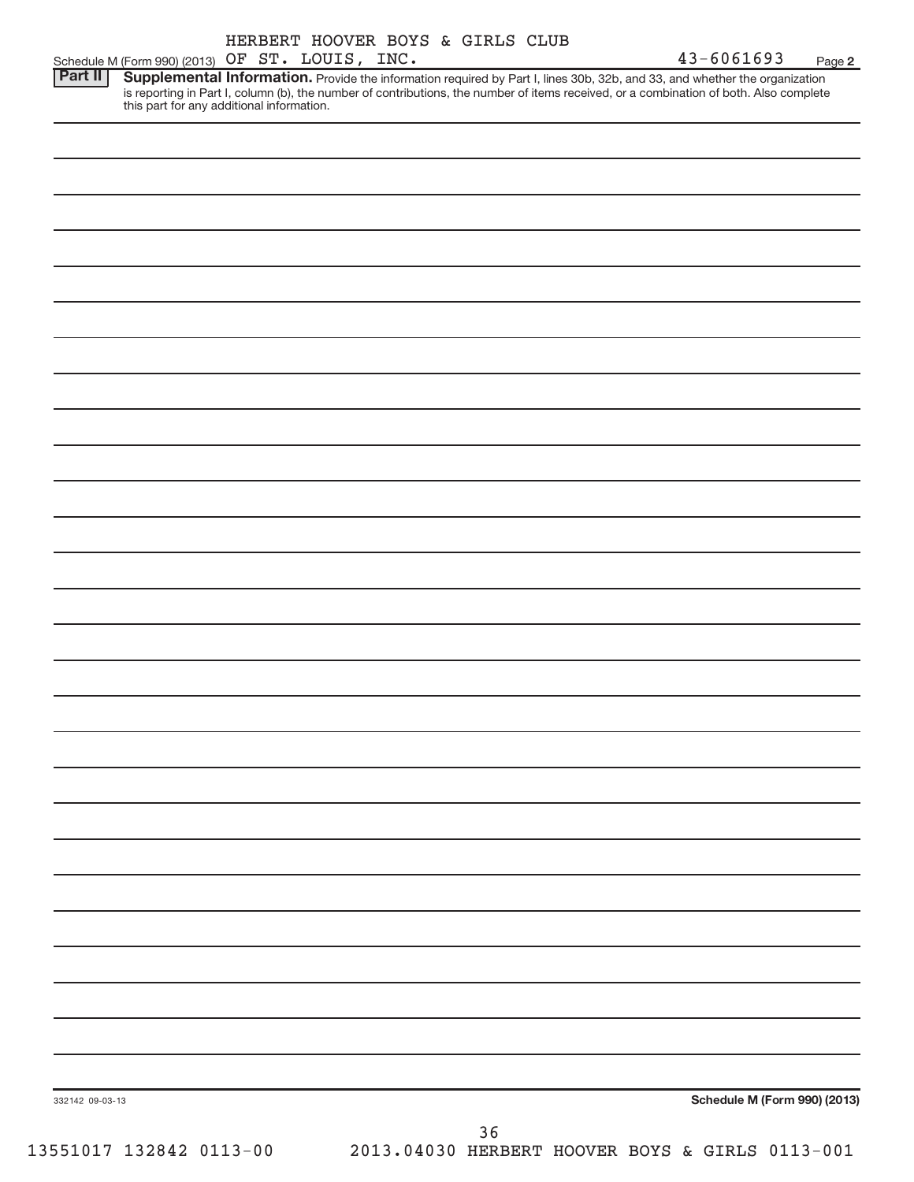|                 |                                                 | HERBERT HOOVER BOYS & GIRLS CLUB |  |    |                                                                                                                                                                                                                                                                      |                              |        |
|-----------------|-------------------------------------------------|----------------------------------|--|----|----------------------------------------------------------------------------------------------------------------------------------------------------------------------------------------------------------------------------------------------------------------------|------------------------------|--------|
|                 | Schedule M (Form 990) (2013) OF ST. LOUIS, INC. |                                  |  |    |                                                                                                                                                                                                                                                                      | $43 - 6061693$               | Page 2 |
| <b>Part II</b>  | this part for any additional information.       |                                  |  |    | Supplemental Information. Provide the information required by Part I, lines 30b, 32b, and 33, and whether the organization<br>is reporting in Part I, column (b), the number of contributions, the number of items received, or a combination of both. Also complete |                              |        |
|                 |                                                 |                                  |  |    |                                                                                                                                                                                                                                                                      |                              |        |
|                 |                                                 |                                  |  |    |                                                                                                                                                                                                                                                                      |                              |        |
|                 |                                                 |                                  |  |    |                                                                                                                                                                                                                                                                      |                              |        |
|                 |                                                 |                                  |  |    |                                                                                                                                                                                                                                                                      |                              |        |
|                 |                                                 |                                  |  |    |                                                                                                                                                                                                                                                                      |                              |        |
|                 |                                                 |                                  |  |    |                                                                                                                                                                                                                                                                      |                              |        |
|                 |                                                 |                                  |  |    |                                                                                                                                                                                                                                                                      |                              |        |
|                 |                                                 |                                  |  |    |                                                                                                                                                                                                                                                                      |                              |        |
|                 |                                                 |                                  |  |    |                                                                                                                                                                                                                                                                      |                              |        |
|                 |                                                 |                                  |  |    |                                                                                                                                                                                                                                                                      |                              |        |
|                 |                                                 |                                  |  |    |                                                                                                                                                                                                                                                                      |                              |        |
|                 |                                                 |                                  |  |    |                                                                                                                                                                                                                                                                      |                              |        |
|                 |                                                 |                                  |  |    |                                                                                                                                                                                                                                                                      |                              |        |
|                 |                                                 |                                  |  |    |                                                                                                                                                                                                                                                                      |                              |        |
|                 |                                                 |                                  |  |    |                                                                                                                                                                                                                                                                      |                              |        |
|                 |                                                 |                                  |  |    |                                                                                                                                                                                                                                                                      |                              |        |
|                 |                                                 |                                  |  |    |                                                                                                                                                                                                                                                                      |                              |        |
|                 |                                                 |                                  |  |    |                                                                                                                                                                                                                                                                      |                              |        |
|                 |                                                 |                                  |  |    |                                                                                                                                                                                                                                                                      |                              |        |
|                 |                                                 |                                  |  |    |                                                                                                                                                                                                                                                                      |                              |        |
|                 |                                                 |                                  |  |    |                                                                                                                                                                                                                                                                      |                              |        |
|                 |                                                 |                                  |  |    |                                                                                                                                                                                                                                                                      |                              |        |
|                 |                                                 |                                  |  |    |                                                                                                                                                                                                                                                                      |                              |        |
|                 |                                                 |                                  |  |    |                                                                                                                                                                                                                                                                      |                              |        |
|                 |                                                 |                                  |  |    |                                                                                                                                                                                                                                                                      |                              |        |
|                 |                                                 |                                  |  |    |                                                                                                                                                                                                                                                                      |                              |        |
|                 |                                                 |                                  |  |    |                                                                                                                                                                                                                                                                      |                              |        |
|                 |                                                 |                                  |  |    |                                                                                                                                                                                                                                                                      |                              |        |
|                 |                                                 |                                  |  |    |                                                                                                                                                                                                                                                                      |                              |        |
|                 |                                                 |                                  |  |    |                                                                                                                                                                                                                                                                      |                              |        |
|                 |                                                 |                                  |  |    |                                                                                                                                                                                                                                                                      |                              |        |
|                 |                                                 |                                  |  |    |                                                                                                                                                                                                                                                                      |                              |        |
|                 |                                                 |                                  |  |    |                                                                                                                                                                                                                                                                      |                              |        |
|                 |                                                 |                                  |  |    |                                                                                                                                                                                                                                                                      |                              |        |
|                 |                                                 |                                  |  |    |                                                                                                                                                                                                                                                                      |                              |        |
| 332142 09-03-13 |                                                 |                                  |  |    |                                                                                                                                                                                                                                                                      | Schedule M (Form 990) (2013) |        |
|                 |                                                 |                                  |  | 36 |                                                                                                                                                                                                                                                                      |                              |        |
|                 |                                                 |                                  |  |    |                                                                                                                                                                                                                                                                      |                              |        |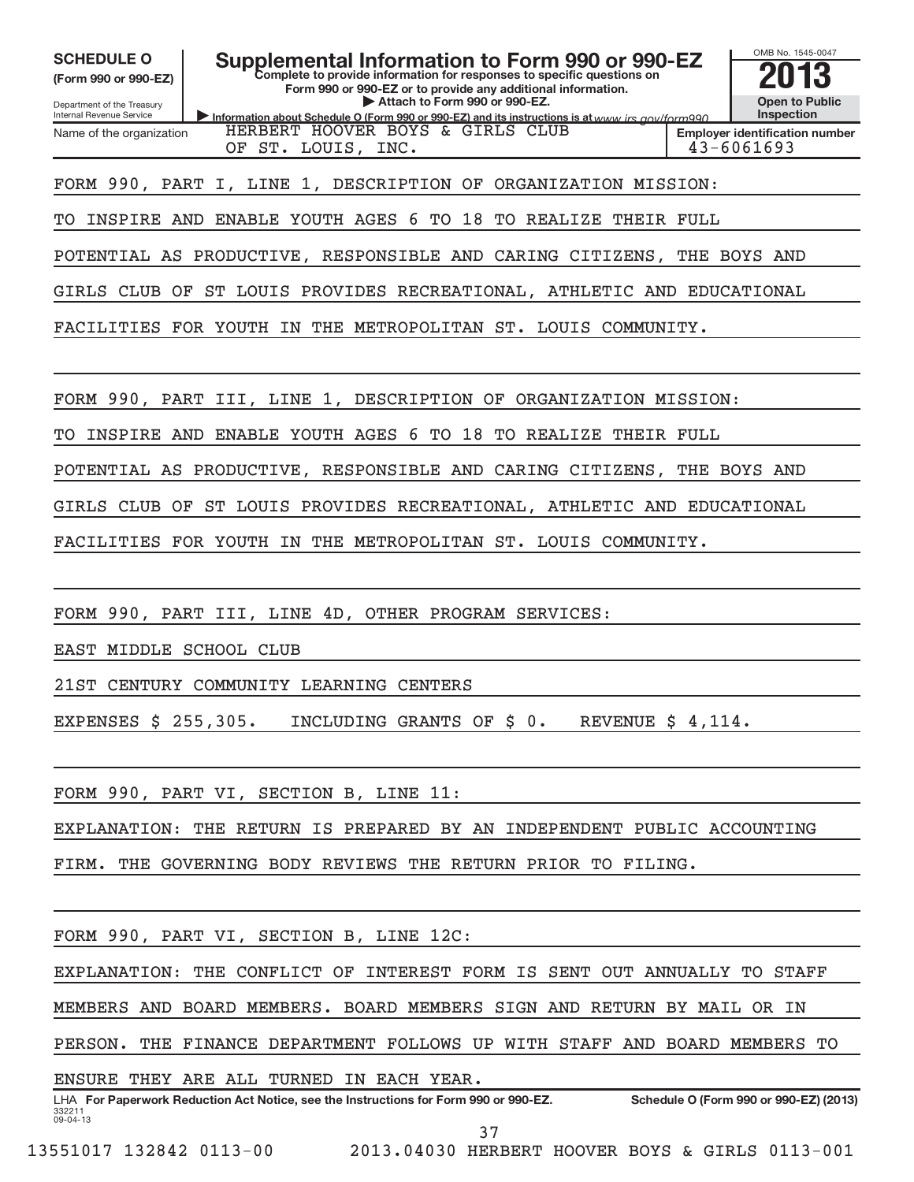| <b>SCHEDULE O</b><br>(Form 990 or 990-EZ)<br>Department of the Treasury<br>Internal Revenue Service | Supplemental Information to Form 990 or 990-EZ<br>Complete to provide information for responses to specific questions on<br>Form 990 or 990-EZ or to provide any additional information.<br>Attach to Form 990 or 990-EZ.<br>Information about Schedule O (Form 990 or 990-EZ) and its instructions is at www irs gov/form990 |  | OMB No. 1545-0047<br><b>Open to Public</b><br><b>Inspection</b> |  |  |  |
|-----------------------------------------------------------------------------------------------------|-------------------------------------------------------------------------------------------------------------------------------------------------------------------------------------------------------------------------------------------------------------------------------------------------------------------------------|--|-----------------------------------------------------------------|--|--|--|
| Name of the organization                                                                            | HERBERT HOOVER BOYS & GIRLS CLUB<br>OF ST. LOUIS, INC.                                                                                                                                                                                                                                                                        |  | <b>Employer identification number</b><br>$43 - 6061693$         |  |  |  |
|                                                                                                     |                                                                                                                                                                                                                                                                                                                               |  |                                                                 |  |  |  |
|                                                                                                     | FORM 990, PART I, LINE 1, DESCRIPTION OF<br>ORGANIZATION MISSION:                                                                                                                                                                                                                                                             |  |                                                                 |  |  |  |
| INSPIRE AND<br>TO                                                                                   | <b>ENABLE YOUTH AGES 6</b><br>TO<br>18<br>TO<br>REALIZE<br>THEIR FULL                                                                                                                                                                                                                                                         |  |                                                                 |  |  |  |
|                                                                                                     | POTENTIAL AS PRODUCTIVE, RESPONSIBLE AND CARING CITIZENS, THE BOYS AND                                                                                                                                                                                                                                                        |  |                                                                 |  |  |  |
|                                                                                                     | GIRLS CLUB OF ST LOUIS PROVIDES RECREATIONAL, ATHLETIC AND EDUCATIONAL                                                                                                                                                                                                                                                        |  |                                                                 |  |  |  |
| FACILITIES FOR YOUTH IN                                                                             | THE METROPOLITAN ST. LOUIS COMMUNITY.                                                                                                                                                                                                                                                                                         |  |                                                                 |  |  |  |
|                                                                                                     |                                                                                                                                                                                                                                                                                                                               |  |                                                                 |  |  |  |
|                                                                                                     | FORM 990, PART III, LINE 1, DESCRIPTION OF ORGANIZATION MISSION:                                                                                                                                                                                                                                                              |  |                                                                 |  |  |  |
| TО<br>INSPIRE AND                                                                                   | ENABLE YOUTH AGES 6 TO 18<br>TO REALIZE THEIR FULL                                                                                                                                                                                                                                                                            |  |                                                                 |  |  |  |
|                                                                                                     | POTENTIAL AS PRODUCTIVE, RESPONSIBLE AND CARING CITIZENS, THE BOYS AND                                                                                                                                                                                                                                                        |  |                                                                 |  |  |  |
|                                                                                                     | GIRLS CLUB OF ST LOUIS PROVIDES RECREATIONAL, ATHLETIC AND EDUCATIONAL                                                                                                                                                                                                                                                        |  |                                                                 |  |  |  |
| FACILITIES FOR YOUTH IN                                                                             | THE METROPOLITAN ST. LOUIS COMMUNITY.                                                                                                                                                                                                                                                                                         |  |                                                                 |  |  |  |
|                                                                                                     |                                                                                                                                                                                                                                                                                                                               |  |                                                                 |  |  |  |
|                                                                                                     | FORM 990, PART III, LINE 4D, OTHER PROGRAM SERVICES:                                                                                                                                                                                                                                                                          |  |                                                                 |  |  |  |
| EAST MIDDLE SCHOOL CLUB                                                                             |                                                                                                                                                                                                                                                                                                                               |  |                                                                 |  |  |  |
|                                                                                                     | 21ST CENTURY COMMUNITY LEARNING CENTERS                                                                                                                                                                                                                                                                                       |  |                                                                 |  |  |  |
| EXPENSES $\frac{255}{305}$ . INCLUDING GRANTS OF $\frac{2}{5}$ 0. REVENUE $\frac{2}{5}$ 4,114.      |                                                                                                                                                                                                                                                                                                                               |  |                                                                 |  |  |  |
|                                                                                                     |                                                                                                                                                                                                                                                                                                                               |  |                                                                 |  |  |  |
|                                                                                                     | FORM 990, PART VI, SECTION B, LINE 11:                                                                                                                                                                                                                                                                                        |  |                                                                 |  |  |  |
|                                                                                                     | EXPLANATION: THE RETURN IS PREPARED BY AN INDEPENDENT PUBLIC ACCOUNTING                                                                                                                                                                                                                                                       |  |                                                                 |  |  |  |
|                                                                                                     | FIRM. THE GOVERNING BODY REVIEWS THE RETURN PRIOR TO FILING.                                                                                                                                                                                                                                                                  |  |                                                                 |  |  |  |
|                                                                                                     |                                                                                                                                                                                                                                                                                                                               |  |                                                                 |  |  |  |
|                                                                                                     | FORM 990, PART VI, SECTION B, LINE 12C:                                                                                                                                                                                                                                                                                       |  |                                                                 |  |  |  |
|                                                                                                     | EXPLANATION: THE CONFLICT OF INTEREST FORM IS SENT OUT ANNUALLY TO STAFF                                                                                                                                                                                                                                                      |  |                                                                 |  |  |  |
|                                                                                                     | MEMBERS AND BOARD MEMBERS. BOARD MEMBERS SIGN AND RETURN BY MAIL OR IN                                                                                                                                                                                                                                                        |  |                                                                 |  |  |  |
|                                                                                                     | PERSON. THE FINANCE DEPARTMENT FOLLOWS UP WITH STAFF AND BOARD MEMBERS TO                                                                                                                                                                                                                                                     |  |                                                                 |  |  |  |
|                                                                                                     | ENSURE THEY ARE ALL TURNED IN EACH YEAR.                                                                                                                                                                                                                                                                                      |  |                                                                 |  |  |  |
| 332211                                                                                              | LHA For Paperwork Reduction Act Notice, see the Instructions for Form 990 or 990-EZ.                                                                                                                                                                                                                                          |  | Schedule O (Form 990 or 990-EZ) (2013)                          |  |  |  |
| 09-04-13                                                                                            | 37                                                                                                                                                                                                                                                                                                                            |  |                                                                 |  |  |  |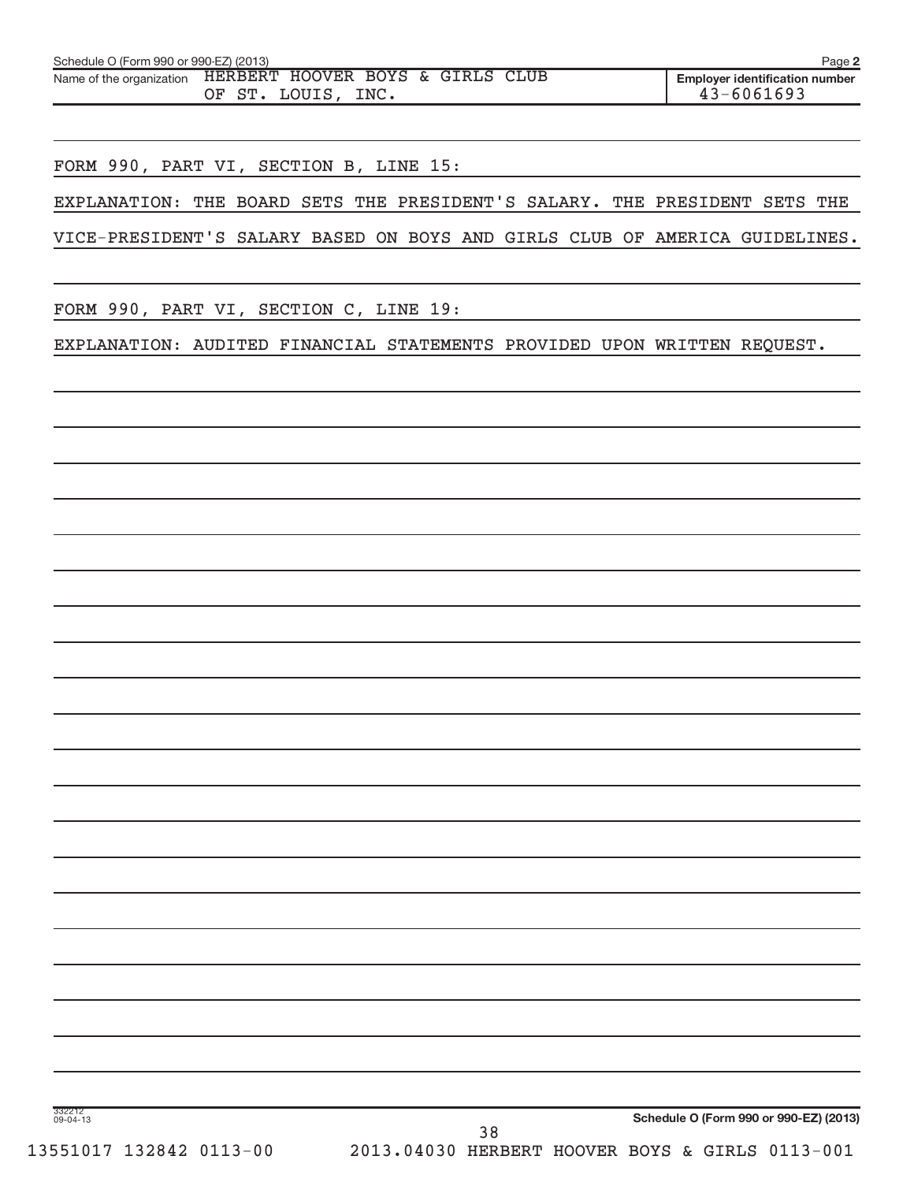| Schedule O (Form 990 or 990-EZ) (2013) |                                                                                 | Page 2                                                  |
|----------------------------------------|---------------------------------------------------------------------------------|---------------------------------------------------------|
|                                        | Name of the organization HERBERT HOOVER BOYS & GIRLS CLUB<br>OF ST. LOUIS, INC. | <b>Emplover identification number</b><br>$43 - 6061693$ |

FORM 990, PART VI, SECTION B, LINE 15:

EXPLANATION: THE BOARD SETS THE PRESIDENT'S SALARY. THE PRESIDENT SETS THE

VICE-PRESIDENT'S SALARY BASED ON BOYS AND GIRLS CLUB OF AMERICA GUIDELINES.

FORM 990, PART VI, SECTION C, LINE 19:

EXPLANATION: AUDITED FINANCIAL STATEMENTS PROVIDED UPON WRITTEN REQUEST.

332212 09-04-13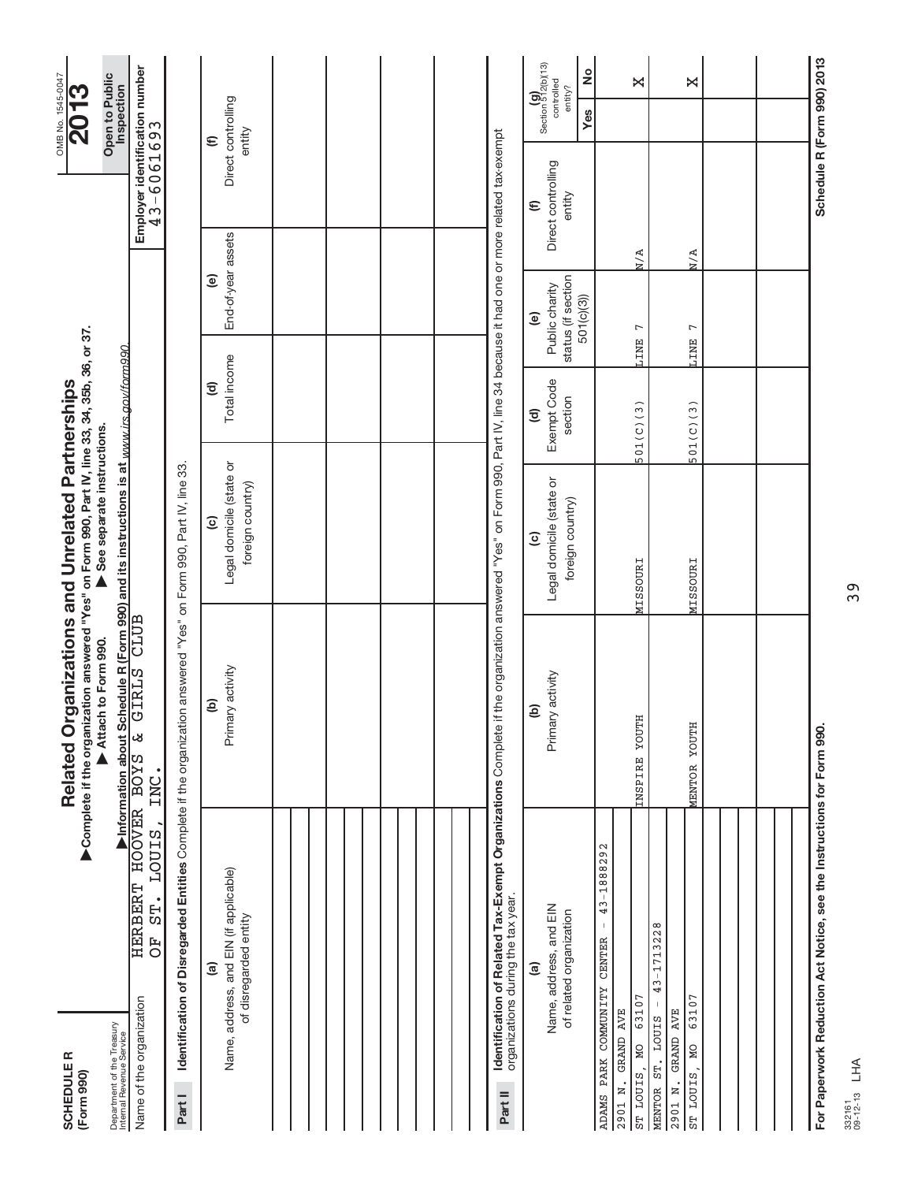| <b>SCHEDULER</b><br>(Form 990)                                                    |                                                           | Complete if the organization answered "Yes" on Form 990, Part IV, line 33, 34, 35b, 36, or 37.<br>Related Organizations and Unrelated Partnerships                                |                                                                        |                                              |                                                                             |                                                     | OMB No. 1545-0047<br>2013                                                       |
|-----------------------------------------------------------------------------------|-----------------------------------------------------------|-----------------------------------------------------------------------------------------------------------------------------------------------------------------------------------|------------------------------------------------------------------------|----------------------------------------------|-----------------------------------------------------------------------------|-----------------------------------------------------|---------------------------------------------------------------------------------|
| Department of the Treasury<br>Internal Revenue Service                            |                                                           | ▶Information about Schedule R (Form 990) and its instructions is at www.irs.gov/form990.<br>OVER BOYS & GIRLS CLUB<br>Attach to Form 990.                                         | See separate instructions.                                             |                                              |                                                                             |                                                     | Open to Public<br>Inspection                                                    |
| Name of the organization                                                          | HOOVER BOYS<br>LOUIS,<br><b>HERBERT</b><br>ST.<br>FO<br>O | INC.                                                                                                                                                                              |                                                                        |                                              |                                                                             | Employer identification number<br>43-6061693        |                                                                                 |
| Part I                                                                            |                                                           | Identification of Disregarded Entities Complete if the organization answered "Yes" on Form 990, Part IV, line 33.                                                                 |                                                                        |                                              |                                                                             |                                                     |                                                                                 |
| Name, address, and EIN (if applicable)<br>of disregarded entity<br><u>ම</u>       |                                                           | Primary activity<br>ê                                                                                                                                                             | Legal domicile (state or<br>foreign country)<br>$\widehat{\mathbf{c}}$ | Total income<br>$\widehat{\mathbf{c}}$       | End-of-year assets<br>$\widehat{e}$                                         |                                                     | Direct controlling<br>entity<br>$\widehat{\epsilon}$                            |
|                                                                                   |                                                           |                                                                                                                                                                                   |                                                                        |                                              |                                                                             |                                                     |                                                                                 |
|                                                                                   |                                                           |                                                                                                                                                                                   |                                                                        |                                              |                                                                             |                                                     |                                                                                 |
|                                                                                   |                                                           |                                                                                                                                                                                   |                                                                        |                                              |                                                                             |                                                     |                                                                                 |
|                                                                                   |                                                           |                                                                                                                                                                                   |                                                                        |                                              |                                                                             |                                                     |                                                                                 |
| organizations during the tax year.<br>Part II                                     |                                                           | <b>Identification of Related Tax-Exempt Organizations</b> Complete if the organization answered "Yes" on Form 990, Part IV, line 34 because it had one or more related tax-exempt |                                                                        |                                              |                                                                             |                                                     |                                                                                 |
| Name, address, and EIN<br>of related organization<br>$\widehat{a}$                |                                                           | Primary activity<br>ê                                                                                                                                                             | Legal domicile (state or<br>foreign country)<br>$\widehat{\mathbf{c}}$ | Exempt Code<br>section<br>$\widehat{\sigma}$ | status (if section<br>Public charity<br>501(c)(3)<br>$\widehat{\mathbf{e}}$ | Direct controlling<br>entity<br>$\mathbf{\epsilon}$ | Section $\mathbf{g}$<br>Section 512(b)(13)<br>ž<br>controlled<br>entity?<br>Yes |
| COMMUNITY<br>6310<br>GRAND AVE<br><b>MO</b><br>ADAMS PARK<br>ST LOUIS.<br>2901 N. | 43-1888292<br>Τ.<br><b>CENTER</b>                         | YOUTH<br><b>INSPIRE</b>                                                                                                                                                           | <b>MISSOURI</b>                                                        | 501(C)(3)                                    | r<br><b>LINE</b>                                                            | N/A                                                 | X                                                                               |
| 63107<br>GRAND AVE<br>MENTOR ST. LOUIS<br><b>MO</b><br>ST LOUIS<br>2901 N.        | 43-1713228                                                | MENTOR YOUTH                                                                                                                                                                      | MISSOURI                                                               | 501(C)(3)                                    | $\overline{ }$<br><b>LINE</b>                                               | N/A                                                 | Χ                                                                               |
|                                                                                   |                                                           |                                                                                                                                                                                   |                                                                        |                                              |                                                                             |                                                     |                                                                                 |
|                                                                                   |                                                           |                                                                                                                                                                                   |                                                                        |                                              |                                                                             |                                                     |                                                                                 |
| For Paperwork Reduction Act Notice, see the Instructions for Form 990.            |                                                           |                                                                                                                                                                                   |                                                                        |                                              |                                                                             |                                                     | Schedule R (Form 990) 2013                                                      |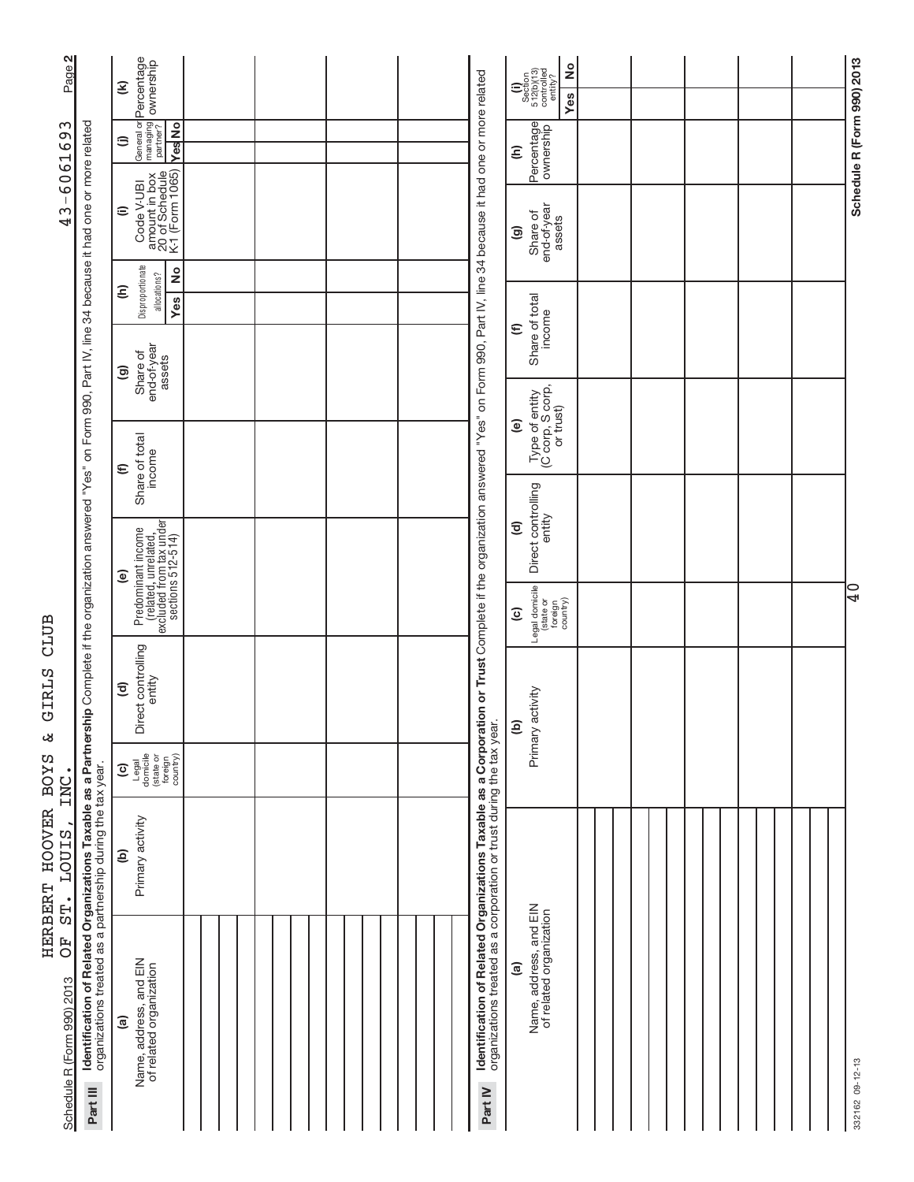| $\sim$<br>Page                                                                                                   |                                                                                                                                           | General or <mark>Percentage</mark><br>managing <b>ownership</b><br>partner?<br>$\widehat{\epsilon}$ |  |  |                                                                                                                                                                                                                                                                           | °<br>$\begin{array}{c} \textbf{(i)}\\ \text{Section}\\ 512 \text{(b)} \text{(13)}\\ \text{controlled}\\ \text{entiv} \text{?} \end{array}$<br><b>Yes</b> |  |  |                            |
|------------------------------------------------------------------------------------------------------------------|-------------------------------------------------------------------------------------------------------------------------------------------|-----------------------------------------------------------------------------------------------------|--|--|---------------------------------------------------------------------------------------------------------------------------------------------------------------------------------------------------------------------------------------------------------------------------|----------------------------------------------------------------------------------------------------------------------------------------------------------|--|--|----------------------------|
| ო<br>606169                                                                                                      |                                                                                                                                           | <b>Yes</b> No<br>⊜                                                                                  |  |  |                                                                                                                                                                                                                                                                           | Percentage<br>Ξ                                                                                                                                          |  |  | Schedule R (Form 990) 2013 |
| 43                                                                                                               |                                                                                                                                           | Code V-UBI<br>  amount in box<br>  20 of Schedule<br>  K-1 (Form 1065)<br>$\widehat{=}$             |  |  |                                                                                                                                                                                                                                                                           | end-of-year<br>assets<br>Share of<br>ම                                                                                                                   |  |  |                            |
|                                                                                                                  |                                                                                                                                           | Disproportionate<br>2<br>allocations?<br>ε<br>Yes                                                   |  |  |                                                                                                                                                                                                                                                                           |                                                                                                                                                          |  |  |                            |
|                                                                                                                  |                                                                                                                                           | Share of<br>end-of-year<br>assets<br>$\circledcirc$                                                 |  |  |                                                                                                                                                                                                                                                                           | Share of total<br>income<br>$\widehat{\epsilon}$                                                                                                         |  |  |                            |
| iip Complete if the organization answered "Yes" on Form 990, Part IV, line 34 because it had one or more related |                                                                                                                                           |                                                                                                     |  |  |                                                                                                                                                                                                                                                                           | Type of entity<br>(C corp, S corp,<br>or trust)<br>ම                                                                                                     |  |  |                            |
|                                                                                                                  |                                                                                                                                           | Share of total<br>income<br>$\mathbf \epsilon$                                                      |  |  |                                                                                                                                                                                                                                                                           |                                                                                                                                                          |  |  |                            |
|                                                                                                                  |                                                                                                                                           |                                                                                                     |  |  |                                                                                                                                                                                                                                                                           | Direct controlling<br>entity<br>$\widehat{\mathbf{c}}$                                                                                                   |  |  |                            |
|                                                                                                                  |                                                                                                                                           | (related, unrelated,<br>excluded from tax under<br>sections 512-514)<br>Predominant income<br>ම     |  |  |                                                                                                                                                                                                                                                                           |                                                                                                                                                          |  |  | $\frac{1}{4}$              |
|                                                                                                                  |                                                                                                                                           |                                                                                                     |  |  |                                                                                                                                                                                                                                                                           | Legal domicile<br>(state or<br>foreign<br>country)<br>$\widehat{\mathbf{c}}$                                                                             |  |  |                            |
|                                                                                                                  |                                                                                                                                           | Direct controlling<br>entity<br>$\widehat{\mathbf{c}}$                                              |  |  |                                                                                                                                                                                                                                                                           | Primary activity<br>$\widehat{e}$                                                                                                                        |  |  |                            |
| INC<br>٠<br><b>LOUIS</b><br>$\bullet$                                                                            |                                                                                                                                           | Legal<br>domicile<br>(state or<br>foreign<br>country)<br>$\widehat{c}$                              |  |  |                                                                                                                                                                                                                                                                           |                                                                                                                                                          |  |  |                            |
|                                                                                                                  |                                                                                                                                           | Primary activity<br>$\widehat{e}$                                                                   |  |  |                                                                                                                                                                                                                                                                           |                                                                                                                                                          |  |  |                            |
| ST.<br>FO<br>O<br>Schedule R (Form 990) 2013                                                                     | Identification of Related Organizations Taxable as a Partnersh<br>organizations treated as a partnership during the tax year.<br>Part III | Name, address, and EIN<br>of related organization<br>$\widehat{a}$                                  |  |  | Identification of Related Organizations Taxable as a Corporation or Trust Complete if the organization answered "Yes" on Form 990, Part IV, line 34 because it had one or more related<br>organizations treated as a corporation or trust during the tax year.<br>Part IV | Name, address, and EIN<br>of related organization<br>ම                                                                                                   |  |  | 332162 09-12-13            |

HERBERT HOOVER BOYS & GIRLS CLUB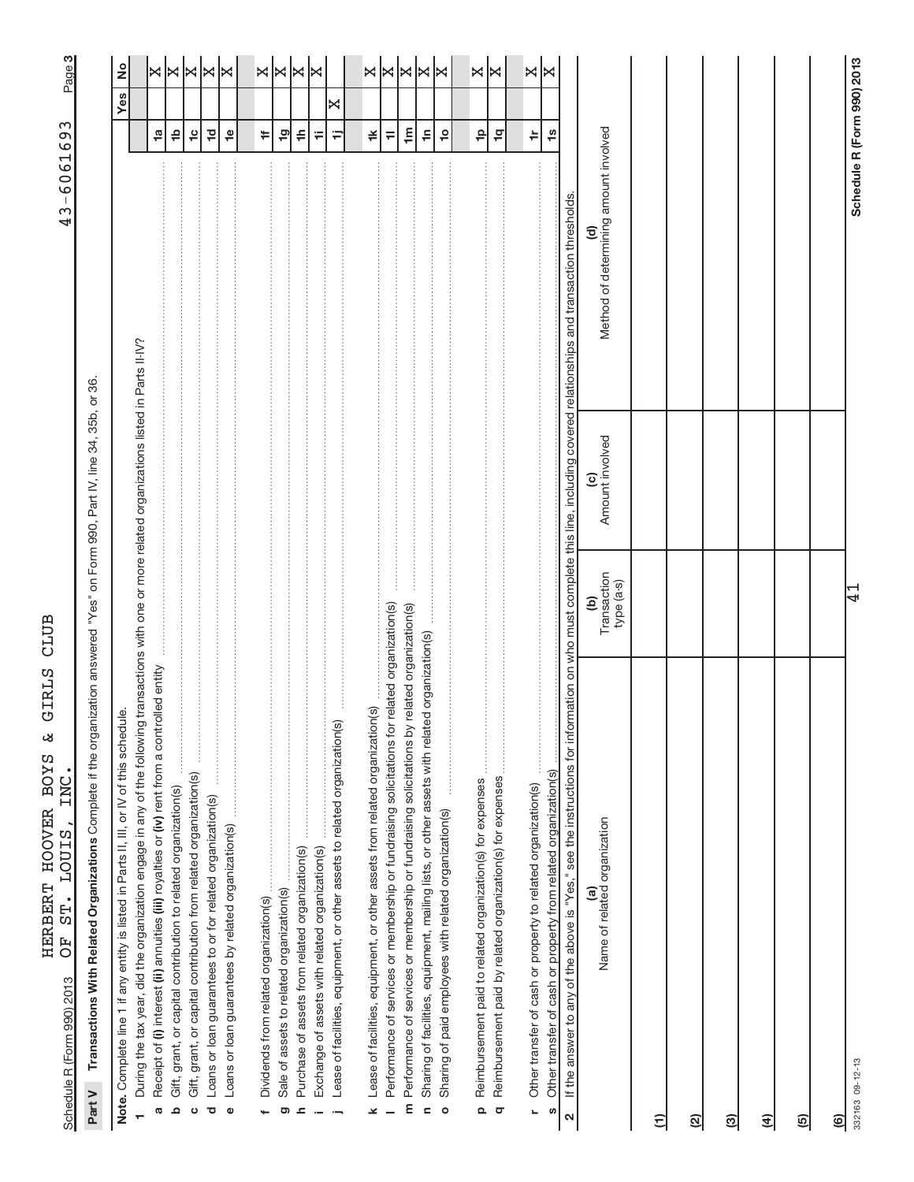|                            | נטלוקים<br>I<br>١<br>j |
|----------------------------|------------------------|
|                            |                        |
|                            |                        |
| תדסות רווח                 |                        |
| ś                          |                        |
|                            | くとけ<br>)<br>i          |
| さんこく しょうしょう ストー・コード しょうしょう | てーーくー<br>l             |
| <br>                       | 目と にく<br>$\frac{1}{2}$ |
|                            |                        |
|                            | 、rcc<br>CC             |
|                            |                        |

က|

Part V Transactions With Related Organizations Complete if the organization answered "Yes" on Form 990, Part IV, line 34, 35b, or 36. Complete if the organization answered "Yes" on Form 990, Part IV, line 34, 35b, or 36. **Part V Transactions With Related Organizations** 

| During the tax year, did the organization engage in any of the following transactions with one or more related organizations listed in Parts II-IV?<br>$\dot{\underline{\omega}}$<br>Note. Complete line 1 if any entity is listed in Parts II, III, or IV of this schedu |                         |                        |                                                                                                    |                                                             | <u>ខ</u><br>Yes                                     |
|---------------------------------------------------------------------------------------------------------------------------------------------------------------------------------------------------------------------------------------------------------------------------|-------------------------|------------------------|----------------------------------------------------------------------------------------------------|-------------------------------------------------------------|-----------------------------------------------------|
| Receipt of (i) interest (ii) annuities (iii) royalties or (iv) rent from a controlled entity                                                                                                                                                                              |                         |                        |                                                                                                    | 1a                                                          |                                                     |
| G                                                                                                                                                                                                                                                                         |                         |                        |                                                                                                    |                                                             |                                                     |
| $\frac{1}{2}$<br>Gift, grant, or capital contribution to related organization(s)<br>ᅀ                                                                                                                                                                                     |                         |                        |                                                                                                    | $\triangleq$                                                |                                                     |
| Gift, grant, or capital contribution from related organization(s)<br>ပ                                                                                                                                                                                                    |                         |                        |                                                                                                    | $\frac{1}{2}$                                               | $ \mathbb{x}  \mathbb{x}   \mathbb{x}   \mathbb{x}$ |
| Loans or loan guarantees to or for related organization(s)<br>$\overline{\mathbf{C}}$                                                                                                                                                                                     |                         |                        |                                                                                                    | $\overline{c}$                                              |                                                     |
|                                                                                                                                                                                                                                                                           |                         |                        |                                                                                                    |                                                             |                                                     |
| $\pmb{\Phi}$                                                                                                                                                                                                                                                              |                         |                        |                                                                                                    | $\overset{\mathsf{\scriptscriptstyle{\Theta}}}{\mathsf{=}}$ |                                                     |
|                                                                                                                                                                                                                                                                           |                         |                        |                                                                                                    |                                                             |                                                     |
| Dividends from related organization(s)                                                                                                                                                                                                                                    |                         |                        |                                                                                                    | ¥.                                                          | ×⊠×                                                 |
|                                                                                                                                                                                                                                                                           |                         |                        |                                                                                                    |                                                             |                                                     |
| Sale of assets to related organization(s)<br>ත                                                                                                                                                                                                                            |                         |                        |                                                                                                    | 은                                                           |                                                     |
| Purchase of assets from related organization(s)<br>$\mathbf{r}$                                                                                                                                                                                                           |                         |                        |                                                                                                    | $\Rightarrow$                                               |                                                     |
| Exchange of assets with related organization(s)                                                                                                                                                                                                                           |                         |                        |                                                                                                    | Ŧ                                                           | k                                                   |
| Lease of facilities, equipment, or other assets to related organization(s)                                                                                                                                                                                                |                         |                        |                                                                                                    | Ξ                                                           | ×                                                   |
|                                                                                                                                                                                                                                                                           |                         |                        |                                                                                                    |                                                             |                                                     |
| Lease of facilities, equipment, or other assets from related organization(s)<br>⊻                                                                                                                                                                                         |                         |                        |                                                                                                    | $\breve{+}$                                                 | X                                                   |
| Performance of services or membership or fundraising solicitations for                                                                                                                                                                                                    | related organization(s) |                        |                                                                                                    | $\equiv$                                                    | ×                                                   |
| Performance of services or membership or fundraising solicitations by related organization(s)<br>g                                                                                                                                                                        |                         |                        |                                                                                                    | $\mathbf{m}$                                                | ∣≍                                                  |
| Sharing of facilities, equipment, mailing lists, or other assets with related organization(s)<br>$\epsilon$                                                                                                                                                               |                         |                        |                                                                                                    | $\frac{1}{\tau}$                                            |                                                     |
| Sharing of paid employees with related organization(s)<br>$\circ$                                                                                                                                                                                                         |                         |                        |                                                                                                    | $\frac{1}{2}$                                               | $ \mathsf{X} $ X                                    |
| Ĵ                                                                                                                                                                                                                                                                         |                         |                        |                                                                                                    |                                                             |                                                     |
|                                                                                                                                                                                                                                                                           |                         |                        |                                                                                                    |                                                             |                                                     |
| Reimbursement paid to related organization(s) for expenses<br>Q                                                                                                                                                                                                           |                         |                        |                                                                                                    | $\frac{\circ}{\cdot}$                                       | ×∣×                                                 |
| Reimbursement paid by related organization(s) for expenses<br>$\sigma$                                                                                                                                                                                                    |                         |                        |                                                                                                    | $\overline{q}$                                              |                                                     |
|                                                                                                                                                                                                                                                                           |                         |                        |                                                                                                    |                                                             |                                                     |
| Other transfer of cash or property to related organization(s)<br>L,                                                                                                                                                                                                       |                         |                        |                                                                                                    | ≑                                                           | Χ                                                   |
| Other transfer of cash or property from related organization(s)<br>S                                                                                                                                                                                                      |                         |                        |                                                                                                    | $\frac{8}{10}$                                              | ×                                                   |
| If the answer to any of the above is "Yes," see the instructions for infor<br>$\mathbf{\Omega}$                                                                                                                                                                           |                         |                        | mation on who must complete this line, including covered relationships and transaction thresholds. |                                                             |                                                     |
| Name of related organization<br>@                                                                                                                                                                                                                                         | (b)<br>Transaction      | (c)<br>Amount involved | Method of determining amount involved<br>$\widehat{\mathbf{c}}$                                    |                                                             |                                                     |
|                                                                                                                                                                                                                                                                           | type (a-s)              |                        |                                                                                                    |                                                             |                                                     |
| $\widehat{\tau}$                                                                                                                                                                                                                                                          |                         |                        |                                                                                                    |                                                             |                                                     |
| (2)                                                                                                                                                                                                                                                                       |                         |                        |                                                                                                    |                                                             |                                                     |
|                                                                                                                                                                                                                                                                           |                         |                        |                                                                                                    |                                                             |                                                     |
| ම                                                                                                                                                                                                                                                                         |                         |                        |                                                                                                    |                                                             |                                                     |
| €                                                                                                                                                                                                                                                                         |                         |                        |                                                                                                    |                                                             |                                                     |
| ම                                                                                                                                                                                                                                                                         |                         |                        |                                                                                                    |                                                             |                                                     |
| ම                                                                                                                                                                                                                                                                         |                         |                        |                                                                                                    |                                                             |                                                     |
| 332163 09-12-13                                                                                                                                                                                                                                                           | 4                       |                        | Schedule R (Form 990) 2013                                                                         |                                                             |                                                     |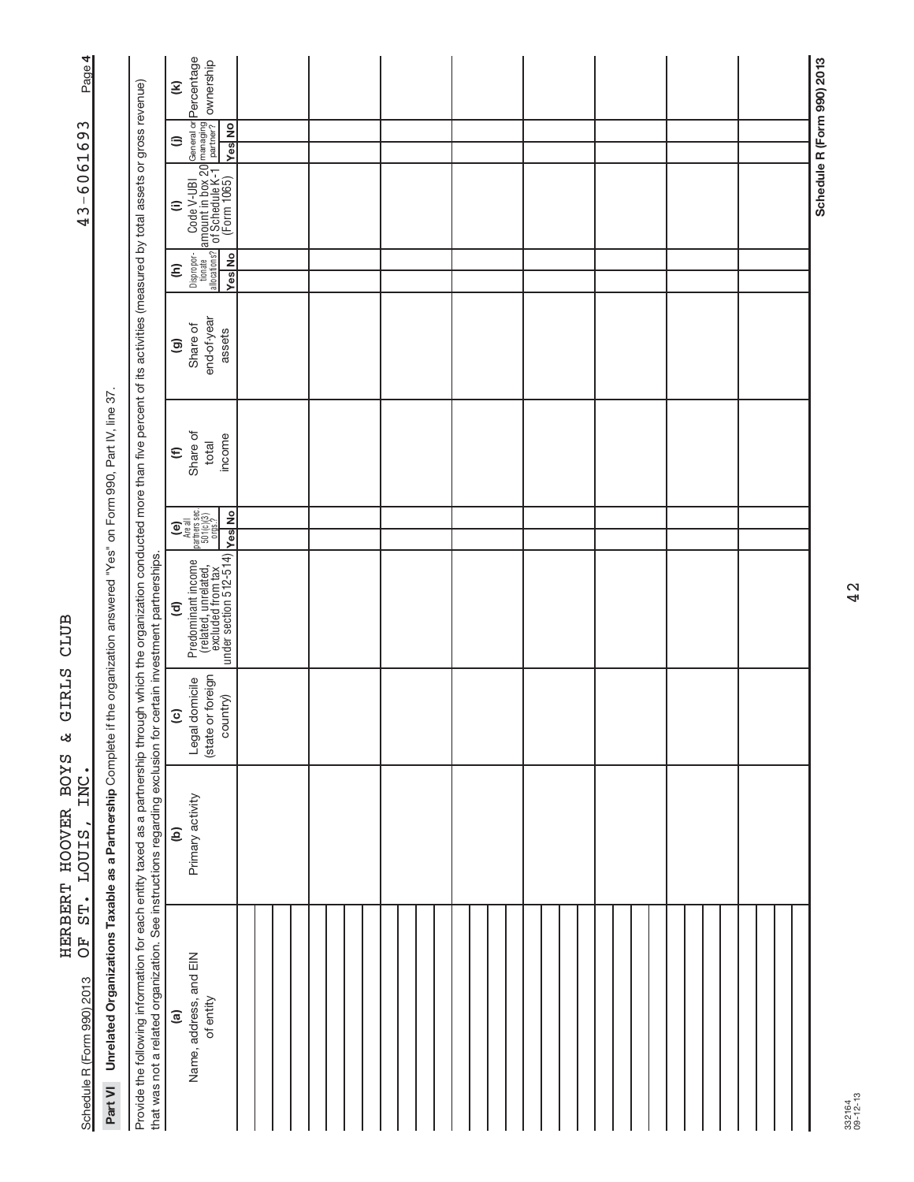| Page 4                                                              |                                                                      |                                                                                                                                                                                                                                                                                                                          | General or <mark>Percentage</mark><br>managing<br>partner? OW <b>nership</b><br>$\mathbf{\widehat{\epsilon}}$                                                                                                                                                                                             |  |  |  |  |  |  |  |  |  |  | Schedule R (Form 990) 2013 |
|---------------------------------------------------------------------|----------------------------------------------------------------------|--------------------------------------------------------------------------------------------------------------------------------------------------------------------------------------------------------------------------------------------------------------------------------------------------------------------------|-----------------------------------------------------------------------------------------------------------------------------------------------------------------------------------------------------------------------------------------------------------------------------------------------------------|--|--|--|--|--|--|--|--|--|--|----------------------------|
|                                                                     |                                                                      |                                                                                                                                                                                                                                                                                                                          | <b>Yes</b> No<br>⊜                                                                                                                                                                                                                                                                                        |  |  |  |  |  |  |  |  |  |  |                            |
| 43-6061693                                                          |                                                                      |                                                                                                                                                                                                                                                                                                                          | Dispropor- Code V-UBI Gate<br>allocations? of Schedule K-1<br>allocations? of Schedule K-1<br>Yes No (Form 1065)<br>$\widehat{=}$                                                                                                                                                                         |  |  |  |  |  |  |  |  |  |  |                            |
|                                                                     |                                                                      |                                                                                                                                                                                                                                                                                                                          | Yes No<br>Ξ                                                                                                                                                                                                                                                                                               |  |  |  |  |  |  |  |  |  |  |                            |
| CLUB<br>GIRLS<br>لان<br>HERBERT HOOVER BOYS<br>INC.<br><b>LOUIS</b> |                                                                      |                                                                                                                                                                                                                                                                                                                          | end-of-year<br>Share of<br>assets<br>$\circledcirc$                                                                                                                                                                                                                                                       |  |  |  |  |  |  |  |  |  |  |                            |
|                                                                     |                                                                      |                                                                                                                                                                                                                                                                                                                          | Share of<br>income<br>total<br>$\epsilon$                                                                                                                                                                                                                                                                 |  |  |  |  |  |  |  |  |  |  |                            |
|                                                                     |                                                                      |                                                                                                                                                                                                                                                                                                                          | $\begin{bmatrix} \mathbf{e} \\ \mathbf{h} \end{bmatrix}$<br>Are all<br>partners sec.<br>501(c)(3)<br>orgs.?<br><b>Yes</b> No                                                                                                                                                                              |  |  |  |  |  |  |  |  |  |  |                            |
|                                                                     | the organization answered "Yes" on Form 990, Part IV, line 37        |                                                                                                                                                                                                                                                                                                                          | $\begin{tabular}{ p c c } \hline \textbf{Predominant income} & \textbf{else} \\ \hline \textbf{(related, unrelated, t)} & \textbf{else} \\ \hline \textbf{excluded from tax} & \textbf{else} \\ \hline \textbf{under section 5 12-514) & \textbf{else} \\ \hline \end{tabular}$<br>$\widehat{\mathbf{c}}$ |  |  |  |  |  |  |  |  |  |  |                            |
|                                                                     |                                                                      |                                                                                                                                                                                                                                                                                                                          | (state or foreign<br>Legal domicile<br>country)<br>$\overline{c}$                                                                                                                                                                                                                                         |  |  |  |  |  |  |  |  |  |  |                            |
|                                                                     |                                                                      |                                                                                                                                                                                                                                                                                                                          | Primary activity<br>$\widehat{e}$                                                                                                                                                                                                                                                                         |  |  |  |  |  |  |  |  |  |  |                            |
| ST.<br><b>FO</b><br>Schedule R (Form 990) 2013                      | Part VI Unrelated Organizations Taxable as a Partnership Complete if | Provide the following information for each entity taxed as a partnership through which the organization conducted more than five percent of its activities (measured by total assets or gross revenue)<br>that was not a related organization. See instructions regarding exclusion for certain investment partnerships. | Name, address, and EIN<br>of entity<br>$\widehat{a}$                                                                                                                                                                                                                                                      |  |  |  |  |  |  |  |  |  |  |                            |

42